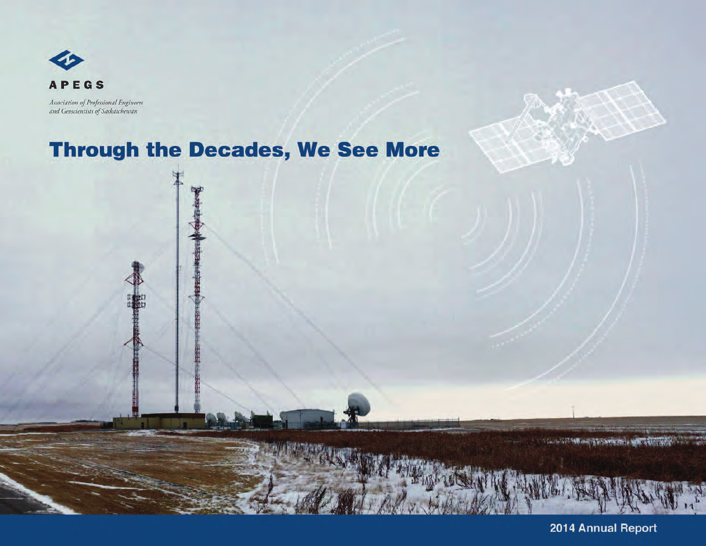

Association of Professional Engineers and Geoscientists of Saskatchewan

# **Through the Decades, We See More**

2014 Annual Report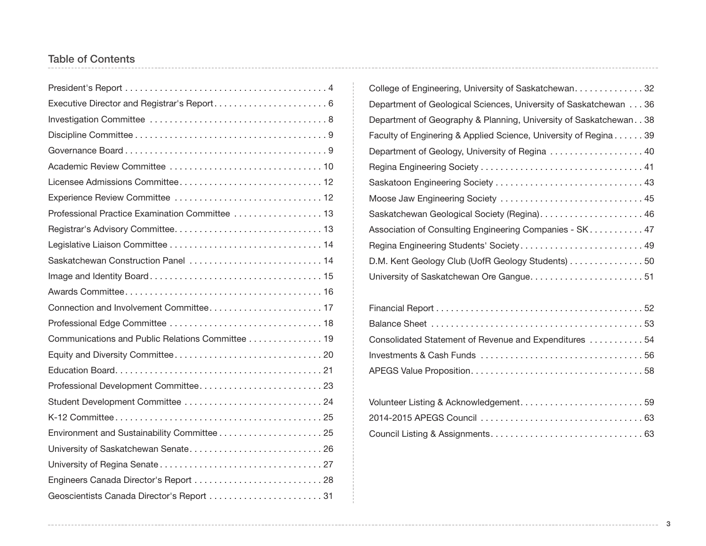## Table of Contents

| Executive Director and Registrar's Report 6      |
|--------------------------------------------------|
|                                                  |
|                                                  |
|                                                  |
|                                                  |
|                                                  |
| Experience Review Committee  12                  |
| Professional Practice Examination Committee  13  |
|                                                  |
|                                                  |
| Saskatchewan Construction Panel  14              |
|                                                  |
|                                                  |
|                                                  |
|                                                  |
| Communications and Public Relations Committee 19 |
|                                                  |
|                                                  |
| Professional Development Committee 23            |
|                                                  |
|                                                  |
| Environment and Sustainability Committee25       |
|                                                  |
|                                                  |
| Engineers Canada Director's Report  28           |
| Geoscientists Canada Director's Report 31        |

| College of Engineering, University of Saskatchewan32                 |
|----------------------------------------------------------------------|
| Department of Geological Sciences, University of Saskatchewan 36     |
| Department of Geography & Planning, University of Saskatchewan. . 38 |
| Faculty of Enginering & Applied Science, University of Regina 39     |
| Department of Geology, University of Regina 40                       |
|                                                                      |
|                                                                      |
| Moose Jaw Engineering Society  45                                    |
|                                                                      |
| Association of Consulting Engineering Companies - SK. 47             |
| Regina Engineering Students' Society 49                              |
| D.M. Kent Geology Club (UofR Geology Students) 50                    |
|                                                                      |
|                                                                      |

| Consolidated Statement of Revenue and Expenditures  54 |  |
|--------------------------------------------------------|--|
|                                                        |  |
|                                                        |  |

| Volunteer Listing & Acknowledgement59 |  |
|---------------------------------------|--|
|                                       |  |
|                                       |  |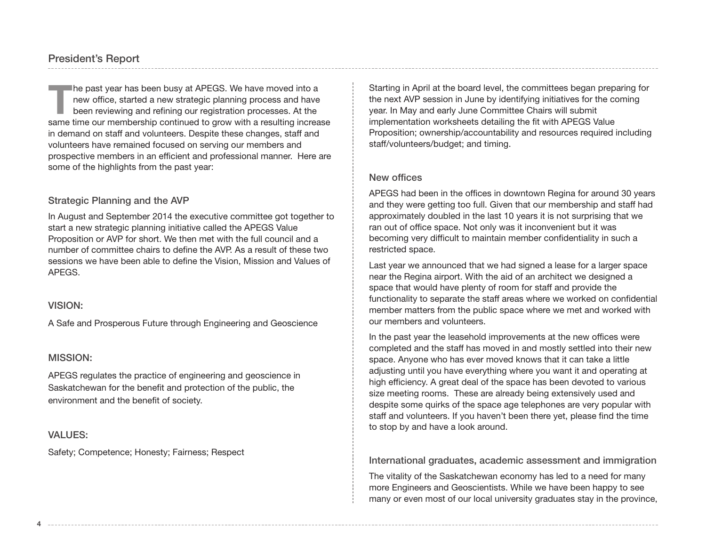The past year has been busy at APEGS. We have moved into a new office, started a new strategic planning process and have been reviewing and refining our registration processes. At the same time our membership continued to new office, started a new strategic planning process and have been reviewing and refining our registration processes. At the in demand on staff and volunteers. Despite these changes, staff and volunteers have remained focused on serving our members and prospective members in an efficient and professional manner. Here are some of the highlights from the past year:

#### Strategic Planning and the AVP

In August and September 2014 the executive committee got together to start a new strategic planning initiative called the APEGS Value Proposition or AVP for short. We then met with the full council and a number of committee chairs to define the AVP. As a result of these two sessions we have been able to define the Vision, Mission and Values of APEGS.

#### VISION:

A Safe and Prosperous Future through Engineering and Geoscience

#### MISSION:

APEGS regulates the practice of engineering and geoscience in Saskatchewan for the benefit and protection of the public, the environment and the benefit of society.

#### VALUES:

Safety; Competence; Honesty; Fairness; Respect

Starting in April at the board level, the committees began preparing for the next AVP session in June by identifying initiatives for the coming year. In May and early June Committee Chairs will submit implementation worksheets detailing the fit with APEGS Value Proposition; ownership/accountability and resources required including staff/volunteers/budget; and timing.

#### New offices

APEGS had been in the offices in downtown Regina for around 30 years and they were getting too full. Given that our membership and staff had approximately doubled in the last 10 years it is not surprising that we ran out of office space. Not only was it inconvenient but it was becoming very difficult to maintain member confidentiality in such a restricted space.

Last year we announced that we had signed a lease for a larger space near the Regina airport. With the aid of an architect we designed a space that would have plenty of room for staff and provide the functionality to separate the staff areas where we worked on confidential member matters from the public space where we met and worked with our members and volunteers.

In the past year the leasehold improvements at the new offices were completed and the staff has moved in and mostly settled into their new space. Anyone who has ever moved knows that it can take a little adjusting until you have everything where you want it and operating at high efficiency. A great deal of the space has been devoted to various size meeting rooms. These are already being extensively used and despite some quirks of the space age telephones are very popular with staff and volunteers. If you haven't been there yet, please find the time to stop by and have a look around.

International graduates, academic assessment and immigration

The vitality of the Saskatchewan economy has led to a need for many more Engineers and Geoscientists. While we have been happy to see many or even most of our local university graduates stay in the province,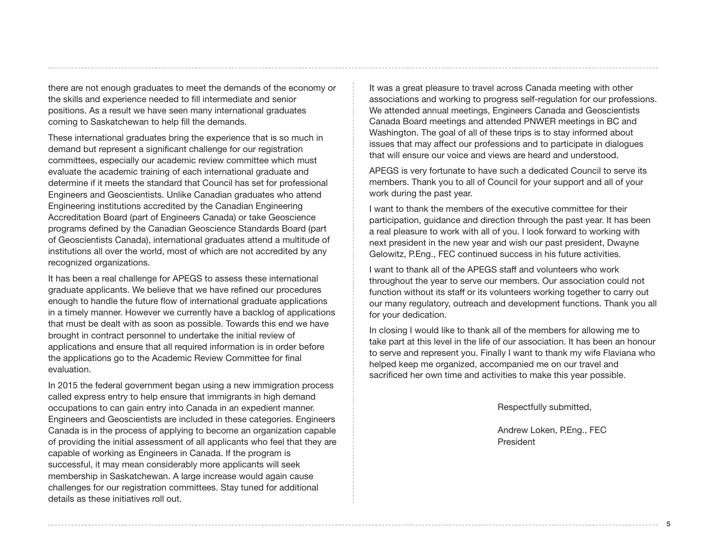there are not enough graduates to meet the demands of the economy or the skills and experience needed to fill intermediate and senior positions. As a result we have seen many international graduates coming to Saskatchewan to help fill the demands.

These international graduates bring the experience that is so much in demand but represent a significant challenge for our registration committees, especially our academic review committee which must evaluate the academic training of each international graduate and determine if it meets the standard that Council has set for professional Engineers and Geoscientists. Unlike Canadian graduates who attend Engineering institutions accredited by the Canadian Engineering Accreditation Board (part of Engineers Canada) or take Geoscience programs defined by the Canadian Geoscience Standards Board (part of Geoscientists Canada), international graduates attend a multitude of institutions all over the world, most of which are not accredited by any recognized organizations.

It has been a real challenge for APEGS to assess these international graduate applicants. We believe that we have refined our procedures enough to handle the future flow of international graduate applications in a timely manner. However we currently have a backlog of applications that must be dealt with as soon as possible. Towards this end we have brought in contract personnel to undertake the initial review of applications and ensure that all required information is in order before the applications go to the Academic Review Committee for final evaluation.

In 2015 the federal government began using a new immigration process called express entry to help ensure that immigrants in high demand occupations to can gain entry into Canada in an expedient manner. Engineers and Geoscientists are included in these categories. Engineers Canada is in the process of applying to become an organization capable of providing the initial assessment of all applicants who feel that they are capable of working as Engineers in Canada. If the program is successful, it may mean considerably more applicants will seek membership in Saskatchewan. A large increase would again cause challenges for our registration committees. Stay tuned for additional details as these initiatives roll out.

It was a great pleasure to travel across Canada meeting with other associations and working to progress self-regulation for our professions. We attended annual meetings, Engineers Canada and Geoscientists Canada Board meetings and attended PNWER meetings in BC and Washington. The goal of all of these trips is to stay informed about issues that may affect our professions and to participate in dialogues that will ensure our voice and views are heard and understood.

APEGS is very fortunate to have such a dedicated Council to serve its members. Thank you to all of Council for your support and all of your work during the past year.

I want to thank the members of the executive committee for their participation, guidance and direction through the past year. It has been a real pleasure to work with all of you. I look forward to working with next president in the new year and wish our past president, Dwayne Gelowitz, P.Eng., FEC continued success in his future activities.

I want to thank all of the APEGS staff and volunteers who work throughout the year to serve our members. Our association could not function without its staff or its volunteers working together to carry out our many regulatory, outreach and development functions. Thank you all for your dedication.

In closing I would like to thank all of the members for allowing me to take part at this level in the life of our association. It has been an honour to serve and represent you. Finally I want to thank my wife Flaviana who helped keep me organized, accompanied me on our travel and sacrificed her own time and activities to make this year possible.

Respectfully submitted,

Andrew Loken, P.Eng., FEC President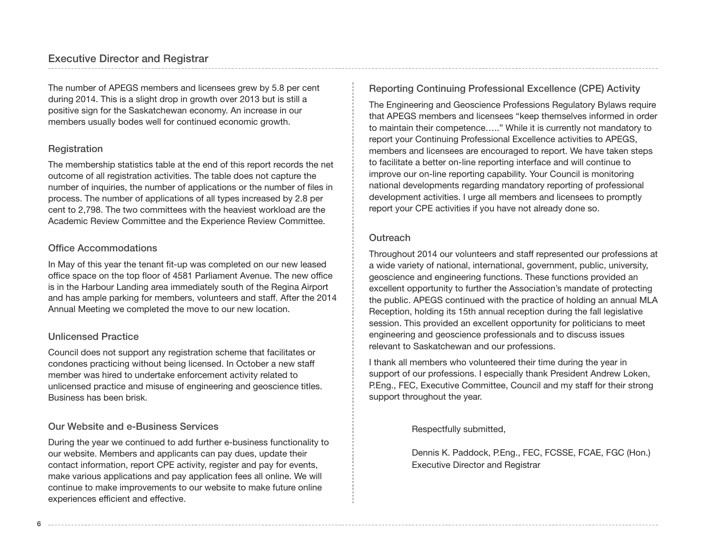The number of APEGS members and licensees grew by 5.8 per cent during 2014. This is a slight drop in growth over 2013 but is still a positive sign for the Saskatchewan economy. An increase in our members usually bodes well for continued economic growth.

## Registration

The membership statistics table at the end of this report records the net outcome of all registration activities. The table does not capture the number of inquiries, the number of applications or the number of files in process. The number of applications of all types increased by 2.8 per cent to 2,798. The two committees with the heaviest workload are the Academic Review Committee and the Experience Review Committee.

## Office Accommodations

In May of this year the tenant fit-up was completed on our new leased office space on the top floor of 4581 Parliament Avenue. The new office is in the Harbour Landing area immediately south of the Regina Airport and has ample parking for members, volunteers and staff. After the 2014 Annual Meeting we completed the move to our new location.

## Unlicensed Practice

Council does not support any registration scheme that facilitates or condones practicing without being licensed. In October a new staff member was hired to undertake enforcement activity related to unlicensed practice and misuse of engineering and geoscience titles. Business has been brisk.

## Our Website and e-Business Services

During the year we continued to add further e-business functionality to our website. Members and applicants can pay dues, update their contact information, report CPE activity, register and pay for events, make various applications and pay application fees all online. We will continue to make improvements to our website to make future online experiences efficient and effective.

## Reporting Continuing Professional Excellence (CPE) Activity

The Engineering and Geoscience Professions Regulatory Bylaws require that APEGS members and licensees "keep themselves informed in order to maintain their competence….." While it is currently not mandatory to report your Continuing Professional Excellence activities to APEGS, members and licensees are encouraged to report. We have taken steps to facilitate a better on-line reporting interface and will continue to improve our on-line reporting capability. Your Council is monitoring national developments regarding mandatory reporting of professional development activities. I urge all members and licensees to promptly report your CPE activities if you have not already done so.

## **Outreach**

Throughout 2014 our volunteers and staff represented our professions at a wide variety of national, international, government, public, university, geoscience and engineering functions. These functions provided an excellent opportunity to further the Association's mandate of protecting the public. APEGS continued with the practice of holding an annual MLA Reception, holding its 15th annual reception during the fall legislative session. This provided an excellent opportunity for politicians to meet engineering and geoscience professionals and to discuss issues relevant to Saskatchewan and our professions.

I thank all members who volunteered their time during the year in support of our professions. I especially thank President Andrew Loken, P.Eng., FEC, Executive Committee, Council and my staff for their strong support throughout the year.

Respectfully submitted,

Dennis K. Paddock, P.Eng., FEC, FCSSE, FCAE, FGC (Hon.) Executive Director and Registrar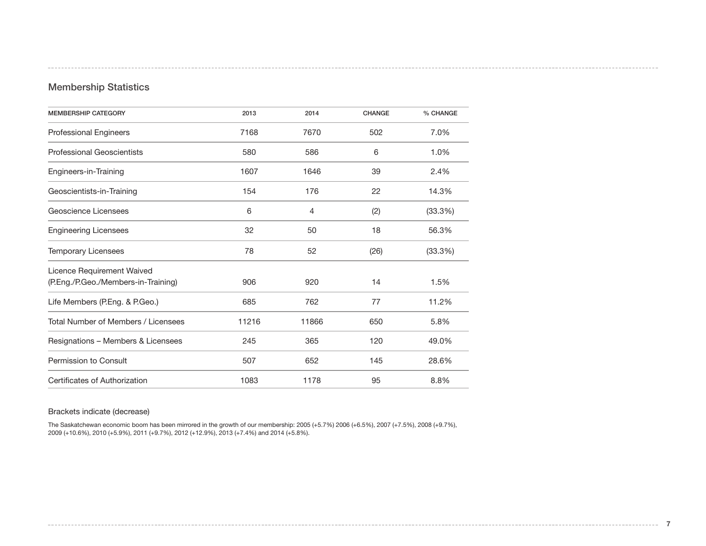## Membership Statistics

| <b>MEMBERSHIP CATEGORY</b>          | 2013  | 2014  | <b>CHANGE</b> | % CHANGE |
|-------------------------------------|-------|-------|---------------|----------|
| <b>Professional Engineers</b>       | 7168  | 7670  | 502           | 7.0%     |
| <b>Professional Geoscientists</b>   | 580   | 586   | 6             | 1.0%     |
| Engineers-in-Training               | 1607  | 1646  | 39            | 2.4%     |
| Geoscientists-in-Training           | 154   | 176   | 22            | 14.3%    |
| Geoscience Licensees                | 6     | 4     | (2)           | (33.3%)  |
| <b>Engineering Licensees</b>        | 32    | 50    | 18            | 56.3%    |
| <b>Temporary Licensees</b>          | 78    | 52    | (26)          | (33.3%)  |
| Licence Requirement Waived          |       |       |               |          |
| (P.Eng./P.Geo./Members-in-Training) | 906   | 920   | 14            | 1.5%     |
| Life Members (P.Eng. & P.Geo.)      | 685   | 762   | 77            | 11.2%    |
| Total Number of Members / Licensees | 11216 | 11866 | 650           | 5.8%     |
| Resignations - Members & Licensees  | 245   | 365   | 120           | 49.0%    |
| Permission to Consult               | 507   | 652   | 145           | 28.6%    |
| Certificates of Authorization       | 1083  | 1178  | 95            | 8.8%     |

#### Brackets indicate (decrease)

The Saskatchewan economic boom has been mirrored in the growth of our membership: 2005 (+5.7%) 2006 (+6.5%), 2007 (+7.5%), 2008 (+9.7%), 2009 (+10.6%), 2010 (+5.9%), 2011 (+9.7%), 2012 (+12.9%), 2013 (+7.4%) and 2014 (+5.8%).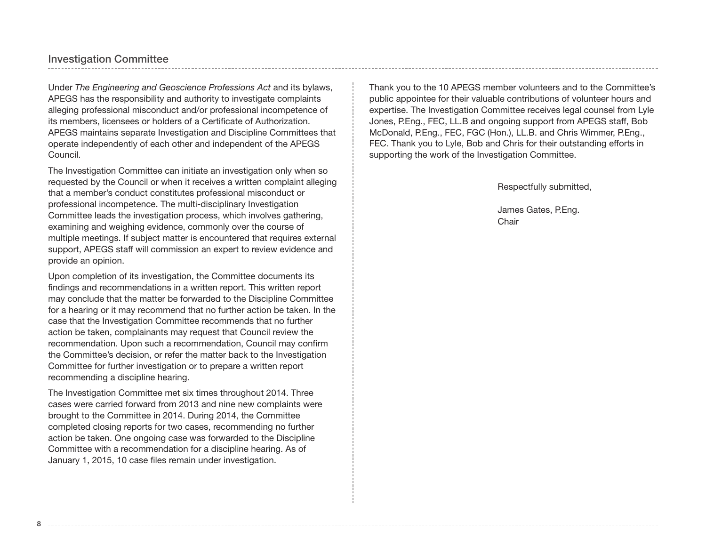## Investigation Committee

Under *The Engineering and Geoscience Professions Act* and its bylaws, APEGS has the responsibility and authority to investigate complaints alleging professional misconduct and/or professional incompetence of its members, licensees or holders of a Certificate of Authorization. APEGS maintains separate Investigation and Discipline Committees that operate independently of each other and independent of the APEGS Council.

The Investigation Committee can initiate an investigation only when so requested by the Council or when it receives a written complaint alleging that a member's conduct constitutes professional misconduct or professional incompetence. The multi-disciplinary Investigation Committee leads the investigation process, which involves gathering, examining and weighing evidence, commonly over the course of multiple meetings. If subject matter is encountered that requires external support, APEGS staff will commission an expert to review evidence and provide an opinion.

Upon completion of its investigation, the Committee documents its findings and recommendations in a written report. This written report may conclude that the matter be forwarded to the Discipline Committee for a hearing or it may recommend that no further action be taken. In the case that the Investigation Committee recommends that no further action be taken, complainants may request that Council review the recommendation. Upon such a recommendation, Council may confirm the Committee's decision, or refer the matter back to the Investigation Committee for further investigation or to prepare a written report recommending a discipline hearing.

The Investigation Committee met six times throughout 2014. Three cases were carried forward from 2013 and nine new complaints were brought to the Committee in 2014. During 2014, the Committee completed closing reports for two cases, recommending no further action be taken. One ongoing case was forwarded to the Discipline Committee with a recommendation for a discipline hearing. As of January 1, 2015, 10 case files remain under investigation.

Thank you to the 10 APEGS member volunteers and to the Committee's public appointee for their valuable contributions of volunteer hours and expertise. The Investigation Committee receives legal counsel from Lyle Jones, P.Eng., FEC, LL.B and ongoing support from APEGS staff, Bob McDonald, P.Eng., FEC, FGC (Hon.), LL.B. and Chris Wimmer, P.Eng., FEC. Thank you to Lyle, Bob and Chris for their outstanding efforts in supporting the work of the Investigation Committee.

Respectfully submitted,

James Gates, P.Eng. **Chair**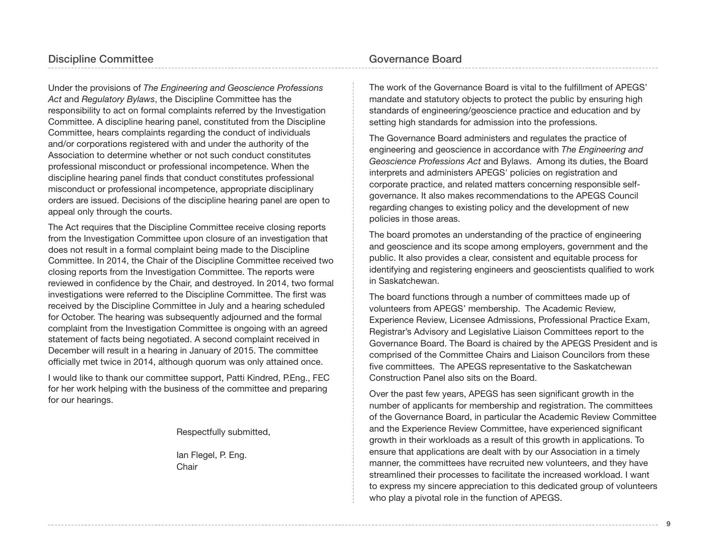Under the provisions of *The Engineering and Geoscience Professions Act* and *Regulatory Bylaws*, the Discipline Committee has the responsibility to act on formal complaints referred by the Investigation Committee. A discipline hearing panel, constituted from the Discipline Committee, hears complaints regarding the conduct of individuals and/or corporations registered with and under the authority of the Association to determine whether or not such conduct constitutes professional misconduct or professional incompetence. When the discipline hearing panel finds that conduct constitutes professional misconduct or professional incompetence, appropriate disciplinary orders are issued. Decisions of the discipline hearing panel are open to appeal only through the courts.

The Act requires that the Discipline Committee receive closing reports from the Investigation Committee upon closure of an investigation that does not result in a formal complaint being made to the Discipline Committee. In 2014, the Chair of the Discipline Committee received two closing reports from the Investigation Committee. The reports were reviewed in confidence by the Chair, and destroyed. In 2014, two formal investigations were referred to the Discipline Committee. The first was received by the Discipline Committee in July and a hearing scheduled for October. The hearing was subsequently adjourned and the formal complaint from the Investigation Committee is ongoing with an agreed statement of facts being negotiated. A second complaint received in December will result in a hearing in January of 2015. The committee officially met twice in 2014, although quorum was only attained once.

I would like to thank our committee support, Patti Kindred, P.Eng., FEC for her work helping with the business of the committee and preparing for our hearings.

Respectfully submitted,

Ian Flegel, P. Eng. Chair

## Governance Board

The work of the Governance Board is vital to the fulfillment of APEGS' mandate and statutory objects to protect the public by ensuring high standards of engineering/geoscience practice and education and by setting high standards for admission into the professions.

The Governance Board administers and regulates the practice of engineering and geoscience in accordance with *The Engineering and Geoscience Professions Act* and Bylaws. Among its duties, the Board interprets and administers APEGS' policies on registration and corporate practice, and related matters concerning responsible selfgovernance. It also makes recommendations to the APEGS Council regarding changes to existing policy and the development of new policies in those areas.

The board promotes an understanding of the practice of engineering and geoscience and its scope among employers, government and the public. It also provides a clear, consistent and equitable process for identifying and registering engineers and geoscientists qualified to work in Saskatchewan.

The board functions through a number of committees made up of volunteers from APEGS' membership. The Academic Review, Experience Review, Licensee Admissions, Professional Practice Exam, Registrar's Advisory and Legislative Liaison Committees report to the Governance Board. The Board is chaired by the APEGS President and is comprised of the Committee Chairs and Liaison Councilors from these five committees. The APEGS representative to the Saskatchewan Construction Panel also sits on the Board.

Over the past few years, APEGS has seen significant growth in the number of applicants for membership and registration. The committees of the Governance Board, in particular the Academic Review Committee and the Experience Review Committee, have experienced significant growth in their workloads as a result of this growth in applications. To ensure that applications are dealt with by our Association in a timely manner, the committees have recruited new volunteers, and they have streamlined their processes to facilitate the increased workload. I want to express my sincere appreciation to this dedicated group of volunteers who play a pivotal role in the function of APEGS.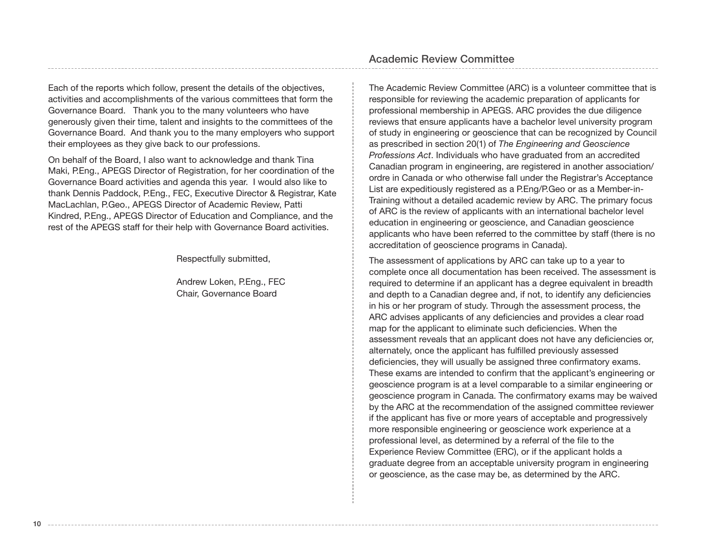Each of the reports which follow, present the details of the objectives, activities and accomplishments of the various committees that form the Governance Board. Thank you to the many volunteers who have generously given their time, talent and insights to the committees of the Governance Board. And thank you to the many employers who support their employees as they give back to our professions.

On behalf of the Board, I also want to acknowledge and thank Tina Maki, P.Eng., APEGS Director of Registration, for her coordination of the Governance Board activities and agenda this year. I would also like to thank Dennis Paddock, P.Eng., FEC, Executive Director & Registrar, Kate MacLachlan, P.Geo., APEGS Director of Academic Review, Patti Kindred, P.Eng., APEGS Director of Education and Compliance, and the rest of the APEGS staff for their help with Governance Board activities.

Respectfully submitted,

Andrew Loken, P.Eng., FEC Chair, Governance Board

## Academic Review Committee

The Academic Review Committee (ARC) is a volunteer committee that is responsible for reviewing the academic preparation of applicants for professional membership in APEGS. ARC provides the due diligence reviews that ensure applicants have a bachelor level university program of study in engineering or geoscience that can be recognized by Council as prescribed in section 20(1) of *The Engineering and Geoscience Professions Act*. Individuals who have graduated from an accredited Canadian program in engineering, are registered in another association/ ordre in Canada or who otherwise fall under the Registrar's Acceptance List are expeditiously registered as a P.Eng/P.Geo or as a Member-in-Training without a detailed academic review by ARC. The primary focus of ARC is the review of applicants with an international bachelor level education in engineering or geoscience, and Canadian geoscience applicants who have been referred to the committee by staff (there is no accreditation of geoscience programs in Canada).

The assessment of applications by ARC can take up to a year to complete once all documentation has been received. The assessment is required to determine if an applicant has a degree equivalent in breadth and depth to a Canadian degree and, if not, to identify any deficiencies in his or her program of study. Through the assessment process, the ARC advises applicants of any deficiencies and provides a clear road map for the applicant to eliminate such deficiencies. When the assessment reveals that an applicant does not have any deficiencies or, alternately, once the applicant has fulfilled previously assessed deficiencies, they will usually be assigned three confirmatory exams. These exams are intended to confirm that the applicant's engineering or geoscience program is at a level comparable to a similar engineering or geoscience program in Canada. The confirmatory exams may be waived by the ARC at the recommendation of the assigned committee reviewer if the applicant has five or more years of acceptable and progressively more responsible engineering or geoscience work experience at a professional level, as determined by a referral of the file to the Experience Review Committee (ERC), or if the applicant holds a graduate degree from an acceptable university program in engineering or geoscience, as the case may be, as determined by the ARC.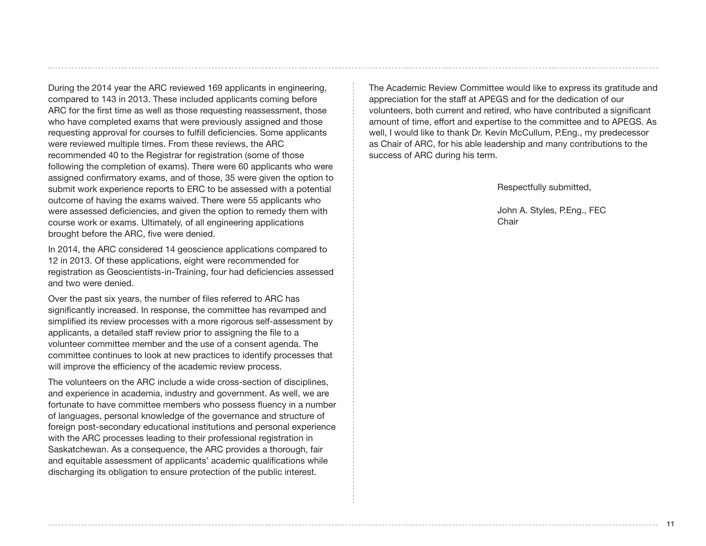During the 2014 year the ARC reviewed 169 applicants in engineering, compared to 143 in 2013. These included applicants coming before ARC for the first time as well as those requesting reassessment, those who have completed exams that were previously assigned and those requesting approval for courses to fulfill deficiencies. Some applicants were reviewed multiple times. From these reviews, the ARC recommended 40 to the Registrar for registration (some of those following the completion of exams). There were 60 applicants who were assigned confirmatory exams, and of those, 35 were given the option to submit work experience reports to ERC to be assessed with a potential outcome of having the exams waived. There were 55 applicants who were assessed deficiencies, and given the option to remedy them with course work or exams. Ultimately, of all engineering applications brought before the ARC, five were denied.

In 2014, the ARC considered 14 geoscience applications compared to 12 in 2013. Of these applications, eight were recommended for registration as Geoscientists-in-Training, four had deficiencies assessed and two were denied.

Over the past six years, the number of files referred to ARC has significantly increased. In response, the committee has revamped and simplified its review processes with a more rigorous self-assessment by applicants, a detailed staff review prior to assigning the file to a volunteer committee member and the use of a consent agenda. The committee continues to look at new practices to identify processes that will improve the efficiency of the academic review process.

The volunteers on the ARC include a wide cross-section of disciplines, and experience in academia, industry and government. As well, we are fortunate to have committee members who possess fluency in a number of languages, personal knowledge of the governance and structure of foreign post-secondary educational institutions and personal experience with the ARC processes leading to their professional registration in Saskatchewan. As a consequence, the ARC provides a thorough, fair and equitable assessment of applicants' academic qualifications while discharging its obligation to ensure protection of the public interest.

The Academic Review Committee would like to express its gratitude and appreciation for the staff at APEGS and for the dedication of our volunteers, both current and retired, who have contributed a significant amount of time, effort and expertise to the committee and to APEGS. As well, I would like to thank Dr. Kevin McCullum, P.Eng., my predecessor as Chair of ARC, for his able leadership and many contributions to the success of ARC during his term.

Respectfully submitted,

John A. Styles, P.Eng., FEC Chair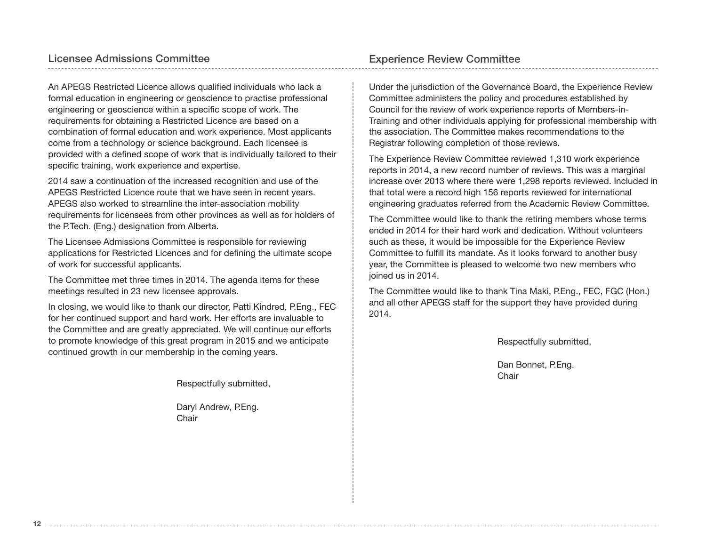An APEGS Restricted Licence allows qualified individuals who lack a formal education in engineering or geoscience to practise professional engineering or geoscience within a specific scope of work. The requirements for obtaining a Restricted Licence are based on a combination of formal education and work experience. Most applicants come from a technology or science background. Each licensee is provided with a defined scope of work that is individually tailored to their specific training, work experience and expertise.

2014 saw a continuation of the increased recognition and use of the APEGS Restricted Licence route that we have seen in recent years. APEGS also worked to streamline the inter-association mobility requirements for licensees from other provinces as well as for holders of the P.Tech. (Eng.) designation from Alberta.

The Licensee Admissions Committee is responsible for reviewing applications for Restricted Licences and for defining the ultimate scope of work for successful applicants.

The Committee met three times in 2014. The agenda items for these meetings resulted in 23 new licensee approvals.

In closing, we would like to thank our director, Patti Kindred, P.Eng., FEC for her continued support and hard work. Her efforts are invaluable to the Committee and are greatly appreciated. We will continue our efforts to promote knowledge of this great program in 2015 and we anticipate continued growth in our membership in the coming years.

Respectfully submitted,

Daryl Andrew, P.Eng. **Chair** 

Under the jurisdiction of the Governance Board, the Experience Review Committee administers the policy and procedures established by Council for the review of work experience reports of Members-in-Training and other individuals applying for professional membership with the association. The Committee makes recommendations to the Registrar following completion of those reviews.

The Experience Review Committee reviewed 1,310 work experience reports in 2014, a new record number of reviews. This was a marginal increase over 2013 where there were 1,298 reports reviewed. Included in that total were a record high 156 reports reviewed for international engineering graduates referred from the Academic Review Committee.

The Committee would like to thank the retiring members whose terms ended in 2014 for their hard work and dedication. Without volunteers such as these, it would be impossible for the Experience Review Committee to fulfill its mandate. As it looks forward to another busy year, the Committee is pleased to welcome two new members who joined us in 2014.

The Committee would like to thank Tina Maki, P.Eng., FEC, FGC (Hon.) and all other APEGS staff for the support they have provided during 2014.

Respectfully submitted,

Dan Bonnet, P.Eng. Chair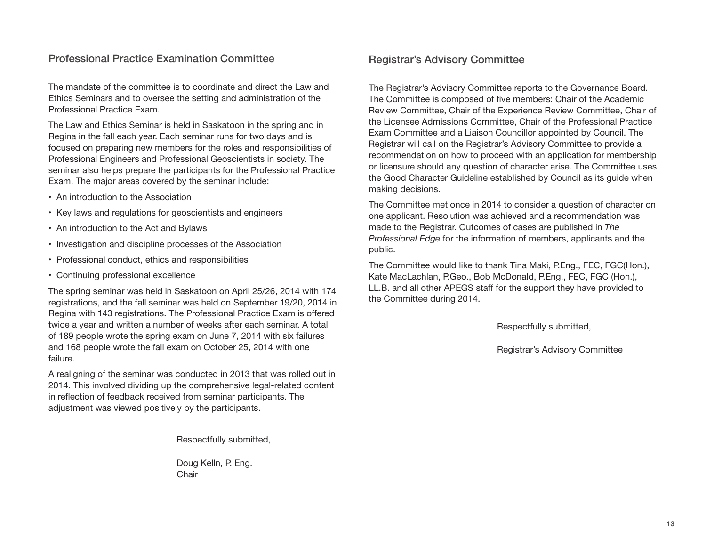The mandate of the committee is to coordinate and direct the Law and Ethics Seminars and to oversee the setting and administration of the Professional Practice Exam.

The Law and Ethics Seminar is held in Saskatoon in the spring and in Regina in the fall each year. Each seminar runs for two days and is focused on preparing new members for the roles and responsibilities of Professional Engineers and Professional Geoscientists in society. The seminar also helps prepare the participants for the Professional Practice Exam. The major areas covered by the seminar include:

- An introduction to the Association
- Key laws and regulations for geoscientists and engineers
- An introduction to the Act and Bylaws
- Investigation and discipline processes of the Association
- Professional conduct, ethics and responsibilities
- Continuing professional excellence

The spring seminar was held in Saskatoon on April 25/26, 2014 with 174 registrations, and the fall seminar was held on September 19/20, 2014 in Regina with 143 registrations. The Professional Practice Exam is offered twice a year and written a number of weeks after each seminar. A total of 189 people wrote the spring exam on June 7, 2014 with six failures and 168 people wrote the fall exam on October 25, 2014 with one failure.

A realigning of the seminar was conducted in 2013 that was rolled out in 2014. This involved dividing up the comprehensive legal-related content in reflection of feedback received from seminar participants. The adjustment was viewed positively by the participants.

Respectfully submitted,

Doug Kelln, P. Eng. **Chair** 

The Registrar's Advisory Committee reports to the Governance Board. The Committee is composed of five members: Chair of the Academic Review Committee, Chair of the Experience Review Committee, Chair of the Licensee Admissions Committee, Chair of the Professional Practice Exam Committee and a Liaison Councillor appointed by Council. The Registrar will call on the Registrar's Advisory Committee to provide a recommendation on how to proceed with an application for membership or licensure should any question of character arise. The Committee uses the Good Character Guideline established by Council as its guide when making decisions.

The Committee met once in 2014 to consider a question of character on one applicant. Resolution was achieved and a recommendation was made to the Registrar. Outcomes of cases are published in *The Professional Edge* for the information of members, applicants and the public.

The Committee would like to thank Tina Maki, P.Eng., FEC, FGC(Hon.), Kate MacLachlan, P.Geo., Bob McDonald, P.Eng., FEC, FGC (Hon.), LL.B. and all other APEGS staff for the support they have provided to the Committee during 2014.

Respectfully submitted,

Registrar's Advisory Committee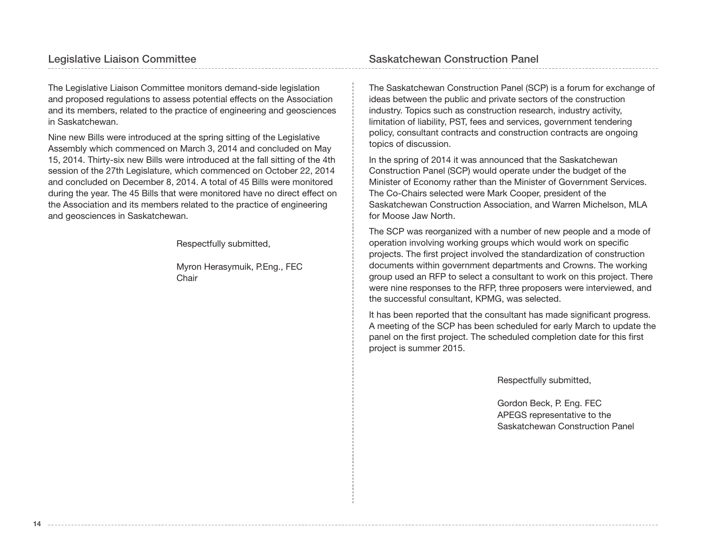## Legislative Liaison Committee **Saskatchewan Construction Panel**

The Legislative Liaison Committee monitors demand-side legislation and proposed regulations to assess potential effects on the Association and its members, related to the practice of engineering and geosciences in Saskatchewan.

Nine new Bills were introduced at the spring sitting of the Legislative Assembly which commenced on March 3, 2014 and concluded on May 15, 2014. Thirty-six new Bills were introduced at the fall sitting of the 4th session of the 27th Legislature, which commenced on October 22, 2014 and concluded on December 8, 2014. A total of 45 Bills were monitored during the year. The 45 Bills that were monitored have no direct effect on the Association and its members related to the practice of engineering and geosciences in Saskatchewan.

Respectfully submitted,

Myron Herasymuik, P.Eng., FEC **Chair** 

The Saskatchewan Construction Panel (SCP) is a forum for exchange of ideas between the public and private sectors of the construction industry. Topics such as construction research, industry activity, limitation of liability, PST, fees and services, government tendering policy, consultant contracts and construction contracts are ongoing topics of discussion.

In the spring of 2014 it was announced that the Saskatchewan Construction Panel (SCP) would operate under the budget of the Minister of Economy rather than the Minister of Government Services. The Co-Chairs selected were Mark Cooper, president of the Saskatchewan Construction Association, and Warren Michelson, MLA for Moose Jaw North.

The SCP was reorganized with a number of new people and a mode of operation involving working groups which would work on specific projects. The first project involved the standardization of construction documents within government departments and Crowns. The working group used an RFP to select a consultant to work on this project. There were nine responses to the RFP, three proposers were interviewed, and the successful consultant, KPMG, was selected.

It has been reported that the consultant has made significant progress. A meeting of the SCP has been scheduled for early March to update the panel on the first project. The scheduled completion date for this first project is summer 2015.

Respectfully submitted,

Gordon Beck, P. Eng. FEC APEGS representative to the Saskatchewan Construction Panel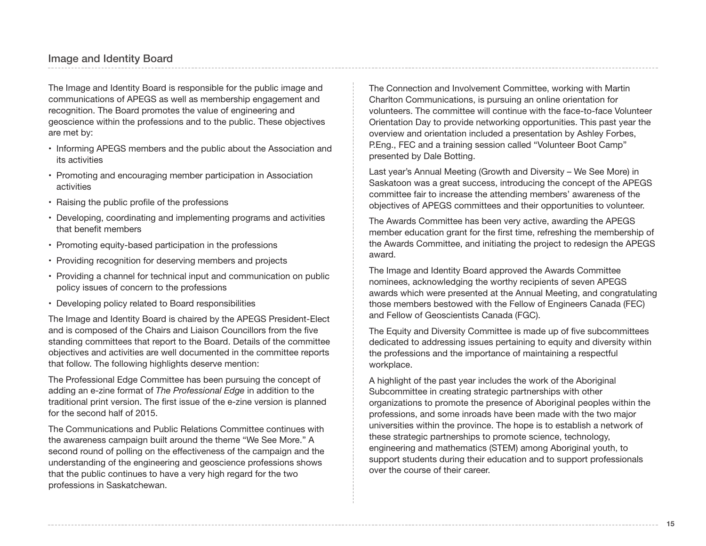## Image and Identity Board

The Image and Identity Board is responsible for the public image and communications of APEGS as well as membership engagement and recognition. The Board promotes the value of engineering and geoscience within the professions and to the public. These objectives are met by:

- Informing APEGS members and the public about the Association and its activities
- Promoting and encouraging member participation in Association activities
- Raising the public profile of the professions
- Developing, coordinating and implementing programs and activities that benefit members
- Promoting equity-based participation in the professions
- Providing recognition for deserving members and projects
- Providing a channel for technical input and communication on public policy issues of concern to the professions
- Developing policy related to Board responsibilities

The Image and Identity Board is chaired by the APEGS President-Elect and is composed of the Chairs and Liaison Councillors from the five standing committees that report to the Board. Details of the committee objectives and activities are well documented in the committee reports that follow. The following highlights deserve mention:

The Professional Edge Committee has been pursuing the concept of adding an e-zine format of *The Professional Edge* in addition to the traditional print version. The first issue of the e-zine version is planned for the second half of 2015.

The Communications and Public Relations Committee continues with the awareness campaign built around the theme "We See More." A second round of polling on the effectiveness of the campaign and the understanding of the engineering and geoscience professions shows that the public continues to have a very high regard for the two professions in Saskatchewan.

The Connection and Involvement Committee, working with Martin Charlton Communications, is pursuing an online orientation for volunteers. The committee will continue with the face-to-face Volunteer Orientation Day to provide networking opportunities. This past year the overview and orientation included a presentation by Ashley Forbes, P.Eng., FEC and a training session called "Volunteer Boot Camp" presented by Dale Botting.

Last year's Annual Meeting (Growth and Diversity – We See More) in Saskatoon was a great success, introducing the concept of the APEGS committee fair to increase the attending members' awareness of the objectives of APEGS committees and their opportunities to volunteer.

The Awards Committee has been very active, awarding the APEGS member education grant for the first time, refreshing the membership of the Awards Committee, and initiating the project to redesign the APEGS award.

The Image and Identity Board approved the Awards Committee nominees, acknowledging the worthy recipients of seven APEGS awards which were presented at the Annual Meeting, and congratulating those members bestowed with the Fellow of Engineers Canada (FEC) and Fellow of Geoscientists Canada (FGC).

The Equity and Diversity Committee is made up of five subcommittees dedicated to addressing issues pertaining to equity and diversity within the professions and the importance of maintaining a respectful workplace.

A highlight of the past year includes the work of the Aboriginal Subcommittee in creating strategic partnerships with other organizations to promote the presence of Aboriginal peoples within the professions, and some inroads have been made with the two major universities within the province. The hope is to establish a network of these strategic partnerships to promote science, technology, engineering and mathematics (STEM) among Aboriginal youth, to support students during their education and to support professionals over the course of their career.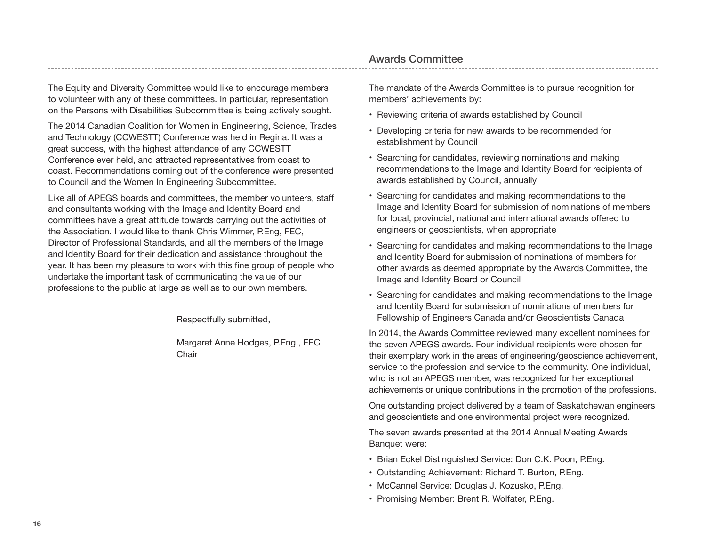The Equity and Diversity Committee would like to encourage members to volunteer with any of these committees. In particular, representation on the Persons with Disabilities Subcommittee is being actively sought.

The 2014 Canadian Coalition for Women in Engineering, Science, Trades and Technology (CCWESTT) Conference was held in Regina. It was a great success, with the highest attendance of any CCWESTT Conference ever held, and attracted representatives from coast to coast. Recommendations coming out of the conference were presented to Council and the Women In Engineering Subcommittee.

Like all of APEGS boards and committees, the member volunteers, staff and consultants working with the Image and Identity Board and committees have a great attitude towards carrying out the activities of the Association. I would like to thank Chris Wimmer, P.Eng, FEC, Director of Professional Standards, and all the members of the Image and Identity Board for their dedication and assistance throughout the year. It has been my pleasure to work with this fine group of people who undertake the important task of communicating the value of our professions to the public at large as well as to our own members.

Respectfully submitted,

Margaret Anne Hodges, P.Eng., FEC **Chair** 

The mandate of the Awards Committee is to pursue recognition for members' achievements by:

- Reviewing criteria of awards established by Council
- Developing criteria for new awards to be recommended for establishment by Council
- Searching for candidates, reviewing nominations and making recommendations to the Image and Identity Board for recipients of awards established by Council, annually
- Searching for candidates and making recommendations to the Image and Identity Board for submission of nominations of members for local, provincial, national and international awards offered to engineers or geoscientists, when appropriate
- Searching for candidates and making recommendations to the Image and Identity Board for submission of nominations of members for other awards as deemed appropriate by the Awards Committee, the Image and Identity Board or Council
- Searching for candidates and making recommendations to the Image and Identity Board for submission of nominations of members for Fellowship of Engineers Canada and/or Geoscientists Canada

In 2014, the Awards Committee reviewed many excellent nominees for the seven APEGS awards. Four individual recipients were chosen for their exemplary work in the areas of engineering/geoscience achievement, service to the profession and service to the community. One individual, who is not an APEGS member, was recognized for her exceptional achievements or unique contributions in the promotion of the professions.

One outstanding project delivered by a team of Saskatchewan engineers and geoscientists and one environmental project were recognized.

The seven awards presented at the 2014 Annual Meeting Awards Banquet were:

- Brian Eckel Distinguished Service: Don C.K. Poon, P.Eng.
- Outstanding Achievement: Richard T. Burton, P.Eng.
- McCannel Service: Douglas J. Kozusko, P.Eng.
- Promising Member: Brent R. Wolfater, P.Eng.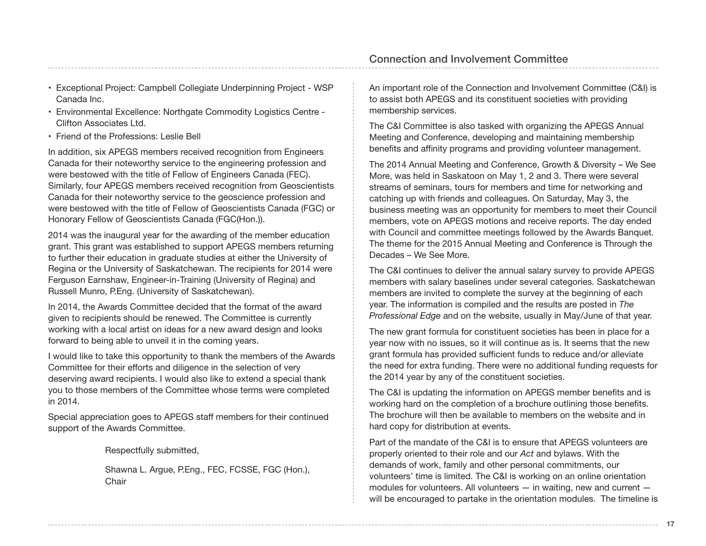- Exceptional Project: Campbell Collegiate Underpinning Project WSP Canada Inc.
- Environmental Excellence: Northgate Commodity Logistics Centre Clifton Associates Ltd.
- Friend of the Professions: Leslie Bell

In addition, six APEGS members received recognition from Engineers Canada for their noteworthy service to the engineering profession and were bestowed with the title of Fellow of Engineers Canada (FEC). Similarly, four APEGS members received recognition from Geoscientists Canada for their noteworthy service to the geoscience profession and were bestowed with the title of Fellow of Geoscientists Canada (FGC) or Honorary Fellow of Geoscientists Canada (FGC(Hon.)).

2014 was the inaugural year for the awarding of the member education grant. This grant was established to support APEGS members returning to further their education in graduate studies at either the University of Regina or the University of Saskatchewan. The recipients for 2014 were Ferguson Earnshaw, Engineer-in-Training (University of Regina) and Russell Munro, P.Eng. (University of Saskatchewan).

In 2014, the Awards Committee decided that the format of the award given to recipients should be renewed. The Committee is currently working with a local artist on ideas for a new award design and looks forward to being able to unveil it in the coming years.

I would like to take this opportunity to thank the members of the Awards Committee for their efforts and diligence in the selection of very deserving award recipients. I would also like to extend a special thank you to those members of the Committee whose terms were completed in 2014.

Special appreciation goes to APEGS staff members for their continued support of the Awards Committee.

Respectfully submitted,

Shawna L. Argue, P.Eng., FEC, FCSSE, FGC (Hon.), **Chair** 

An important role of the Connection and Involvement Committee (C&I) is to assist both APEGS and its constituent societies with providing membership services.

The C&I Committee is also tasked with organizing the APEGS Annual Meeting and Conference, developing and maintaining membership benefits and affinity programs and providing volunteer management.

The 2014 Annual Meeting and Conference, Growth & Diversity – We See More, was held in Saskatoon on May 1, 2 and 3. There were several streams of seminars, tours for members and time for networking and catching up with friends and colleagues. On Saturday, May 3, the business meeting was an opportunity for members to meet their Council members, vote on APEGS motions and receive reports. The day ended with Council and committee meetings followed by the Awards Banquet. The theme for the 2015 Annual Meeting and Conference is Through the Decades – We See More.

The C&I continues to deliver the annual salary survey to provide APEGS members with salary baselines under several categories. Saskatchewan members are invited to complete the survey at the beginning of each year. The information is compiled and the results are posted in *The Professional Edge* and on the website, usually in May/June of that year.

The new grant formula for constituent societies has been in place for a year now with no issues, so it will continue as is. It seems that the new grant formula has provided sufficient funds to reduce and/or alleviate the need for extra funding. There were no additional funding requests for the 2014 year by any of the constituent societies.

The C&I is updating the information on APEGS member benefits and is working hard on the completion of a brochure outlining those benefits. The brochure will then be available to members on the website and in hard copy for distribution at events.

Part of the mandate of the C&I is to ensure that APEGS volunteers are properly oriented to their role and our *Act* and bylaws. With the demands of work, family and other personal commitments, our volunteers' time is limited. The C&I is working on an online orientation modules for volunteers. All volunteers — in waiting, new and current will be encouraged to partake in the orientation modules. The timeline is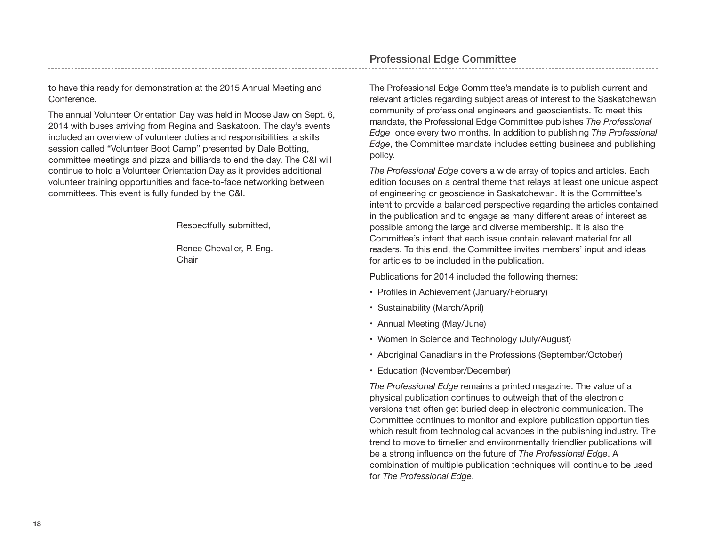to have this ready for demonstration at the 2015 Annual Meeting and Conference.

The annual Volunteer Orientation Day was held in Moose Jaw on Sept. 6, 2014 with buses arriving from Regina and Saskatoon. The day's events included an overview of volunteer duties and responsibilities, a skills session called "Volunteer Boot Camp" presented by Dale Botting, committee meetings and pizza and billiards to end the day. The C&I will continue to hold a Volunteer Orientation Day as it provides additional volunteer training opportunities and face-to-face networking between committees. This event is fully funded by the C&I.

**18**

Respectfully submitted,

Renee Chevalier, P. Eng. Chair

The Professional Edge Committee's mandate is to publish current and relevant articles regarding subject areas of interest to the Saskatchewan community of professional engineers and geoscientists. To meet this mandate, the Professional Edge Committee publishes *The Professional Edge* once every two months. In addition to publishing *The Professional Edge*, the Committee mandate includes setting business and publishing policy.

*The Professional Edge* covers a wide array of topics and articles. Each edition focuses on a central theme that relays at least one unique aspect of engineering or geoscience in Saskatchewan. It is the Committee's intent to provide a balanced perspective regarding the articles contained in the publication and to engage as many different areas of interest as possible among the large and diverse membership. It is also the Committee's intent that each issue contain relevant material for all readers. To this end, the Committee invites members' input and ideas for articles to be included in the publication.

Publications for 2014 included the following themes:

- Profiles in Achievement (January/February)
- Sustainability (March/April)
- Annual Meeting (May/June)
- Women in Science and Technology (July/August)
- Aboriginal Canadians in the Professions (September/October)
- Education (November/December)

*The Professional Edge* remains a printed magazine. The value of a physical publication continues to outweigh that of the electronic versions that often get buried deep in electronic communication. The Committee continues to monitor and explore publication opportunities which result from technological advances in the publishing industry. The trend to move to timelier and environmentally friendlier publications will be a strong influence on the future of *The Professional Edge*. A combination of multiple publication techniques will continue to be used for *The Professional Edge*.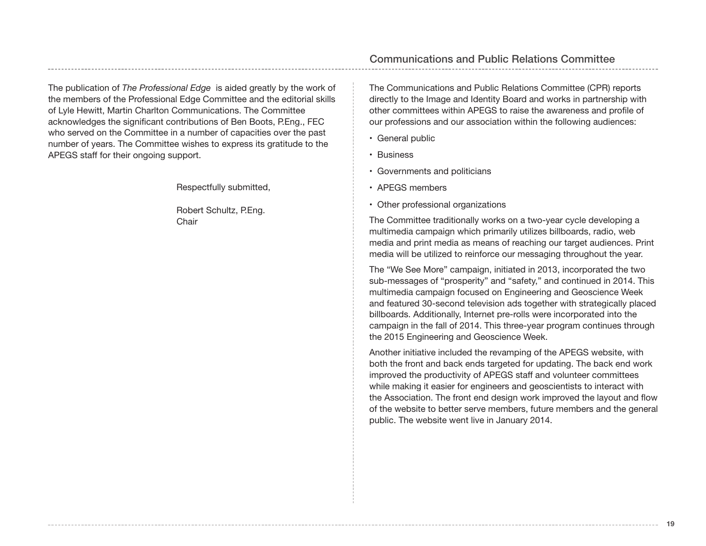The publication of *The Professional Edge* is aided greatly by the work of the members of the Professional Edge Committee and the editorial skills of Lyle Hewitt, Martin Charlton Communications. The Committee acknowledges the significant contributions of Ben Boots, P.Eng., FEC who served on the Committee in a number of capacities over the past number of years. The Committee wishes to express its gratitude to the APEGS staff for their ongoing support.

Respectfully submitted,

Robert Schultz, P.Eng. Chair

The Communications and Public Relations Committee (CPR) reports directly to the Image and Identity Board and works in partnership with other committees within APEGS to raise the awareness and profile of our professions and our association within the following audiences:

- General public
- Business
- Governments and politicians
- APEGS members
- Other professional organizations

The Committee traditionally works on a two-year cycle developing a multimedia campaign which primarily utilizes billboards, radio, web media and print media as means of reaching our target audiences. Print media will be utilized to reinforce our messaging throughout the year.

The "We See More" campaign, initiated in 2013, incorporated the two sub-messages of "prosperity" and "safety," and continued in 2014. This multimedia campaign focused on Engineering and Geoscience Week and featured 30-second television ads together with strategically placed billboards. Additionally, Internet pre-rolls were incorporated into the campaign in the fall of 2014. This three-year program continues through the 2015 Engineering and Geoscience Week.

Another initiative included the revamping of the APEGS website, with both the front and back ends targeted for updating. The back end work improved the productivity of APEGS staff and volunteer committees while making it easier for engineers and geoscientists to interact with the Association. The front end design work improved the layout and flow of the website to better serve members, future members and the general public. The website went live in January 2014.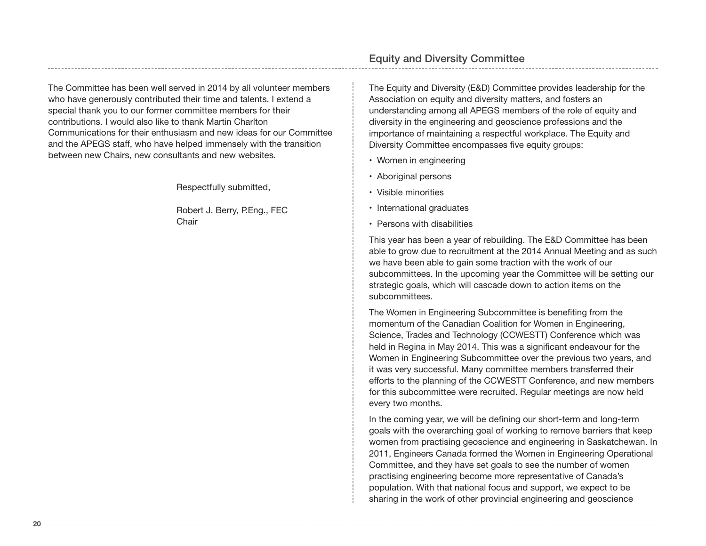The Committee has been well served in 2014 by all volunteer members who have generously contributed their time and talents. I extend a special thank you to our former committee members for their contributions. I would also like to thank Martin Charlton Communications for their enthusiasm and new ideas for our Committee and the APEGS staff, who have helped immensely with the transition between new Chairs, new consultants and new websites.

Respectfully submitted,

Robert J. Berry, P.Eng., FEC Chair

## Equity and Diversity Committee

The Equity and Diversity (E&D) Committee provides leadership for the Association on equity and diversity matters, and fosters an understanding among all APEGS members of the role of equity and diversity in the engineering and geoscience professions and the importance of maintaining a respectful workplace. The Equity and Diversity Committee encompasses five equity groups:

- Women in engineering
- Aboriginal persons
- Visible minorities
- International graduates
- Persons with disabilities

This year has been a year of rebuilding. The E&D Committee has been able to grow due to recruitment at the 2014 Annual Meeting and as such we have been able to gain some traction with the work of our subcommittees. In the upcoming year the Committee will be setting our strategic goals, which will cascade down to action items on the subcommittees.

The Women in Engineering Subcommittee is benefiting from the momentum of the Canadian Coalition for Women in Engineering, Science, Trades and Technology (CCWESTT) Conference which was held in Regina in May 2014. This was a significant endeavour for the Women in Engineering Subcommittee over the previous two years, and it was very successful. Many committee members transferred their efforts to the planning of the CCWESTT Conference, and new members for this subcommittee were recruited. Regular meetings are now held every two months.

In the coming year, we will be defining our short-term and long-term goals with the overarching goal of working to remove barriers that keep women from practising geoscience and engineering in Saskatchewan. In 2011, Engineers Canada formed the Women in Engineering Operational Committee, and they have set goals to see the number of women practising engineering become more representative of Canada's population. With that national focus and support, we expect to be sharing in the work of other provincial engineering and geoscience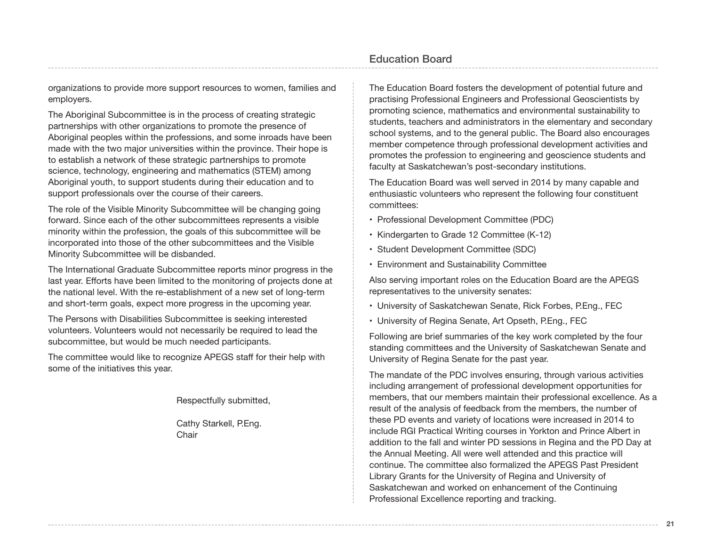organizations to provide more support resources to women, families and employers.

The Aboriginal Subcommittee is in the process of creating strategic partnerships with other organizations to promote the presence of Aboriginal peoples within the professions, and some inroads have been made with the two major universities within the province. Their hope is to establish a network of these strategic partnerships to promote science, technology, engineering and mathematics (STEM) among Aboriginal youth, to support students during their education and to support professionals over the course of their careers.

The role of the Visible Minority Subcommittee will be changing going forward. Since each of the other subcommittees represents a visible minority within the profession, the goals of this subcommittee will be incorporated into those of the other subcommittees and the Visible Minority Subcommittee will be disbanded.

The International Graduate Subcommittee reports minor progress in the last year. Efforts have been limited to the monitoring of projects done at the national level. With the re-establishment of a new set of long-term and short-term goals, expect more progress in the upcoming year.

The Persons with Disabilities Subcommittee is seeking interested volunteers. Volunteers would not necessarily be required to lead the subcommittee, but would be much needed participants.

The committee would like to recognize APEGS staff for their help with some of the initiatives this year.

Respectfully submitted,

Cathy Starkell, P.Eng. Chair

The Education Board fosters the development of potential future and practising Professional Engineers and Professional Geoscientists by promoting science, mathematics and environmental sustainability to students, teachers and administrators in the elementary and secondary school systems, and to the general public. The Board also encourages member competence through professional development activities and promotes the profession to engineering and geoscience students and faculty at Saskatchewan's post-secondary institutions.

The Education Board was well served in 2014 by many capable and enthusiastic volunteers who represent the following four constituent committees:

- Professional Development Committee (PDC)
- Kindergarten to Grade 12 Committee (K-12)
- Student Development Committee (SDC)
- Environment and Sustainability Committee

Also serving important roles on the Education Board are the APEGS representatives to the university senates:

- University of Saskatchewan Senate, Rick Forbes, P.Eng., FEC
- University of Regina Senate, Art Opseth, P.Eng., FEC

Following are brief summaries of the key work completed by the four standing committees and the University of Saskatchewan Senate and University of Regina Senate for the past year.

The mandate of the PDC involves ensuring, through various activities including arrangement of professional development opportunities for members, that our members maintain their professional excellence. As a result of the analysis of feedback from the members, the number of these PD events and variety of locations were increased in 2014 to include RGI Practical Writing courses in Yorkton and Prince Albert in addition to the fall and winter PD sessions in Regina and the PD Day at the Annual Meeting. All were well attended and this practice will continue. The committee also formalized the APEGS Past President Library Grants for the University of Regina and University of Saskatchewan and worked on enhancement of the Continuing Professional Excellence reporting and tracking.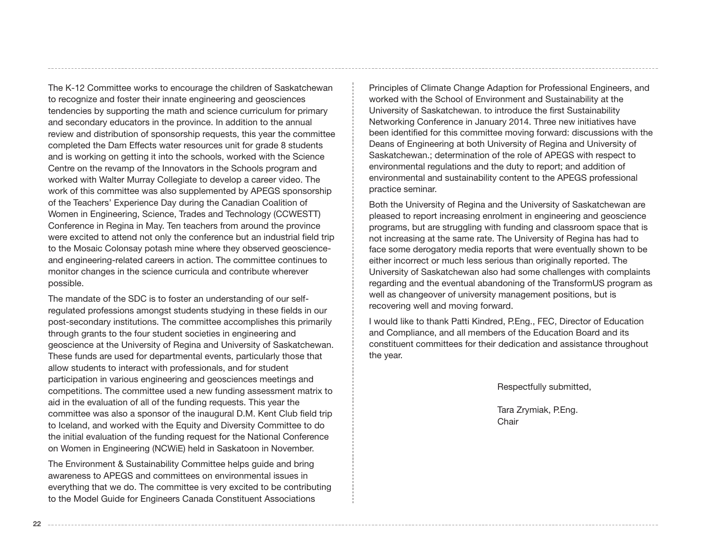The K-12 Committee works to encourage the children of Saskatchewan to recognize and foster their innate engineering and geosciences tendencies by supporting the math and science curriculum for primary and secondary educators in the province. In addition to the annual review and distribution of sponsorship requests, this year the committee completed the Dam Effects water resources unit for grade 8 students and is working on getting it into the schools, worked with the Science Centre on the revamp of the Innovators in the Schools program and worked with Walter Murray Collegiate to develop a career video. The work of this committee was also supplemented by APEGS sponsorship of the Teachers' Experience Day during the Canadian Coalition of Women in Engineering, Science, Trades and Technology (CCWESTT) Conference in Regina in May. Ten teachers from around the province were excited to attend not only the conference but an industrial field trip to the Mosaic Colonsay potash mine where they observed geoscienceand engineering-related careers in action. The committee continues to monitor changes in the science curricula and contribute wherever possible.

The mandate of the SDC is to foster an understanding of our selfregulated professions amongst students studying in these fields in our post-secondary institutions. The committee accomplishes this primarily through grants to the four student societies in engineering and geoscience at the University of Regina and University of Saskatchewan. These funds are used for departmental events, particularly those that allow students to interact with professionals, and for student participation in various engineering and geosciences meetings and competitions. The committee used a new funding assessment matrix to aid in the evaluation of all of the funding requests. This year the committee was also a sponsor of the inaugural D.M. Kent Club field trip to Iceland, and worked with the Equity and Diversity Committee to do the initial evaluation of the funding request for the National Conference on Women in Engineering (NCWiE) held in Saskatoon in November.

The Environment & Sustainability Committee helps guide and bring awareness to APEGS and committees on environmental issues in everything that we do. The committee is very excited to be contributing to the Model Guide for Engineers Canada Constituent Associations

Principles of Climate Change Adaption for Professional Engineers, and worked with the School of Environment and Sustainability at the University of Saskatchewan. to introduce the first Sustainability Networking Conference in January 2014. Three new initiatives have been identified for this committee moving forward: discussions with the Deans of Engineering at both University of Regina and University of Saskatchewan.; determination of the role of APEGS with respect to environmental regulations and the duty to report; and addition of environmental and sustainability content to the APEGS professional practice seminar.

Both the University of Regina and the University of Saskatchewan are pleased to report increasing enrolment in engineering and geoscience programs, but are struggling with funding and classroom space that is not increasing at the same rate. The University of Regina has had to face some derogatory media reports that were eventually shown to be either incorrect or much less serious than originally reported. The University of Saskatchewan also had some challenges with complaints regarding and the eventual abandoning of the TransformUS program as well as changeover of university management positions, but is recovering well and moving forward.

I would like to thank Patti Kindred, P.Eng., FEC, Director of Education and Compliance, and all members of the Education Board and its constituent committees for their dedication and assistance throughout the year.

Respectfully submitted,

Tara Zrymiak, P.Eng. Chair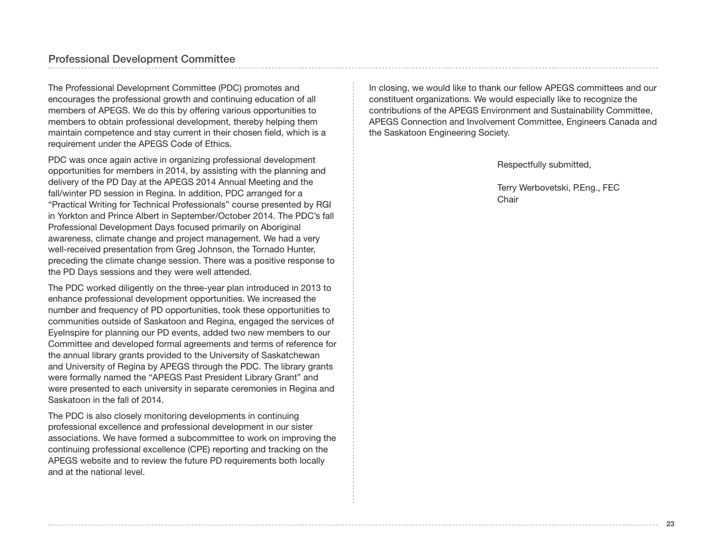## Professional Development Committee

The Professional Development Committee (PDC) promotes and encourages the professional growth and continuing education of all members of APEGS. We do this by offering various opportunities to members to obtain professional development, thereby helping them maintain competence and stay current in their chosen field, which is a requirement under the APEGS Code of Ethics.

PDC was once again active in organizing professional development opportunities for members in 2014, by assisting with the planning and delivery of the PD Day at the APEGS 2014 Annual Meeting and the fall/winter PD session in Regina. In addition, PDC arranged for a "Practical Writing for Technical Professionals" course presented by RGI in Yorkton and Prince Albert in September/October 2014. The PDC's fall Professional Development Days focused primarily on Aboriginal awareness, climate change and project management. We had a very well-received presentation from Greg Johnson, the Tornado Hunter, preceding the climate change session. There was a positive response to the PD Days sessions and they were well attended.

The PDC worked diligently on the three-year plan introduced in 2013 to enhance professional development opportunities. We increased the number and frequency of PD opportunities, took these opportunities to communities outside of Saskatoon and Regina, engaged the services of EyeInspire for planning our PD events, added two new members to our Committee and developed formal agreements and terms of reference for the annual library grants provided to the University of Saskatchewan and University of Regina by APEGS through the PDC. The library grants were formally named the "APEGS Past President Library Grant" and were presented to each university in separate ceremonies in Regina and Saskatoon in the fall of 2014.

The PDC is also closely monitoring developments in continuing professional excellence and professional development in our sister associations. We have formed a subcommittee to work on improving the continuing professional excellence (CPE) reporting and tracking on the APEGS website and to review the future PD requirements both locally and at the national level.

In closing, we would like to thank our fellow APEGS committees and our constituent organizations. We would especially like to recognize the contributions of the APEGS Environment and Sustainability Committee, APEGS Connection and Involvement Committee, Engineers Canada and the Saskatoon Engineering Society.

Respectfully submitted,

Terry Werbovetski, P.Eng., FEC **Chair**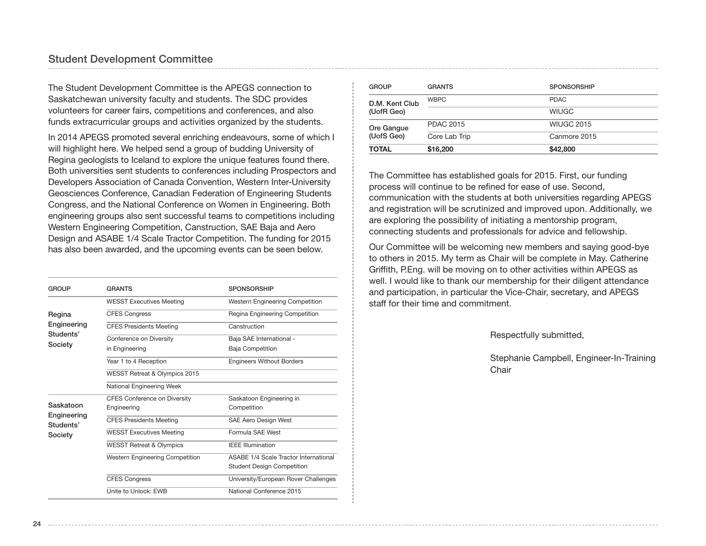The Student Development Committee is the APEGS connection to Saskatchewan university faculty and students. The SDC provides volunteers for career fairs, competitions and conferences, and also funds extracurricular groups and activities organized by the students.

In 2014 APEGS promoted several enriching endeavours, some of which I will highlight here. We helped send a group of budding University of Regina geologists to Iceland to explore the unique features found there. Both universities sent students to conferences including Prospectors and Developers Association of Canada Convention, Western Inter-University Geosciences Conference, Canadian Federation of Engineering Students Congress, and the National Conference on Women in Engineering. Both engineering groups also sent successful teams to competitions including Western Engineering Competition, Canstruction, SAE Baja and Aero Design and ASABE 1/4 Scale Tractor Competition. The funding for 2015 has also been awarded, and the upcoming events can be seen below.

| <b>GROUP</b>             | <b>GRANTS</b>                       | <b>SPONSORSHIP</b>                    |  |
|--------------------------|-------------------------------------|---------------------------------------|--|
|                          | <b>WESST Executives Meeting</b>     | Western Engineering Competition       |  |
| Regina                   | <b>CFES Congress</b>                | Regina Engineering Competition        |  |
| Engineering              | <b>CFES Presidents Meeting</b>      | Canstruction                          |  |
| Students'                | Conference on Diversity             | Baja SAE International -              |  |
| Society                  | in Engineering                      | Baja Competition                      |  |
|                          | Year 1 to 4 Reception               | <b>Engineers Without Borders</b>      |  |
|                          | WESST Retreat & Olympics 2015       |                                       |  |
|                          | National Engineering Week           |                                       |  |
|                          | <b>CFES Conference on Diversity</b> | Saskatoon Engineering in              |  |
| Saskatoon                | Engineering                         | Competition                           |  |
| Engineering<br>Students' | <b>CFES Presidents Meeting</b>      | SAE Aero Design West                  |  |
| Society                  | <b>WESST Executives Meeting</b>     | Formula SAF West                      |  |
|                          | <b>WESST Retreat &amp; Olympics</b> | <b>IFFF Illumination</b>              |  |
|                          | Western Engineering Competition     | ASABE 1/4 Scale Tractor International |  |
|                          |                                     | <b>Student Design Competition</b>     |  |
|                          | <b>CFES Congress</b>                | University/European Rover Challenges  |  |
|                          | Unite to Unlock: FWB                | National Conference 2015              |  |

| (UofS Geo)<br><b>TOTAL</b> | Core Lab Trip<br>\$16,200 | Canmore 2015<br>\$42,800 |
|----------------------------|---------------------------|--------------------------|
| Ore Gangue                 | <b>PDAC 2015</b>          | <b>WIUGC 2015</b>        |
| (UofR Geo)                 |                           | <b>WIUGC</b>             |
| D.M. Kent Club             | <b>WBPC</b>               | <b>PDAC</b>              |
| <b>GROUP</b>               | <b>GRANTS</b>             | <b>SPONSORSHIP</b>       |

The Committee has established goals for 2015. First, our funding process will continue to be refined for ease of use. Second, communication with the students at both universities regarding APEGS and registration will be scrutinized and improved upon. Additionally, we are exploring the possibility of initiating a mentorship program, connecting students and professionals for advice and fellowship.

Our Committee will be welcoming new members and saying good-bye to others in 2015. My term as Chair will be complete in May. Catherine Griffith, P.Eng. will be moving on to other activities within APEGS as well. I would like to thank our membership for their diligent attendance and participation, in particular the Vice-Chair, secretary, and APEGS staff for their time and commitment.

Respectfully submitted,

Stephanie Campbell, Engineer-In-Training Chair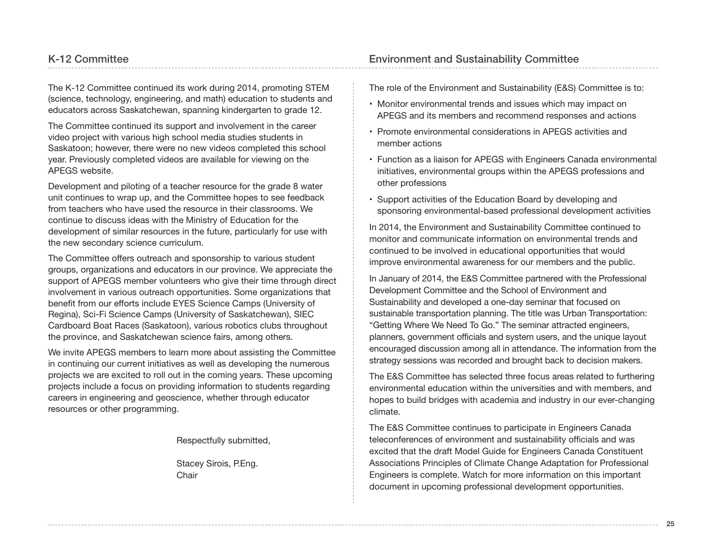The K-12 Committee continued its work during 2014, promoting STEM (science, technology, engineering, and math) education to students and educators across Saskatchewan, spanning kindergarten to grade 12.

The Committee continued its support and involvement in the career video project with various high school media studies students in Saskatoon; however, there were no new videos completed this school year. Previously completed videos are available for viewing on the APEGS website.

Development and piloting of a teacher resource for the grade 8 water unit continues to wrap up, and the Committee hopes to see feedback from teachers who have used the resource in their classrooms. We continue to discuss ideas with the Ministry of Education for the development of similar resources in the future, particularly for use with the new secondary science curriculum.

The Committee offers outreach and sponsorship to various student groups, organizations and educators in our province. We appreciate the support of APEGS member volunteers who give their time through direct involvement in various outreach opportunities. Some organizations that benefit from our efforts include EYES Science Camps (University of Regina), Sci-Fi Science Camps (University of Saskatchewan), SIEC Cardboard Boat Races (Saskatoon), various robotics clubs throughout the province, and Saskatchewan science fairs, among others.

We invite APEGS members to learn more about assisting the Committee in continuing our current initiatives as well as developing the numerous projects we are excited to roll out in the coming years. These upcoming projects include a focus on providing information to students regarding careers in engineering and geoscience, whether through educator resources or other programming.

Respectfully submitted,

Stacey Sirois, P.Eng. Chair

## Environment and Sustainability Committee

The role of the Environment and Sustainability (E&S) Committee is to:

- Monitor environmental trends and issues which may impact on APEGS and its members and recommend responses and actions
- Promote environmental considerations in APEGS activities and member actions
- Function as a liaison for APEGS with Engineers Canada environmental initiatives, environmental groups within the APEGS professions and other professions
- Support activities of the Education Board by developing and sponsoring environmental-based professional development activities

In 2014, the Environment and Sustainability Committee continued to monitor and communicate information on environmental trends and continued to be involved in educational opportunities that would improve environmental awareness for our members and the public.

In January of 2014, the E&S Committee partnered with the Professional Development Committee and the School of Environment and Sustainability and developed a one-day seminar that focused on sustainable transportation planning. The title was Urban Transportation: "Getting Where We Need To Go." The seminar attracted engineers, planners, government officials and system users, and the unique layout encouraged discussion among all in attendance. The information from the strategy sessions was recorded and brought back to decision makers.

The E&S Committee has selected three focus areas related to furthering environmental education within the universities and with members, and hopes to build bridges with academia and industry in our ever-changing climate.

The E&S Committee continues to participate in Engineers Canada teleconferences of environment and sustainability officials and was excited that the draft Model Guide for Engineers Canada Constituent Associations Principles of Climate Change Adaptation for Professional Engineers is complete. Watch for more information on this important document in upcoming professional development opportunities.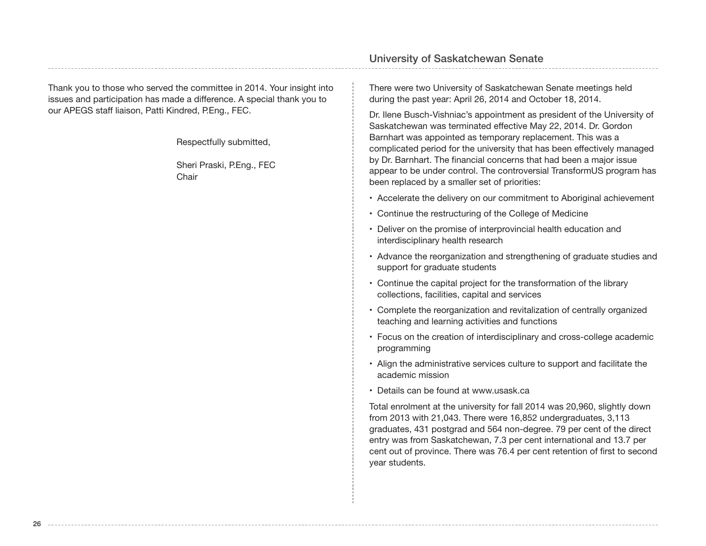## Thank you to those who served the committee in 2014. Your insight into issues and participation has made a difference. A special thank you to our APEGS staff liaison, Patti Kindred, P.Eng., FEC.

**26**

Respectfully submitted,

Sheri Praski, P.Eng., FEC **Chair** 

## University of Saskatchewan Senate

There were two University of Saskatchewan Senate meetings held during the past year: April 26, 2014 and October 18, 2014.

Dr. Ilene Busch-Vishniac's appointment as president of the University of Saskatchewan was terminated effective May 22, 2014. Dr. Gordon Barnhart was appointed as temporary replacement. This was a complicated period for the university that has been effectively managed by Dr. Barnhart. The financial concerns that had been a major issue appear to be under control. The controversial TransformUS program has been replaced by a smaller set of priorities:

- Accelerate the delivery on our commitment to Aboriginal achievement
- Continue the restructuring of the College of Medicine
- Deliver on the promise of interprovincial health education and interdisciplinary health research
- Advance the reorganization and strengthening of graduate studies and support for graduate students
- Continue the capital project for the transformation of the library collections, facilities, capital and services
- Complete the reorganization and revitalization of centrally organized teaching and learning activities and functions
- Focus on the creation of interdisciplinary and cross-college academic programming
- Align the administrative services culture to support and facilitate the academic mission
- Details can be found at www.usask.ca

Total enrolment at the university for fall 2014 was 20,960, slightly down from 2013 with 21,043. There were 16,852 undergraduates, 3,113 graduates, 431 postgrad and 564 non-degree. 79 per cent of the direct entry was from Saskatchewan, 7.3 per cent international and 13.7 per cent out of province. There was 76.4 per cent retention of first to second year students.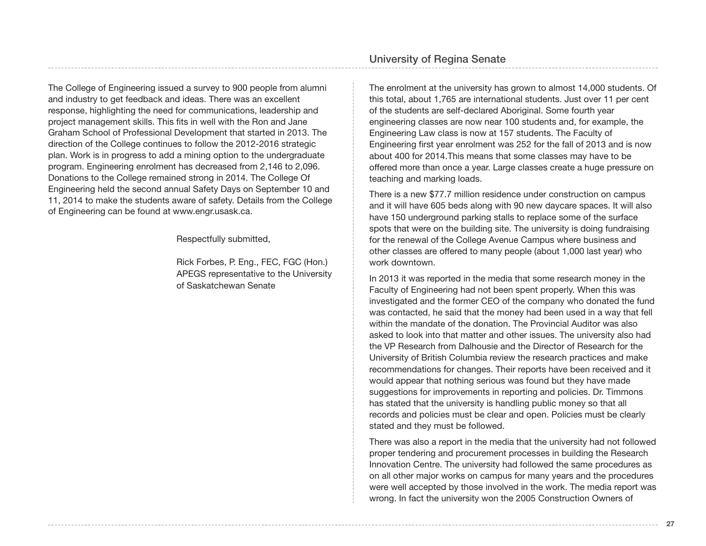The College of Engineering issued a survey to 900 people from alumni and industry to get feedback and ideas. There was an excellent response, highlighting the need for communications, leadership and project management skills. This fits in well with the Ron and Jane Graham School of Professional Development that started in 2013. The direction of the College continues to follow the 2012-2016 strategic plan. Work is in progress to add a mining option to the undergraduate program. Engineering enrolment has decreased from 2,146 to 2,096. Donations to the College remained strong in 2014. The College Of Engineering held the second annual Safety Days on September 10 and 11, 2014 to make the students aware of safety. Details from the College of Engineering can be found at www.engr.usask.ca.

Respectfully submitted,

Rick Forbes, P. Eng., FEC, FGC (Hon.) APEGS representative to the University of Saskatchewan Senate

The enrolment at the university has grown to almost 14,000 students. Of this total, about 1,765 are international students. Just over 11 per cent of the students are self-declared Aboriginal. Some fourth year engineering classes are now near 100 students and, for example, the Engineering Law class is now at 157 students. The Faculty of Engineering first year enrolment was 252 for the fall of 2013 and is now about 400 for 2014.This means that some classes may have to be offered more than once a year. Large classes create a huge pressure on teaching and marking loads.

There is a new \$77.7 million residence under construction on campus and it will have 605 beds along with 90 new daycare spaces. It will also have 150 underground parking stalls to replace some of the surface spots that were on the building site. The university is doing fundraising for the renewal of the College Avenue Campus where business and other classes are offered to many people (about 1,000 last year) who work downtown.

In 2013 it was reported in the media that some research money in the Faculty of Engineering had not been spent properly. When this was investigated and the former CEO of the company who donated the fund was contacted, he said that the money had been used in a way that fell within the mandate of the donation. The Provincial Auditor was also asked to look into that matter and other issues. The university also had the VP Research from Dalhousie and the Director of Research for the University of British Columbia review the research practices and make recommendations for changes. Their reports have been received and it would appear that nothing serious was found but they have made suggestions for improvements in reporting and policies. Dr. Timmons has stated that the university is handling public money so that all records and policies must be clear and open. Policies must be clearly stated and they must be followed.

There was also a report in the media that the university had not followed proper tendering and procurement processes in building the Research Innovation Centre. The university had followed the same procedures as on all other major works on campus for many years and the procedures were well accepted by those involved in the work. The media report was wrong. In fact the university won the 2005 Construction Owners of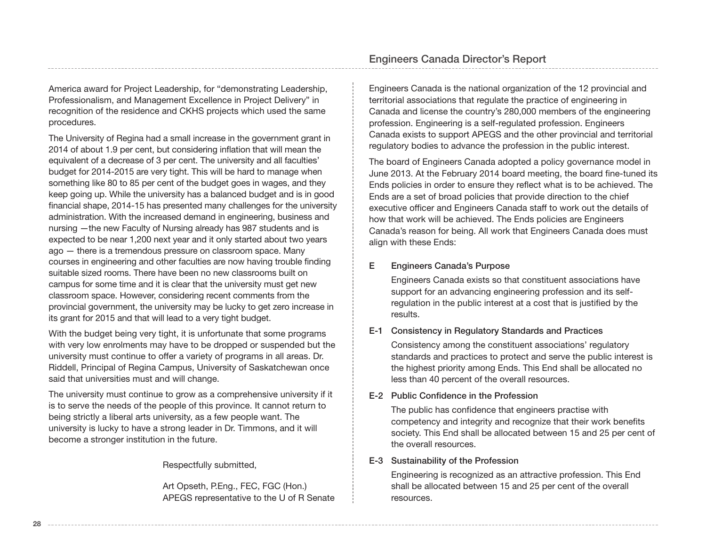America award for Project Leadership, for "demonstrating Leadership, Professionalism, and Management Excellence in Project Delivery" in recognition of the residence and CKHS projects which used the same procedures.

The University of Regina had a small increase in the government grant in 2014 of about 1.9 per cent, but considering inflation that will mean the equivalent of a decrease of 3 per cent. The university and all faculties' budget for 2014-2015 are very tight. This will be hard to manage when something like 80 to 85 per cent of the budget goes in wages, and they keep going up. While the university has a balanced budget and is in good financial shape, 2014-15 has presented many challenges for the university administration. With the increased demand in engineering, business and nursing —the new Faculty of Nursing already has 987 students and is expected to be near 1,200 next year and it only started about two years ago — there is a tremendous pressure on classroom space. Many courses in engineering and other faculties are now having trouble finding suitable sized rooms. There have been no new classrooms built on campus for some time and it is clear that the university must get new classroom space. However, considering recent comments from the provincial government, the university may be lucky to get zero increase in its grant for 2015 and that will lead to a very tight budget.

With the budget being very tight, it is unfortunate that some programs with very low enrolments may have to be dropped or suspended but the university must continue to offer a variety of programs in all areas. Dr. Riddell, Principal of Regina Campus, University of Saskatchewan once said that universities must and will change.

The university must continue to grow as a comprehensive university if it is to serve the needs of the people of this province. It cannot return to being strictly a liberal arts university, as a few people want. The university is lucky to have a strong leader in Dr. Timmons, and it will become a stronger institution in the future.

Respectfully submitted,

Art Opseth, P.Eng., FEC, FGC (Hon.) APEGS representative to the U of R Senate Engineers Canada is the national organization of the 12 provincial and territorial associations that regulate the practice of engineering in Canada and license the country's 280,000 members of the engineering profession. Engineering is a self-regulated profession. Engineers Canada exists to support APEGS and the other provincial and territorial regulatory bodies to advance the profession in the public interest.

The board of Engineers Canada adopted a policy governance model in June 2013. At the February 2014 board meeting, the board fine-tuned its Ends policies in order to ensure they reflect what is to be achieved. The Ends are a set of broad policies that provide direction to the chief executive officer and Engineers Canada staff to work out the details of how that work will be achieved. The Ends policies are Engineers Canada's reason for being. All work that Engineers Canada does must align with these Ends:

#### E Engineers Canada's Purpose

Engineers Canada exists so that constituent associations have support for an advancing engineering profession and its selfregulation in the public interest at a cost that is justified by the results.

#### E-1 Consistency in Regulatory Standards and Practices

Consistency among the constituent associations' regulatory standards and practices to protect and serve the public interest is the highest priority among Ends. This End shall be allocated no less than 40 percent of the overall resources.

#### E-2 Public Confidence in the Profession

The public has confidence that engineers practise with competency and integrity and recognize that their work benefits society. This End shall be allocated between 15 and 25 per cent of the overall resources.

#### E-3 Sustainability of the Profession

Engineering is recognized as an attractive profession. This End shall be allocated between 15 and 25 per cent of the overall resources.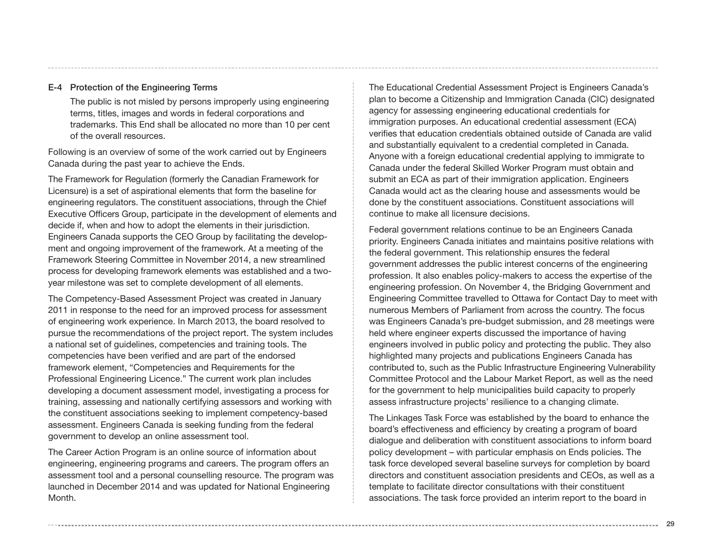#### E-4 Protection of the Engineering Terms

The public is not misled by persons improperly using engineering terms, titles, images and words in federal corporations and trademarks. This End shall be allocated no more than 10 per cent of the overall resources.

Following is an overview of some of the work carried out by Engineers Canada during the past year to achieve the Ends.

The Framework for Regulation (formerly the Canadian Framework for Licensure) is a set of aspirational elements that form the baseline for engineering regulators. The constituent associations, through the Chief Executive Officers Group, participate in the development of elements and decide if, when and how to adopt the elements in their jurisdiction. Engineers Canada supports the CEO Group by facilitating the development and ongoing improvement of the framework. At a meeting of the Framework Steering Committee in November 2014, a new streamlined process for developing framework elements was established and a twoyear milestone was set to complete development of all elements.

The Competency-Based Assessment Project was created in January 2011 in response to the need for an improved process for assessment of engineering work experience. In March 2013, the board resolved to pursue the recommendations of the project report. The system includes a national set of guidelines, competencies and training tools. The competencies have been verified and are part of the endorsed framework element, "Competencies and Requirements for the Professional Engineering Licence." The current work plan includes developing a document assessment model, investigating a process for training, assessing and nationally certifying assessors and working with the constituent associations seeking to implement competency-based assessment. Engineers Canada is seeking funding from the federal government to develop an online assessment tool.

The Career Action Program is an online source of information about engineering, engineering programs and careers. The program offers an assessment tool and a personal counselling resource. The program was launched in December 2014 and was updated for National Engineering Month.

The Educational Credential Assessment Project is Engineers Canada's plan to become a Citizenship and Immigration Canada (CIC) designated agency for assessing engineering educational credentials for immigration purposes. An educational credential assessment (ECA) verifies that education credentials obtained outside of Canada are valid and substantially equivalent to a credential completed in Canada. Anyone with a foreign educational credential applying to immigrate to Canada under the federal Skilled Worker Program must obtain and submit an ECA as part of their immigration application. Engineers Canada would act as the clearing house and assessments would be done by the constituent associations. Constituent associations will continue to make all licensure decisions.

Federal government relations continue to be an Engineers Canada priority. Engineers Canada initiates and maintains positive relations with the federal government. This relationship ensures the federal government addresses the public interest concerns of the engineering profession. It also enables policy-makers to access the expertise of the engineering profession. On November 4, the Bridging Government and Engineering Committee travelled to Ottawa for Contact Day to meet with numerous Members of Parliament from across the country. The focus was Engineers Canada's pre-budget submission, and 28 meetings were held where engineer experts discussed the importance of having engineers involved in public policy and protecting the public. They also highlighted many projects and publications Engineers Canada has contributed to, such as the Public Infrastructure Engineering Vulnerability Committee Protocol and the Labour Market Report, as well as the need for the government to help municipalities build capacity to properly assess infrastructure projects' resilience to a changing climate.

The Linkages Task Force was established by the board to enhance the board's effectiveness and efficiency by creating a program of board dialogue and deliberation with constituent associations to inform board policy development – with particular emphasis on Ends policies. The task force developed several baseline surveys for completion by board directors and constituent association presidents and CEOs, as well as a template to facilitate director consultations with their constituent associations. The task force provided an interim report to the board in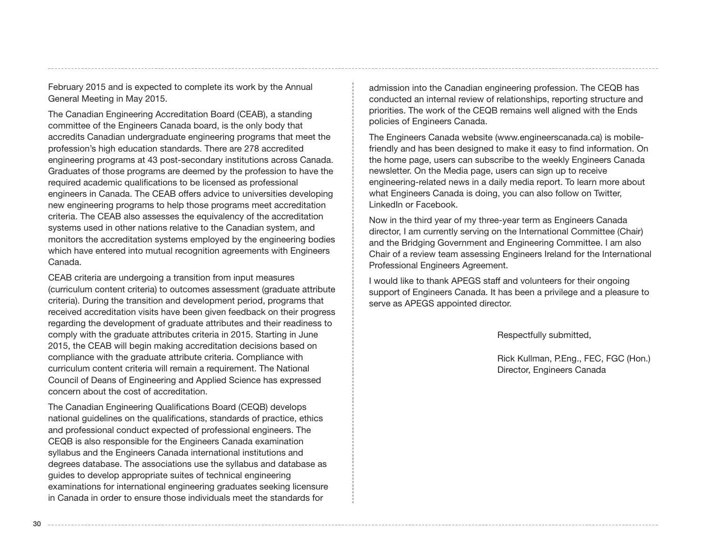February 2015 and is expected to complete its work by the Annual General Meeting in May 2015.

The Canadian Engineering Accreditation Board (CEAB), a standing committee of the Engineers Canada board, is the only body that accredits Canadian undergraduate engineering programs that meet the profession's high education standards. There are 278 accredited engineering programs at 43 post-secondary institutions across Canada. Graduates of those programs are deemed by the profession to have the required academic qualifications to be licensed as professional engineers in Canada. The CEAB offers advice to universities developing new engineering programs to help those programs meet accreditation criteria. The CEAB also assesses the equivalency of the accreditation systems used in other nations relative to the Canadian system, and monitors the accreditation systems employed by the engineering bodies which have entered into mutual recognition agreements with Engineers Canada.

CEAB criteria are undergoing a transition from input measures (curriculum content criteria) to outcomes assessment (graduate attribute criteria). During the transition and development period, programs that received accreditation visits have been given feedback on their progress regarding the development of graduate attributes and their readiness to comply with the graduate attributes criteria in 2015. Starting in June 2015, the CEAB will begin making accreditation decisions based on compliance with the graduate attribute criteria. Compliance with curriculum content criteria will remain a requirement. The National Council of Deans of Engineering and Applied Science has expressed concern about the cost of accreditation.

The Canadian Engineering Qualifications Board (CEQB) develops national guidelines on the qualifications, standards of practice, ethics and professional conduct expected of professional engineers. The CEQB is also responsible for the Engineers Canada examination syllabus and the Engineers Canada international institutions and degrees database. The associations use the syllabus and database as guides to develop appropriate suites of technical engineering examinations for international engineering graduates seeking licensure in Canada in order to ensure those individuals meet the standards for

admission into the Canadian engineering profession. The CEQB has conducted an internal review of relationships, reporting structure and priorities. The work of the CEQB remains well aligned with the Ends policies of Engineers Canada.

The Engineers Canada website (www.engineerscanada.ca) is mobilefriendly and has been designed to make it easy to find information. On the home page, users can subscribe to the weekly Engineers Canada newsletter. On the Media page, users can sign up to receive engineering-related news in a daily media report. To learn more about what Engineers Canada is doing, you can also follow on Twitter, LinkedIn or Facebook.

Now in the third year of my three-year term as Engineers Canada director, I am currently serving on the International Committee (Chair) and the Bridging Government and Engineering Committee. I am also Chair of a review team assessing Engineers Ireland for the International Professional Engineers Agreement.

I would like to thank APEGS staff and volunteers for their ongoing support of Engineers Canada. It has been a privilege and a pleasure to serve as APEGS appointed director.

Respectfully submitted,

Rick Kullman, P.Eng., FEC, FGC (Hon.) Director, Engineers Canada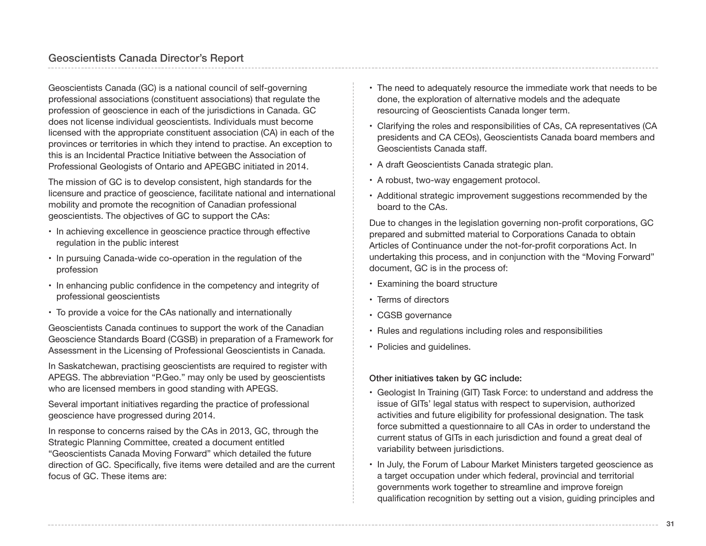Geoscientists Canada (GC) is a national council of self-governing professional associations (constituent associations) that regulate the profession of geoscience in each of the jurisdictions in Canada. GC does not license individual geoscientists. Individuals must become licensed with the appropriate constituent association (CA) in each of the provinces or territories in which they intend to practise. An exception to this is an Incidental Practice Initiative between the Association of Professional Geologists of Ontario and APEGBC initiated in 2014.

The mission of GC is to develop consistent, high standards for the licensure and practice of geoscience, facilitate national and international mobility and promote the recognition of Canadian professional geoscientists. The objectives of GC to support the CAs:

- In achieving excellence in geoscience practice through effective regulation in the public interest
- In pursuing Canada-wide co-operation in the regulation of the profession
- In enhancing public confidence in the competency and integrity of professional geoscientists
- To provide a voice for the CAs nationally and internationally

Geoscientists Canada continues to support the work of the Canadian Geoscience Standards Board (CGSB) in preparation of a Framework for Assessment in the Licensing of Professional Geoscientists in Canada.

In Saskatchewan, practising geoscientists are required to register with APEGS. The abbreviation "P.Geo." may only be used by geoscientists who are licensed members in good standing with APEGS.

Several important initiatives regarding the practice of professional geoscience have progressed during 2014.

In response to concerns raised by the CAs in 2013, GC, through the Strategic Planning Committee, created a document entitled "Geoscientists Canada Moving Forward" which detailed the future direction of GC. Specifically, five items were detailed and are the current focus of GC. These items are:

- The need to adequately resource the immediate work that needs to be done, the exploration of alternative models and the adequate resourcing of Geoscientists Canada longer term.
- Clarifying the roles and responsibilities of CAs, CA representatives (CA presidents and CA CEOs), Geoscientists Canada board members and Geoscientists Canada staff.
- A draft Geoscientists Canada strategic plan.
- A robust, two-way engagement protocol.
- Additional strategic improvement suggestions recommended by the board to the CAs.

Due to changes in the legislation governing non-profit corporations, GC prepared and submitted material to Corporations Canada to obtain Articles of Continuance under the not-for-profit corporations Act. In undertaking this process, and in conjunction with the "Moving Forward" document, GC is in the process of:

- Examining the board structure
- Terms of directors
- CGSB governance
- Rules and regulations including roles and responsibilities
- Policies and guidelines.

#### Other initiatives taken by GC include:

- Geologist In Training (GIT) Task Force: to understand and address the issue of GITs' legal status with respect to supervision, authorized activities and future eligibility for professional designation. The task force submitted a questionnaire to all CAs in order to understand the current status of GITs in each jurisdiction and found a great deal of variability between jurisdictions.
- In July, the Forum of Labour Market Ministers targeted geoscience as a target occupation under which federal, provincial and territorial governments work together to streamline and improve foreign qualification recognition by setting out a vision, guiding principles and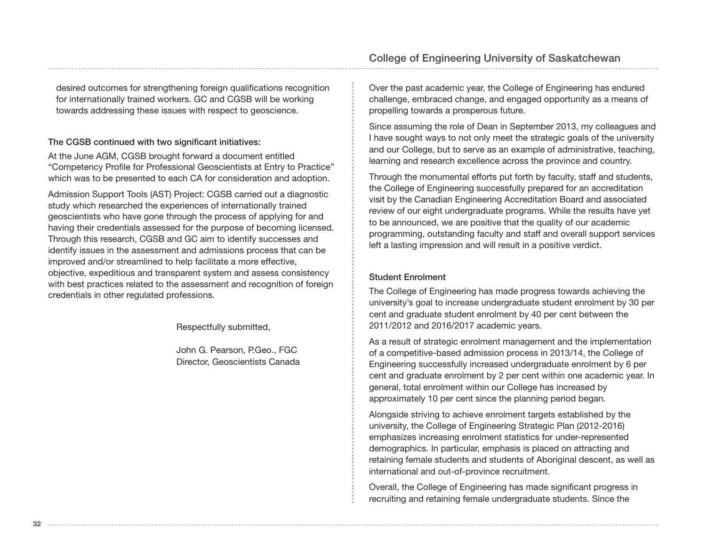desired outcomes for strengthening foreign qualifications recognition for internationally trained workers. GC and CGSB will be working towards addressing these issues with respect to geoscience.

#### The CGSB continued with two significant initiatives:

At the June AGM, CGSB brought forward a document entitled "Competency Profile for Professional Geoscientists at Entry to Practice" which was to be presented to each CA for consideration and adoption.

Admission Support Tools (AST) Project: CGSB carried out a diagnostic study which researched the experiences of internationally trained geoscientists who have gone through the process of applying for and having their credentials assessed for the purpose of becoming licensed. Through this research, CGSB and GC aim to identify successes and identify issues in the assessment and admissions process that can be improved and/or streamlined to help facilitate a more effective, objective, expeditious and transparent system and assess consistency with best practices related to the assessment and recognition of foreign credentials in other regulated professions.

Respectfully submitted,

John G. Pearson, P.Geo., FGC Director, Geoscientists Canada

Over the past academic year, the College of Engineering has endured challenge, embraced change, and engaged opportunity as a means of propelling towards a prosperous future.

Since assuming the role of Dean in September 2013, my colleagues and I have sought ways to not only meet the strategic goals of the university and our College, but to serve as an example of administrative, teaching, learning and research excellence across the province and country.

Through the monumental efforts put forth by faculty, staff and students, the College of Engineering successfully prepared for an accreditation visit by the Canadian Engineering Accreditation Board and associated review of our eight undergraduate programs. While the results have yet to be announced, we are positive that the quality of our academic programming, outstanding faculty and staff and overall support services left a lasting impression and will result in a positive verdict.

#### Student Enrolment

The College of Engineering has made progress towards achieving the university's goal to increase undergraduate student enrolment by 30 per cent and graduate student enrolment by 40 per cent between the 2011/2012 and 2016/2017 academic years.

As a result of strategic enrolment management and the implementation of a competitive-based admission process in 2013/14, the College of Engineering successfully increased undergraduate enrolment by 6 per cent and graduate enrolment by 2 per cent within one academic year. In general, total enrolment within our College has increased by approximately 10 per cent since the planning period began.

Alongside striving to achieve enrolment targets established by the university, the College of Engineering Strategic Plan (2012-2016) emphasizes increasing enrolment statistics for under-represented demographics. In particular, emphasis is placed on attracting and retaining female students and students of Aboriginal descent, as well as international and out-of-province recruitment.

Overall, the College of Engineering has made significant progress in recruiting and retaining female undergraduate students. Since the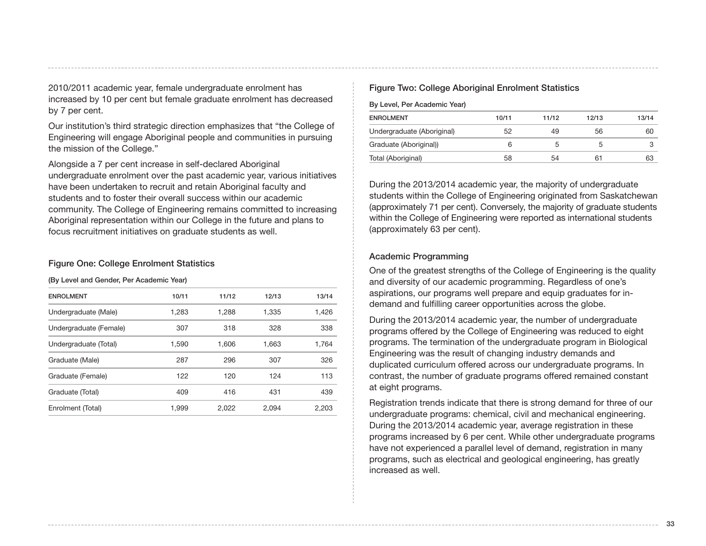2010/2011 academic year, female undergraduate enrolment has increased by 10 per cent but female graduate enrolment has decreased by 7 per cent.

Our institution's third strategic direction emphasizes that "the College of Engineering will engage Aboriginal people and communities in pursuing the mission of the College."

Alongside a 7 per cent increase in self-declared Aboriginal undergraduate enrolment over the past academic year, various initiatives have been undertaken to recruit and retain Aboriginal faculty and students and to foster their overall success within our academic community. The College of Engineering remains committed to increasing Aboriginal representation within our College in the future and plans to focus recruitment initiatives on graduate students as well.

#### Figure One: College Enrolment Statistics

(By Level and Gender, Per Academic Year)

| <b>ENROLMENT</b>       | 10/11 | 11/12 | 12/13 | 13/14 |
|------------------------|-------|-------|-------|-------|
| Undergraduate (Male)   | 1,283 | 1,288 | 1,335 | 1,426 |
| Undergraduate (Female) | 307   | 318   | 328   | 338   |
| Undergraduate (Total)  | 1.590 | 1.606 | 1,663 | 1.764 |
| Graduate (Male)        | 287   | 296   | 307   | 326   |
| Graduate (Female)      | 122   | 120   | 124   | 113   |
| Graduate (Total)       | 409   | 416   | 431   | 439   |
| Enrolment (Total)      | 1.999 | 2.022 | 2.094 | 2.203 |

#### Figure Two: College Aboriginal Enrolment Statistics

By Level, Per Academic Year)

| <b>ENROLMENT</b>           | 10/11 | 11/12 | 12/13 | 13/14 |
|----------------------------|-------|-------|-------|-------|
| Undergraduate (Aboriginal) | 52    | 49    | 56    | 60    |
| Graduate (Aboriginal))     |       |       | G     |       |
| Total (Aboriginal)         | 58    | 54    | 67    | 63    |

During the 2013/2014 academic year, the majority of undergraduate students within the College of Engineering originated from Saskatchewan (approximately 71 per cent). Conversely, the majority of graduate students within the College of Engineering were reported as international students (approximately 63 per cent).

#### Academic Programming

One of the greatest strengths of the College of Engineering is the quality and diversity of our academic programming. Regardless of one's aspirations, our programs well prepare and equip graduates for indemand and fulfilling career opportunities across the globe.

During the 2013/2014 academic year, the number of undergraduate programs offered by the College of Engineering was reduced to eight programs. The termination of the undergraduate program in Biological Engineering was the result of changing industry demands and duplicated curriculum offered across our undergraduate programs. In contrast, the number of graduate programs offered remained constant at eight programs.

Registration trends indicate that there is strong demand for three of our undergraduate programs: chemical, civil and mechanical engineering. During the 2013/2014 academic year, average registration in these programs increased by 6 per cent. While other undergraduate programs have not experienced a parallel level of demand, registration in many programs, such as electrical and geological engineering, has greatly increased as well.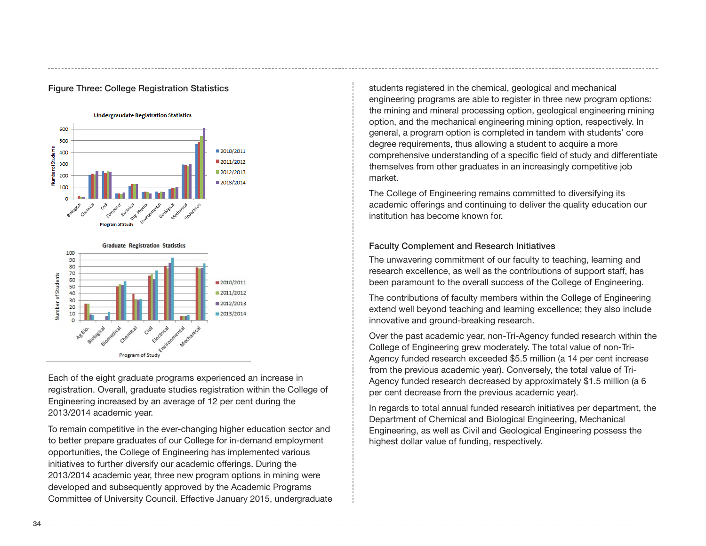

#### Figure Three: College Registration Statistics



Each of the eight graduate programs experienced an increase in registration. Overall, graduate studies registration within the College of Engineering increased by an average of 12 per cent during the 2013/2014 academic year.

To remain competitive in the ever-changing higher education sector and to better prepare graduates of our College for in-demand employment opportunities, the College of Engineering has implemented various initiatives to further diversify our academic offerings. During the 2013/2014 academic year, three new program options in mining were developed and subsequently approved by the Academic Programs Committee of University Council. Effective January 2015, undergraduate

students registered in the chemical, geological and mechanical engineering programs are able to register in three new program options: the mining and mineral processing option, geological engineering mining option, and the mechanical engineering mining option, respectively. In general, a program option is completed in tandem with students' core degree requirements, thus allowing a student to acquire a more comprehensive understanding of a specific field of study and differentiate themselves from other graduates in an increasingly competitive job market.

The College of Engineering remains committed to diversifying its academic offerings and continuing to deliver the quality education our institution has become known for.

#### Faculty Complement and Research Initiatives

The unwavering commitment of our faculty to teaching, learning and research excellence, as well as the contributions of support staff, has been paramount to the overall success of the College of Engineering.

The contributions of faculty members within the College of Engineering extend well beyond teaching and learning excellence; they also include innovative and ground-breaking research.

Over the past academic year, non-Tri-Agency funded research within the College of Engineering grew moderately. The total value of non-Tri-Agency funded research exceeded \$5.5 million (a 14 per cent increase from the previous academic year). Conversely, the total value of Tri-Agency funded research decreased by approximately \$1.5 million (a 6 per cent decrease from the previous academic year).

In regards to total annual funded research initiatives per department, the Department of Chemical and Biological Engineering, Mechanical Engineering, as well as Civil and Geological Engineering possess the highest dollar value of funding, respectively.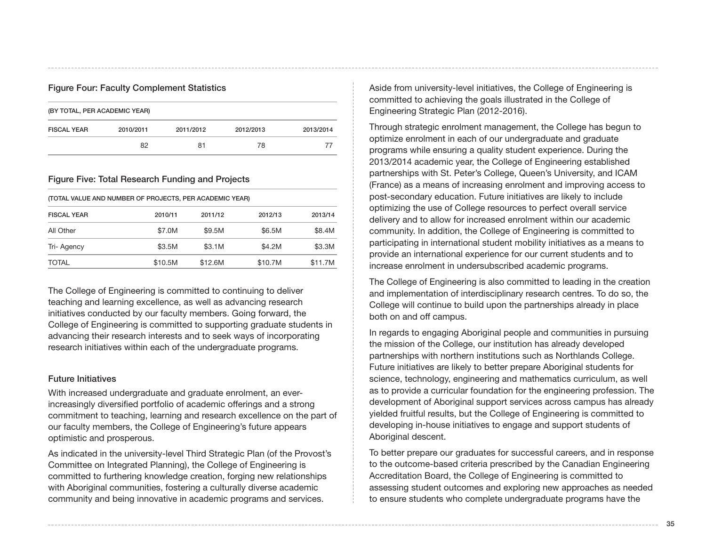#### Figure Four: Faculty Complement Statistics

| (BY TOTAL, PER ACADEMIC YEAR) |           |           |           |           |  |
|-------------------------------|-----------|-----------|-----------|-----------|--|
| <b>FISCAL YEAR</b>            | 2010/2011 | 2011/2012 | 2012/2013 | 2013/2014 |  |
|                               | 82        | 81        | 78        | $\prime$  |  |

#### Figure Five: Total Research Funding and Projects

(TOTAL VALUE AND NUMBER OF PROJECTS, PER ACADEMIC YEAR)

| 2010/11 | 2011/12 | 2012/13 | 2013/14 |
|---------|---------|---------|---------|
| \$7.0M  | \$9.5M  | \$6.5M  | \$8.4M  |
| \$3.5M  | \$3.1M  | \$4.2M  | \$3.3M  |
| \$10.5M | \$12.6M | \$10.7M | \$11.7M |
|         |         |         |         |

The College of Engineering is committed to continuing to deliver teaching and learning excellence, as well as advancing research initiatives conducted by our faculty members. Going forward, the College of Engineering is committed to supporting graduate students in advancing their research interests and to seek ways of incorporating research initiatives within each of the undergraduate programs.

#### Future Initiatives

With increased undergraduate and graduate enrolment, an everincreasingly diversified portfolio of academic offerings and a strong commitment to teaching, learning and research excellence on the part of our faculty members, the College of Engineering's future appears optimistic and prosperous.

As indicated in the university-level Third Strategic Plan (of the Provost's Committee on Integrated Planning), the College of Engineering is committed to furthering knowledge creation, forging new relationships with Aboriginal communities, fostering a culturally diverse academic community and being innovative in academic programs and services.

Aside from university-level initiatives, the College of Engineering is committed to achieving the goals illustrated in the College of Engineering Strategic Plan (2012-2016).

Through strategic enrolment management, the College has begun to optimize enrolment in each of our undergraduate and graduate programs while ensuring a quality student experience. During the 2013/2014 academic year, the College of Engineering established partnerships with St. Peter's College, Queen's University, and ICAM (France) as a means of increasing enrolment and improving access to post-secondary education. Future initiatives are likely to include optimizing the use of College resources to perfect overall service delivery and to allow for increased enrolment within our academic community. In addition, the College of Engineering is committed to participating in international student mobility initiatives as a means to provide an international experience for our current students and to increase enrolment in undersubscribed academic programs.

The College of Engineering is also committed to leading in the creation and implementation of interdisciplinary research centres. To do so, the College will continue to build upon the partnerships already in place both on and off campus.

In regards to engaging Aboriginal people and communities in pursuing the mission of the College, our institution has already developed partnerships with northern institutions such as Northlands College. Future initiatives are likely to better prepare Aboriginal students for science, technology, engineering and mathematics curriculum, as well as to provide a curricular foundation for the engineering profession. The development of Aboriginal support services across campus has already yielded fruitful results, but the College of Engineering is committed to developing in-house initiatives to engage and support students of Aboriginal descent.

To better prepare our graduates for successful careers, and in response to the outcome-based criteria prescribed by the Canadian Engineering Accreditation Board, the College of Engineering is committed to assessing student outcomes and exploring new approaches as needed to ensure students who complete undergraduate programs have the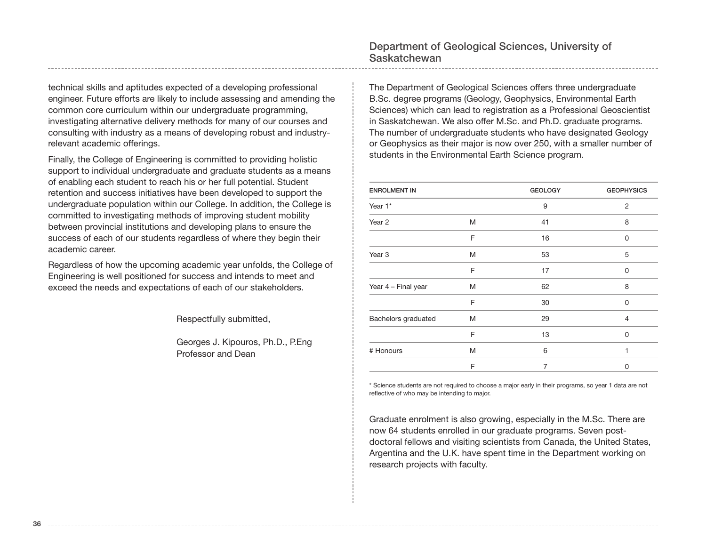technical skills and aptitudes expected of a developing professional engineer. Future efforts are likely to include assessing and amending the common core curriculum within our undergraduate programming, investigating alternative delivery methods for many of our courses and consulting with industry as a means of developing robust and industryrelevant academic offerings.

Finally, the College of Engineering is committed to providing holistic support to individual undergraduate and graduate students as a means of enabling each student to reach his or her full potential. Student retention and success initiatives have been developed to support the undergraduate population within our College. In addition, the College is committed to investigating methods of improving student mobility between provincial institutions and developing plans to ensure the success of each of our students regardless of where they begin their academic career.

Regardless of how the upcoming academic year unfolds, the College of Engineering is well positioned for success and intends to meet and exceed the needs and expectations of each of our stakeholders.

Respectfully submitted,

Georges J. Kipouros, Ph.D., P.Eng Professor and Dean

The Department of Geological Sciences offers three undergraduate B.Sc. degree programs (Geology, Geophysics, Environmental Earth Sciences) which can lead to registration as a Professional Geoscientist in Saskatchewan. We also offer M.Sc. and Ph.D. graduate programs. The number of undergraduate students who have designated Geology or Geophysics as their major is now over 250, with a smaller number of students in the Environmental Earth Science program.

| <b>ENROLMENT IN</b> |   | <b>GEOLOGY</b> | <b>GEOPHYSICS</b> |
|---------------------|---|----------------|-------------------|
| Year 1*             |   | 9              | $\overline{2}$    |
| Year 2              | M | 41             | 8                 |
|                     | F | 16             | 0                 |
| Year <sub>3</sub>   | M | 53             | 5                 |
|                     | F | 17             | 0                 |
| Year 4 - Final year | M | 62             | 8                 |
|                     | F | 30             | 0                 |
| Bachelors graduated | M | 29             | 4                 |
|                     | F | 13             | 0                 |
| # Honours           | M | 6              | 1                 |
|                     | F | 7              | 0                 |

\* Science students are not required to choose a major early in their programs, so year 1 data are not reflective of who may be intending to major.

Graduate enrolment is also growing, especially in the M.Sc. There are now 64 students enrolled in our graduate programs. Seven postdoctoral fellows and visiting scientists from Canada, the United States, Argentina and the U.K. have spent time in the Department working on research projects with faculty.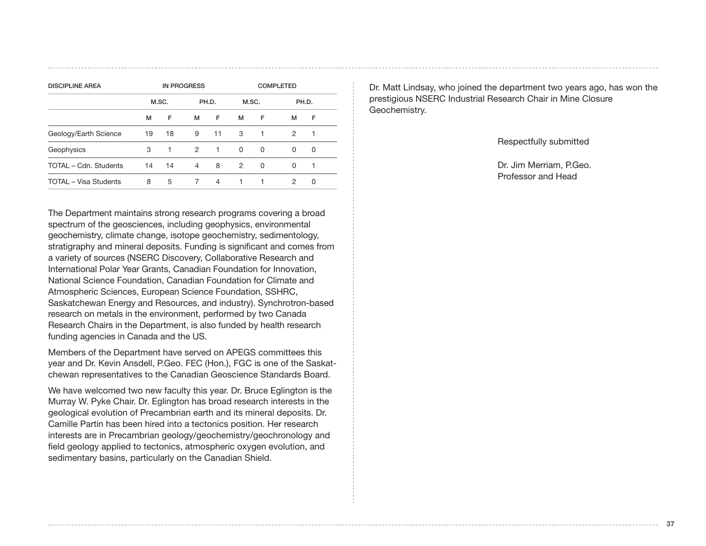| <b>IN PROGRESS</b> |    |               |              | <b>COMPLETED</b> |          |          |          |       |
|--------------------|----|---------------|--------------|------------------|----------|----------|----------|-------|
|                    |    |               |              |                  |          |          |          |       |
| м                  | F  | м             | F            | м                | F        | м        | F        |       |
| 19                 | 18 | 9             | 11           | 3                | 1        | 2        | 1        |       |
| 3                  | 1  | $\mathcal{P}$ | $\mathbf{1}$ | $\Omega$         | $\Omega$ | $\Omega$ | 0        |       |
| 14                 | 14 | 4             | 8            | 2                | $\Omega$ | $\Omega$ | 1        |       |
| 8                  | 5  | 7             | 4            | $\mathbf{1}$     | 1        | 2        | $\Omega$ |       |
|                    |    | M.SC.         |              | PH.D.            |          | M.SC.    |          | PH.D. |

The Department maintains strong research programs covering a broad spectrum of the geosciences, including geophysics, environmental geochemistry, climate change, isotope geochemistry, sedimentology, stratigraphy and mineral deposits. Funding is significant and comes from a variety of sources (NSERC Discovery, Collaborative Research and International Polar Year Grants, Canadian Foundation for Innovation, National Science Foundation, Canadian Foundation for Climate and Atmospheric Sciences, European Science Foundation, SSHRC, Saskatchewan Energy and Resources, and industry). Synchrotron-based research on metals in the environment, performed by two Canada Research Chairs in the Department, is also funded by health research funding agencies in Canada and the US.

Members of the Department have served on APEGS committees this year and Dr. Kevin Ansdell, P.Geo. FEC (Hon.), FGC is one of the Saskatchewan representatives to the Canadian Geoscience Standards Board.

We have welcomed two new faculty this year. Dr. Bruce Eglington is the Murray W. Pyke Chair. Dr. Eglington has broad research interests in the geological evolution of Precambrian earth and its mineral deposits. Dr. Camille Partin has been hired into a tectonics position. Her research interests are in Precambrian geology/geochemistry/geochronology and field geology applied to tectonics, atmospheric oxygen evolution, and sedimentary basins, particularly on the Canadian Shield.

Dr. Matt Lindsay, who joined the department two years ago, has won the prestigious NSERC Industrial Research Chair in Mine Closure Geochemistry.

Respectfully submitted

Dr. Jim Merriam, P.Geo. Professor and Head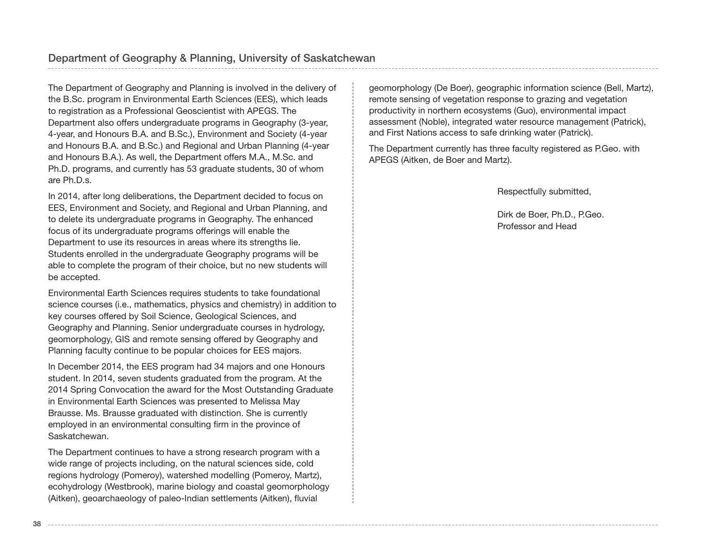The Department of Geography and Planning is involved in the delivery of the B.Sc. program in Environmental Earth Sciences (EES), which leads to registration as a Professional Geoscientist with APEGS. The Department also offers undergraduate programs in Geography (3-year, 4-year, and Honours B.A. and B.Sc.), Environment and Society (4-year and Honours B.A. and B.Sc.) and Regional and Urban Planning (4-year and Honours B.A.). As well, the Department offers M.A., M.Sc. and Ph.D. programs, and currently has 53 graduate students, 30 of whom are Ph.D.s.

In 2014, after long deliberations, the Department decided to focus on EES, Environment and Society, and Regional and Urban Planning, and to delete its undergraduate programs in Geography. The enhanced focus of its undergraduate programs offerings will enable the Department to use its resources in areas where its strengths lie. Students enrolled in the undergraduate Geography programs will be able to complete the program of their choice, but no new students will be accepted.

Environmental Earth Sciences requires students to take foundational science courses (i.e., mathematics, physics and chemistry) in addition to key courses offered by Soil Science, Geological Sciences, and Geography and Planning. Senior undergraduate courses in hydrology, geomorphology, GIS and remote sensing offered by Geography and Planning faculty continue to be popular choices for EES majors.

In December 2014, the EES program had 34 majors and one Honours student. In 2014, seven students graduated from the program. At the 2014 Spring Convocation the award for the Most Outstanding Graduate in Environmental Earth Sciences was presented to Melissa May Brausse. Ms. Brausse graduated with distinction. She is currently employed in an environmental consulting firm in the province of Saskatchewan.

The Department continues to have a strong research program with a wide range of projects including, on the natural sciences side, cold regions hydrology (Pomeroy), watershed modelling (Pomeroy, Martz), ecohydrology (Westbrook), marine biology and coastal geomorphology (Aitken), geoarchaeology of paleo-Indian settlements (Aitken), fluvial

geomorphology (De Boer), geographic information science (Bell, Martz), remote sensing of vegetation response to grazing and vegetation productivity in northern ecosystems (Guo), environmental impact assessment (Noble), integrated water resource management (Patrick), and First Nations access to safe drinking water (Patrick).

The Department currently has three faculty registered as P.Geo. with APEGS (Aitken, de Boer and Martz).

Respectfully submitted,

Dirk de Boer, Ph.D., P.Geo. Professor and Head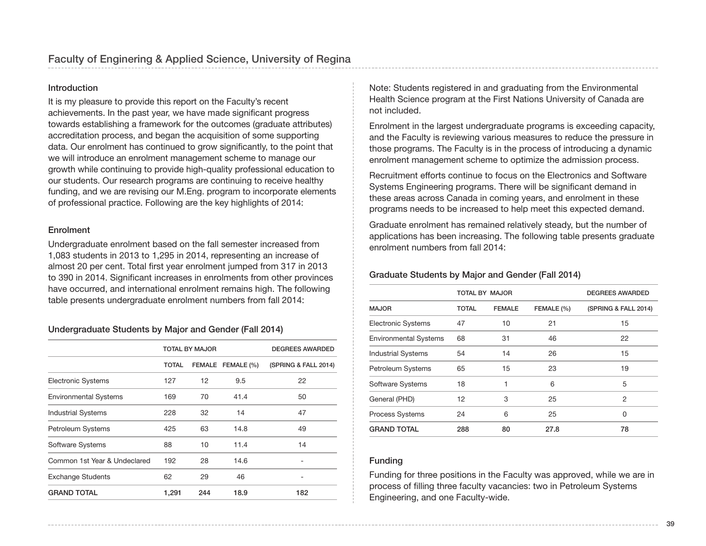#### Introduction

It is my pleasure to provide this report on the Faculty's recent achievements. In the past year, we have made significant progress towards establishing a framework for the outcomes (graduate attributes) accreditation process, and began the acquisition of some supporting data. Our enrolment has continued to grow significantly, to the point that we will introduce an enrolment management scheme to manage our growth while continuing to provide high-quality professional education to our students. Our research programs are continuing to receive healthy funding, and we are revising our M.Eng. program to incorporate elements of professional practice. Following are the key highlights of 2014:

#### **Enrolment**

Undergraduate enrolment based on the fall semester increased from 1,083 students in 2013 to 1,295 in 2014, representing an increase of almost 20 per cent. Total first year enrolment jumped from 317 in 2013 to 390 in 2014. Significant increases in enrolments from other provinces have occurred, and international enrolment remains high. The following table presents undergraduate enrolment numbers from fall 2014:

## Undergraduate Students by Major and Gender (Fall 2014)

|                              |              | <b>TOTAL BY MAJOR</b> | <b>DEGREES AWARDED</b> |                      |
|------------------------------|--------------|-----------------------|------------------------|----------------------|
|                              | <b>TOTAL</b> |                       | FEMALE FEMALE (%)      | (SPRING & FALL 2014) |
| <b>Electronic Systems</b>    | 127          | 12                    | 9.5                    | 22                   |
| <b>Environmental Systems</b> | 169          | 70                    | 41.4                   | 50                   |
| <b>Industrial Systems</b>    | 228          | 32                    | 14                     | 47                   |
| Petroleum Systems            | 425          | 63                    | 14.8                   | 49                   |
| Software Systems             | 88           | 10                    | 11.4                   | 14                   |
| Common 1st Year & Undeclared | 192          | 28                    | 14.6                   |                      |
| <b>Exchange Students</b>     | 62           | 29                    | 46                     |                      |
| <b>GRAND TOTAL</b>           | 1,291        | 244                   | 18.9                   | 182                  |

Note: Students registered in and graduating from the Environmental Health Science program at the First Nations University of Canada are not included.

Enrolment in the largest undergraduate programs is exceeding capacity, and the Faculty is reviewing various measures to reduce the pressure in those programs. The Faculty is in the process of introducing a dynamic enrolment management scheme to optimize the admission process.

Recruitment efforts continue to focus on the Electronics and Software Systems Engineering programs. There will be significant demand in these areas across Canada in coming years, and enrolment in these programs needs to be increased to help meet this expected demand.

Graduate enrolment has remained relatively steady, but the number of applications has been increasing. The following table presents graduate enrolment numbers from fall 2014:

#### Graduate Students by Major and Gender (Fall 2014)

|                              |              | <b>TOTAL BY MAJOR</b> | <b>DEGREES AWARDED</b> |                      |
|------------------------------|--------------|-----------------------|------------------------|----------------------|
| <b>MAJOR</b>                 | <b>TOTAL</b> | <b>FEMALE</b>         | FEMALE (%)             | (SPRING & FALL 2014) |
| <b>Electronic Systems</b>    | 47           | 10                    | 21                     | 15                   |
| <b>Environmental Systems</b> | 68           | 31                    | 46                     | 22                   |
| <b>Industrial Systems</b>    | 54           | 14                    | 26                     | 15                   |
| Petroleum Systems            | 65           | 15                    | 23                     | 19                   |
| Software Systems             | 18           |                       | 6                      | 5                    |
| General (PHD)                | 12           | 3                     | 25                     | $\overline{2}$       |
| <b>Process Systems</b>       | 24           | 6                     | 25                     | 0                    |
| <b>GRAND TOTAL</b>           | 288          | 80                    | 27.8                   | 78                   |

#### Funding

Funding for three positions in the Faculty was approved, while we are in process of filling three faculty vacancies: two in Petroleum Systems Engineering, and one Faculty-wide.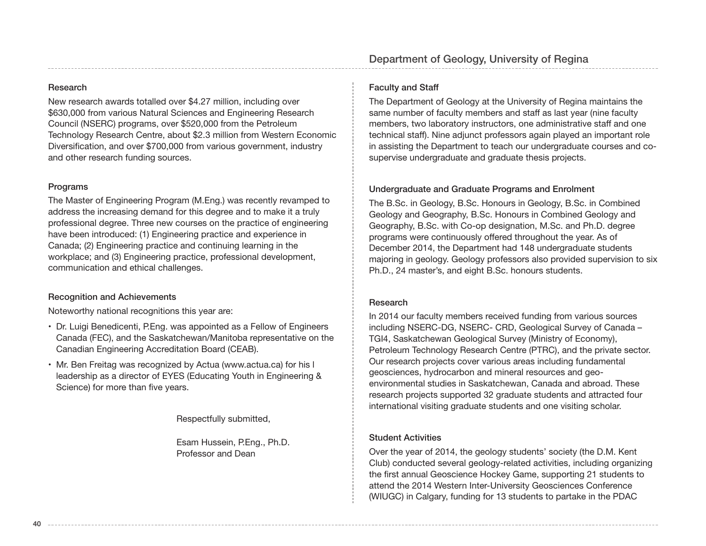## Department of Geology, University of Regina

### Research

New research awards totalled over \$4.27 million, including over \$630,000 from various Natural Sciences and Engineering Research Council (NSERC) programs, over \$520,000 from the Petroleum Technology Research Centre, about \$2.3 million from Western Economic Diversification, and over \$700,000 from various government, industry and other research funding sources.

#### Programs

The Master of Engineering Program (M.Eng.) was recently revamped to address the increasing demand for this degree and to make it a truly professional degree. Three new courses on the practice of engineering have been introduced: (1) Engineering practice and experience in Canada; (2) Engineering practice and continuing learning in the workplace; and (3) Engineering practice, professional development, communication and ethical challenges.

## Recognition and Achievements

Noteworthy national recognitions this year are:

- Dr. Luigi Benedicenti, P.Eng. was appointed as a Fellow of Engineers Canada (FEC), and the Saskatchewan/Manitoba representative on the Canadian Engineering Accreditation Board (CEAB).
- Mr. Ben Freitag was recognized by Actua (www.actua.ca) for his l leadership as a director of EYES (Educating Youth in Engineering & Science) for more than five years.

Respectfully submitted,

Esam Hussein, P.Eng., Ph.D. Professor and Dean

## Faculty and Staff

The Department of Geology at the University of Regina maintains the same number of faculty members and staff as last year (nine faculty members, two laboratory instructors, one administrative staff and one technical staff). Nine adjunct professors again played an important role in assisting the Department to teach our undergraduate courses and cosupervise undergraduate and graduate thesis projects.

## Undergraduate and Graduate Programs and Enrolment

The B.Sc. in Geology, B.Sc. Honours in Geology, B.Sc. in Combined Geology and Geography, B.Sc. Honours in Combined Geology and Geography, B.Sc. with Co-op designation, M.Sc. and Ph.D. degree programs were continuously offered throughout the year. As of December 2014, the Department had 148 undergraduate students majoring in geology. Geology professors also provided supervision to six Ph.D., 24 master's, and eight B.Sc. honours students.

#### Research

In 2014 our faculty members received funding from various sources including NSERC-DG, NSERC- CRD, Geological Survey of Canada – TGI4, Saskatchewan Geological Survey (Ministry of Economy), Petroleum Technology Research Centre (PTRC), and the private sector. Our research projects cover various areas including fundamental geosciences, hydrocarbon and mineral resources and geoenvironmental studies in Saskatchewan, Canada and abroad. These research projects supported 32 graduate students and attracted four international visiting graduate students and one visiting scholar.

## Student Activities

Over the year of 2014, the geology students' society (the D.M. Kent Club) conducted several geology-related activities, including organizing the first annual Geoscience Hockey Game, supporting 21 students to attend the 2014 Western Inter-University Geosciences Conference (WIUGC) in Calgary, funding for 13 students to partake in the PDAC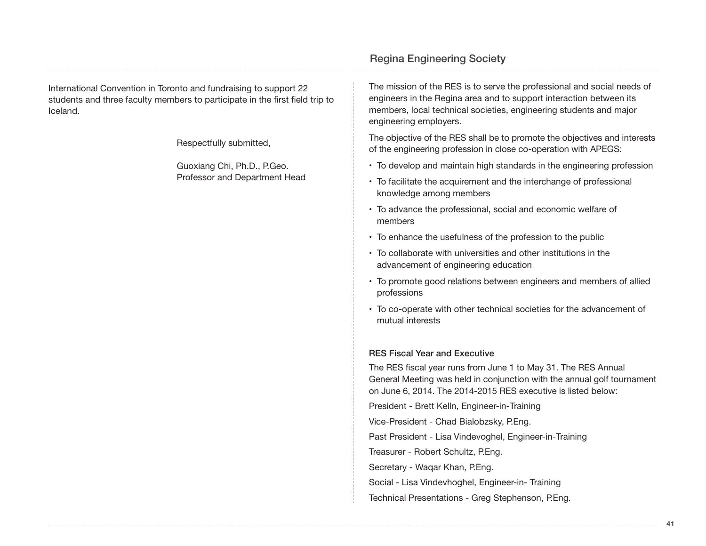International Convention in Toronto and fundraising to support 22 students and three faculty members to participate in the first field trip to Iceland.

Respectfully submitted,

Guoxiang Chi, Ph.D., P.Geo. Professor and Department Head The mission of the RES is to serve the professional and social needs of engineers in the Regina area and to support interaction between its members, local technical societies, engineering students and major engineering employers.

The objective of the RES shall be to promote the objectives and interests of the engineering profession in close co-operation with APEGS:

- To develop and maintain high standards in the engineering profession
- To facilitate the acquirement and the interchange of professional knowledge among members
- To advance the professional, social and economic welfare of members
- To enhance the usefulness of the profession to the public
- To collaborate with universities and other institutions in the advancement of engineering education
- To promote good relations between engineers and members of allied professions
- To co-operate with other technical societies for the advancement of mutual interests

#### RES Fiscal Year and Executive

The RES fiscal year runs from June 1 to May 31. The RES Annual General Meeting was held in conjunction with the annual golf tournament on June 6, 2014. The 2014-2015 RES executive is listed below:

President - Brett Kelln, Engineer-in-Training

Vice-President - Chad Bialobzsky, P.Eng.

Past President - Lisa Vindevoghel, Engineer-in-Training

Treasurer - Robert Schultz, P.Eng.

Secretary - Waqar Khan, P.Eng.

Social - Lisa Vindevhoghel, Engineer-in- Training

Technical Presentations - Greg Stephenson, P.Eng.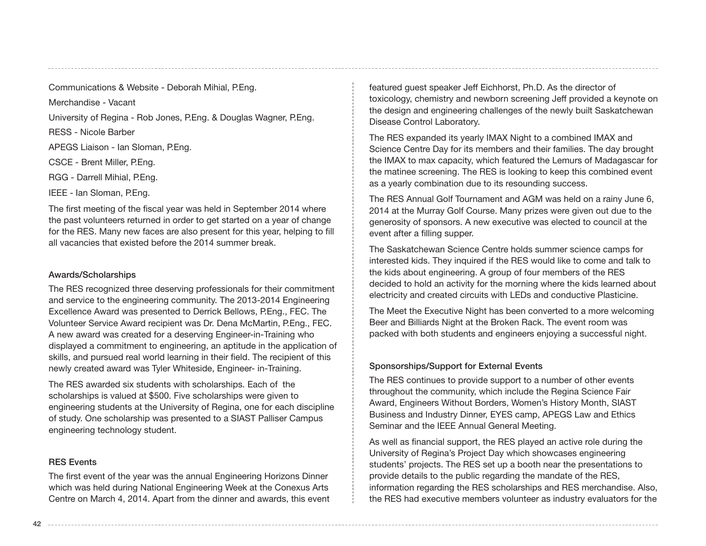Communications & Website - Deborah Mihial, P.Eng.

Merchandise - Vacant

University of Regina - Rob Jones, P.Eng. & Douglas Wagner, P.Eng.

RESS - Nicole Barber

APEGS Liaison - Ian Sloman, P.Eng.

CSCE - Brent Miller, P.Eng.

RGG - Darrell Mihial, P.Eng.

IEEE - Ian Sloman, P.Eng.

The first meeting of the fiscal year was held in September 2014 where the past volunteers returned in order to get started on a year of change for the RES. Many new faces are also present for this year, helping to fill all vacancies that existed before the 2014 summer break.

#### Awards/Scholarships

The RES recognized three deserving professionals for their commitment and service to the engineering community. The 2013-2014 Engineering Excellence Award was presented to Derrick Bellows, P.Eng., FEC. The Volunteer Service Award recipient was Dr. Dena McMartin, P.Eng., FEC. A new award was created for a deserving Engineer-in-Training who displayed a commitment to engineering, an aptitude in the application of skills, and pursued real world learning in their field. The recipient of this newly created award was Tyler Whiteside, Engineer- in-Training.

The RES awarded six students with scholarships. Each of the scholarships is valued at \$500. Five scholarships were given to engineering students at the University of Regina, one for each discipline of study. One scholarship was presented to a SIAST Palliser Campus engineering technology student.

#### RES Events

The first event of the year was the annual Engineering Horizons Dinner which was held during National Engineering Week at the Conexus Arts Centre on March 4, 2014. Apart from the dinner and awards, this event

featured guest speaker Jeff Eichhorst, Ph.D. As the director of toxicology, chemistry and newborn screening Jeff provided a keynote on the design and engineering challenges of the newly built Saskatchewan Disease Control Laboratory.

The RES expanded its yearly IMAX Night to a combined IMAX and Science Centre Day for its members and their families. The day brought the IMAX to max capacity, which featured the Lemurs of Madagascar for the matinee screening. The RES is looking to keep this combined event as a yearly combination due to its resounding success.

The RES Annual Golf Tournament and AGM was held on a rainy June 6, 2014 at the Murray Golf Course. Many prizes were given out due to the generosity of sponsors. A new executive was elected to council at the event after a filling supper.

The Saskatchewan Science Centre holds summer science camps for interested kids. They inquired if the RES would like to come and talk to the kids about engineering. A group of four members of the RES decided to hold an activity for the morning where the kids learned about electricity and created circuits with LEDs and conductive Plasticine.

The Meet the Executive Night has been converted to a more welcoming Beer and Billiards Night at the Broken Rack. The event room was packed with both students and engineers enjoying a successful night.

#### Sponsorships/Support for External Events

The RES continues to provide support to a number of other events throughout the community, which include the Regina Science Fair Award, Engineers Without Borders, Women's History Month, SIAST Business and Industry Dinner, EYES camp, APEGS Law and Ethics Seminar and the IEEE Annual General Meeting.

As well as financial support, the RES played an active role during the University of Regina's Project Day which showcases engineering students' projects. The RES set up a booth near the presentations to provide details to the public regarding the mandate of the RES, information regarding the RES scholarships and RES merchandise. Also, the RES had executive members volunteer as industry evaluators for the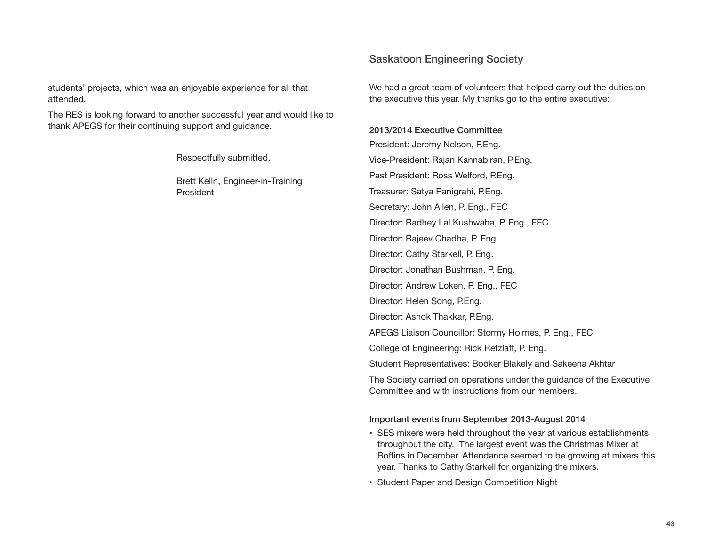students' projects, which was an enjoyable experience for all that attended.

The RES is looking forward to another successful year and would like to thank APEGS for their continuing support and guidance.

Respectfully submitted,

Brett Kelln, Engineer-in-Training President

We had a great team of volunteers that helped carry out the duties on the executive this year. My thanks go to the entire executive:

2013/2014 Executive Committee President: Jeremy Nelson, P.Eng. Vice-President: Rajan Kannabiran, P.Eng. Past President: Ross Welford, P.Eng. Treasurer: Satya Panigrahi, P.Eng. Secretary: John Allen, P. Eng., FEC Director: Radhey Lal Kushwaha, P. Eng., FEC Director: Rajeev Chadha, P. Eng. Director: Cathy Starkell, P. Eng. Director: Jonathan Bushman, P. Eng. Director: Andrew Loken, P. Eng., FEC Director: Helen Song, P.Eng. Director: Ashok Thakkar, P.Eng. APEGS Liaison Councillor: Stormy Holmes, P. Eng., FEC College of Engineering: Rick Retzlaff, P. Eng. Student Representatives: Booker Blakely and Sakeena Akhtar The Society carried on operations under the guidance of the Executive Committee and with instructions from our members.

#### Important events from September 2013-August 2014

- SES mixers were held throughout the year at various establishments throughout the city. The largest event was the Christmas Mixer at Boffins in December. Attendance seemed to be growing at mixers this year. Thanks to Cathy Starkell for organizing the mixers.
- Student Paper and Design Competition Night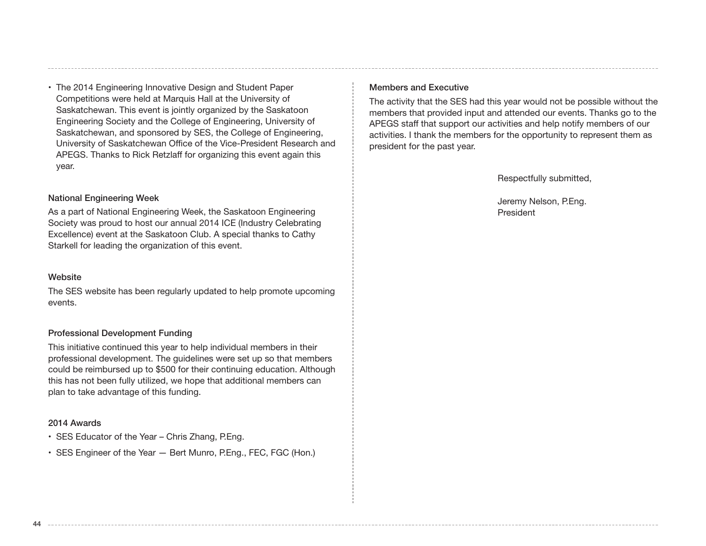• The 2014 Engineering Innovative Design and Student Paper Competitions were held at Marquis Hall at the University of Saskatchewan. This event is jointly organized by the Saskatoon Engineering Society and the College of Engineering, University of Saskatchewan, and sponsored by SES, the College of Engineering, University of Saskatchewan Office of the Vice-President Research and APEGS. Thanks to Rick Retzlaff for organizing this event again this year.

#### National Engineering Week

As a part of National Engineering Week, the Saskatoon Engineering Society was proud to host our annual 2014 ICE (Industry Celebrating Excellence) event at the Saskatoon Club. A special thanks to Cathy Starkell for leading the organization of this event.

#### Website

The SES website has been regularly updated to help promote upcoming events.

#### Professional Development Funding

This initiative continued this year to help individual members in their professional development. The guidelines were set up so that members could be reimbursed up to \$500 for their continuing education. Although this has not been fully utilized, we hope that additional members can plan to take advantage of this funding.

#### 2014 Awards

- SES Educator of the Year Chris Zhang, P.Eng.
- SES Engineer of the Year Bert Munro, P.Eng., FEC, FGC (Hon.)

#### Members and Executive

The activity that the SES had this year would not be possible without the members that provided input and attended our events. Thanks go to the APEGS staff that support our activities and help notify members of our activities. I thank the members for the opportunity to represent them as president for the past year.

Respectfully submitted,

Jeremy Nelson, P.Eng. President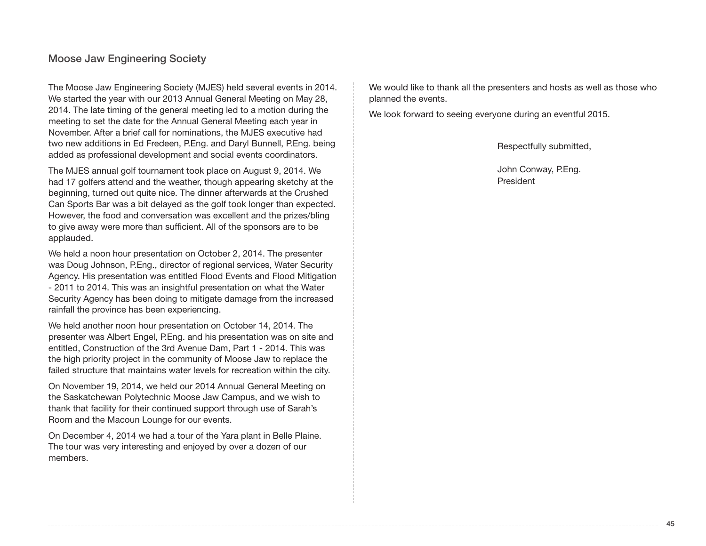## Moose Jaw Engineering Society

The Moose Jaw Engineering Society (MJES) held several events in 2014. We started the year with our 2013 Annual General Meeting on May 28, 2014. The late timing of the general meeting led to a motion during the meeting to set the date for the Annual General Meeting each year in November. After a brief call for nominations, the MJES executive had two new additions in Ed Fredeen, P.Eng. and Daryl Bunnell, P.Eng. being added as professional development and social events coordinators.

The MJES annual golf tournament took place on August 9, 2014. We had 17 golfers attend and the weather, though appearing sketchy at the beginning, turned out quite nice. The dinner afterwards at the Crushed Can Sports Bar was a bit delayed as the golf took longer than expected. However, the food and conversation was excellent and the prizes/bling to give away were more than sufficient. All of the sponsors are to be applauded.

We held a noon hour presentation on October 2, 2014. The presenter was Doug Johnson, P.Eng., director of regional services, Water Security Agency. His presentation was entitled Flood Events and Flood Mitigation - 2011 to 2014. This was an insightful presentation on what the Water Security Agency has been doing to mitigate damage from the increased rainfall the province has been experiencing.

We held another noon hour presentation on October 14, 2014. The presenter was Albert Engel, P.Eng. and his presentation was on site and entitled, Construction of the 3rd Avenue Dam, Part 1 - 2014. This was the high priority project in the community of Moose Jaw to replace the failed structure that maintains water levels for recreation within the city.

On November 19, 2014, we held our 2014 Annual General Meeting on the Saskatchewan Polytechnic Moose Jaw Campus, and we wish to thank that facility for their continued support through use of Sarah's Room and the Macoun Lounge for our events.

On December 4, 2014 we had a tour of the Yara plant in Belle Plaine. The tour was very interesting and enjoyed by over a dozen of our members.

We would like to thank all the presenters and hosts as well as those who planned the events.

We look forward to seeing everyone during an eventful 2015.

Respectfully submitted,

John Conway, P.Eng. President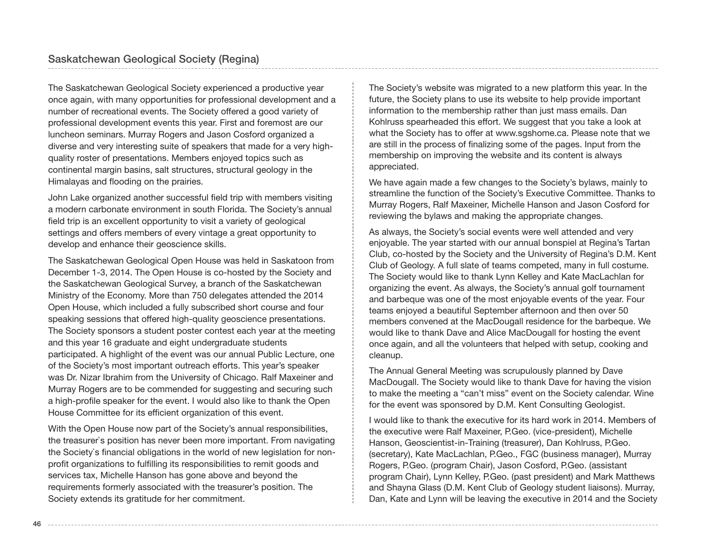The Saskatchewan Geological Society experienced a productive year once again, with many opportunities for professional development and a number of recreational events. The Society offered a good variety of professional development events this year. First and foremost are our luncheon seminars. Murray Rogers and Jason Cosford organized a diverse and very interesting suite of speakers that made for a very highquality roster of presentations. Members enjoyed topics such as continental margin basins, salt structures, structural geology in the Himalayas and flooding on the prairies.

John Lake organized another successful field trip with members visiting a modern carbonate environment in south Florida. The Society's annual field trip is an excellent opportunity to visit a variety of geological settings and offers members of every vintage a great opportunity to develop and enhance their geoscience skills.

The Saskatchewan Geological Open House was held in Saskatoon from December 1-3, 2014. The Open House is co-hosted by the Society and the Saskatchewan Geological Survey, a branch of the Saskatchewan Ministry of the Economy. More than 750 delegates attended the 2014 Open House, which included a fully subscribed short course and four speaking sessions that offered high-quality geoscience presentations. The Society sponsors a student poster contest each year at the meeting and this year 16 graduate and eight undergraduate students participated. A highlight of the event was our annual Public Lecture, one of the Society's most important outreach efforts. This year's speaker was Dr. Nizar Ibrahim from the University of Chicago. Ralf Maxeiner and Murray Rogers are to be commended for suggesting and securing such a high-profile speaker for the event. I would also like to thank the Open House Committee for its efficient organization of this event.

With the Open House now part of the Society's annual responsibilities, the treasurer`s position has never been more important. From navigating the Society`s financial obligations in the world of new legislation for nonprofit organizations to fulfilling its responsibilities to remit goods and services tax, Michelle Hanson has gone above and beyond the requirements formerly associated with the treasurer's position. The Society extends its gratitude for her commitment.

The Society's website was migrated to a new platform this year. In the future, the Society plans to use its website to help provide important information to the membership rather than just mass emails. Dan Kohlruss spearheaded this effort. We suggest that you take a look at what the Society has to offer at www.sgshome.ca. Please note that we are still in the process of finalizing some of the pages. Input from the membership on improving the website and its content is always appreciated.

We have again made a few changes to the Society's bylaws, mainly to streamline the function of the Society's Executive Committee. Thanks to Murray Rogers, Ralf Maxeiner, Michelle Hanson and Jason Cosford for reviewing the bylaws and making the appropriate changes.

As always, the Society's social events were well attended and very enjoyable. The year started with our annual bonspiel at Regina's Tartan Club, co-hosted by the Society and the University of Regina's D.M. Kent Club of Geology. A full slate of teams competed, many in full costume. The Society would like to thank Lynn Kelley and Kate MacLachlan for organizing the event. As always, the Society's annual golf tournament and barbeque was one of the most enjoyable events of the year. Four teams enjoyed a beautiful September afternoon and then over 50 members convened at the MacDougall residence for the barbeque. We would like to thank Dave and Alice MacDougall for hosting the event once again, and all the volunteers that helped with setup, cooking and cleanup.

The Annual General Meeting was scrupulously planned by Dave MacDougall. The Society would like to thank Dave for having the vision to make the meeting a "can't miss" event on the Society calendar. Wine for the event was sponsored by D.M. Kent Consulting Geologist.

I would like to thank the executive for its hard work in 2014. Members of the executive were Ralf Maxeiner, P.Geo. (vice-president), Michelle Hanson, Geoscientist-in-Training (treasurer), Dan Kohlruss, P.Geo. (secretary), Kate MacLachlan, P.Geo., FGC (business manager), Murray Rogers, P.Geo. (program Chair), Jason Cosford, P.Geo. (assistant program Chair), Lynn Kelley, P.Geo. (past president) and Mark Matthews and Shayna Glass (D.M. Kent Club of Geology student liaisons). Murray, Dan, Kate and Lynn will be leaving the executive in 2014 and the Society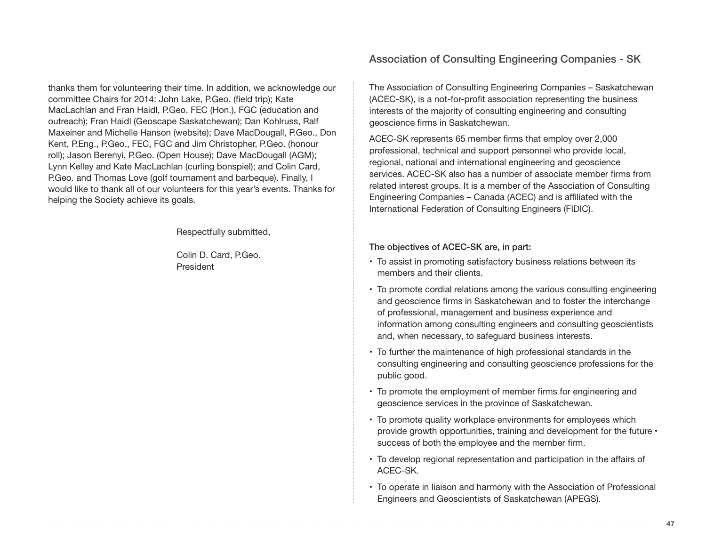thanks them for volunteering their time. In addition, we acknowledge our committee Chairs for 2014: John Lake, P.Geo. (field trip); Kate MacLachlan and Fran Haidl, P.Geo. FEC (Hon.), FGC (education and outreach); Fran Haidl (Geoscape Saskatchewan); Dan Kohlruss, Ralf Maxeiner and Michelle Hanson (website); Dave MacDougall, P.Geo., Don Kent, P.Eng., P.Geo., FEC, FGC and Jim Christopher, P.Geo. (honour roll); Jason Berenyi, P.Geo. (Open House); Dave MacDougall (AGM); Lynn Kelley and Kate MacLachlan (curling bonspiel); and Colin Card, P.Geo. and Thomas Love (golf tournament and barbeque). Finally, I would like to thank all of our volunteers for this year's events. Thanks for helping the Society achieve its goals.

Respectfully submitted,

Colin D. Card, P.Geo. President

The Association of Consulting Engineering Companies – Saskatchewan (ACEC-SK), is a not-for-profit association representing the business interests of the majority of consulting engineering and consulting geoscience firms in Saskatchewan.

ACEC-SK represents 65 member firms that employ over 2,000 professional, technical and support personnel who provide local, regional, national and international engineering and geoscience services. ACEC-SK also has a number of associate member firms from related interest groups. It is a member of the Association of Consulting Engineering Companies – Canada (ACEC) and is affiliated with the International Federation of Consulting Engineers (FIDIC).

The objectives of ACEC-SK are, in part:

- To assist in promoting satisfactory business relations between its members and their clients.
- To promote cordial relations among the various consulting engineering and geoscience firms in Saskatchewan and to foster the interchange of professional, management and business experience and information among consulting engineers and consulting geoscientists and, when necessary, to safeguard business interests.
- To further the maintenance of high professional standards in the consulting engineering and consulting geoscience professions for the public good.
- To promote the employment of member firms for engineering and geoscience services in the province of Saskatchewan.
- To promote quality workplace environments for employees which provide growth opportunities, training and development for the future • success of both the employee and the member firm.
- To develop regional representation and participation in the affairs of ACEC-SK.
- To operate in liaison and harmony with the Association of Professional Engineers and Geoscientists of Saskatchewan (APEGS).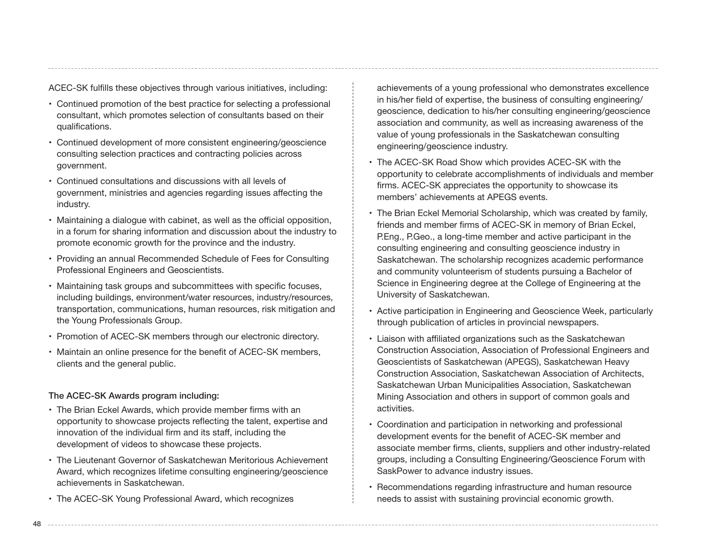ACEC-SK fulfills these objectives through various initiatives, including:

- Continued promotion of the best practice for selecting a professional consultant, which promotes selection of consultants based on their qualifications.
- Continued development of more consistent engineering/geoscience consulting selection practices and contracting policies across government.
- Continued consultations and discussions with all levels of government, ministries and agencies regarding issues affecting the industry.
- Maintaining a dialogue with cabinet, as well as the official opposition, in a forum for sharing information and discussion about the industry to promote economic growth for the province and the industry.
- Providing an annual Recommended Schedule of Fees for Consulting Professional Engineers and Geoscientists.
- Maintaining task groups and subcommittees with specific focuses, including buildings, environment/water resources, industry/resources, transportation, communications, human resources, risk mitigation and the Young Professionals Group.
- Promotion of ACEC-SK members through our electronic directory.
- Maintain an online presence for the benefit of ACEC-SK members, clients and the general public.

#### The ACEC-SK Awards program including:

- The Brian Eckel Awards, which provide member firms with an opportunity to showcase projects reflecting the talent, expertise and innovation of the individual firm and its staff, including the development of videos to showcase these projects.
- The Lieutenant Governor of Saskatchewan Meritorious Achievement Award, which recognizes lifetime consulting engineering/geoscience achievements in Saskatchewan.
- The ACEC-SK Young Professional Award, which recognizes

achievements of a young professional who demonstrates excellence in his/her field of expertise, the business of consulting engineering/ geoscience, dedication to his/her consulting engineering/geoscience association and community, as well as increasing awareness of the value of young professionals in the Saskatchewan consulting engineering/geoscience industry.

- The ACEC-SK Road Show which provides ACEC-SK with the opportunity to celebrate accomplishments of individuals and member firms. ACEC-SK appreciates the opportunity to showcase its members' achievements at APEGS events.
- The Brian Eckel Memorial Scholarship, which was created by family, friends and member firms of ACEC-SK in memory of Brian Eckel, P.Eng., P.Geo., a long-time member and active participant in the consulting engineering and consulting geoscience industry in Saskatchewan. The scholarship recognizes academic performance and community volunteerism of students pursuing a Bachelor of Science in Engineering degree at the College of Engineering at the University of Saskatchewan.
- Active participation in Engineering and Geoscience Week, particularly through publication of articles in provincial newspapers.
- Liaison with affiliated organizations such as the Saskatchewan Construction Association, Association of Professional Engineers and Geoscientists of Saskatchewan (APEGS), Saskatchewan Heavy Construction Association, Saskatchewan Association of Architects, Saskatchewan Urban Municipalities Association, Saskatchewan Mining Association and others in support of common goals and activities.
- Coordination and participation in networking and professional development events for the benefit of ACEC-SK member and associate member firms, clients, suppliers and other industry-related groups, including a Consulting Engineering/Geoscience Forum with SaskPower to advance industry issues.
- Recommendations regarding infrastructure and human resource needs to assist with sustaining provincial economic growth.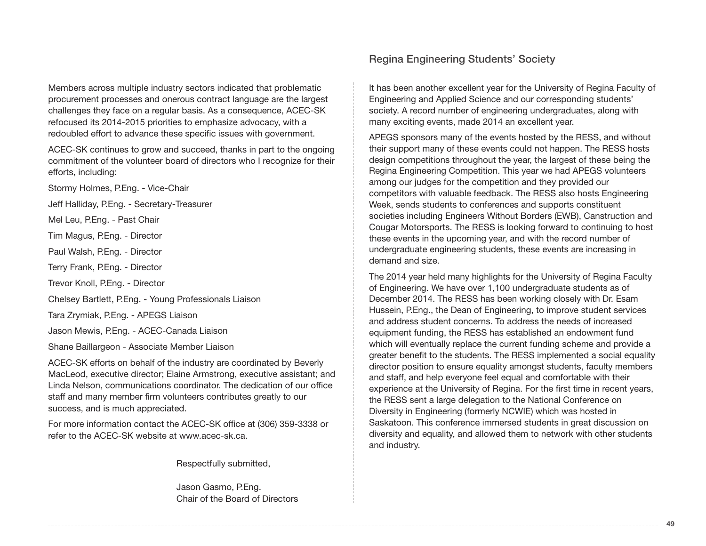Members across multiple industry sectors indicated that problematic procurement processes and onerous contract language are the largest challenges they face on a regular basis. As a consequence, ACEC-SK refocused its 2014-2015 priorities to emphasize advocacy, with a redoubled effort to advance these specific issues with government.

ACEC-SK continues to grow and succeed, thanks in part to the ongoing commitment of the volunteer board of directors who I recognize for their efforts, including:

Stormy Holmes, P.Eng. - Vice-Chair

Jeff Halliday, P.Eng. - Secretary-Treasurer

Mel Leu, P.Eng. - Past Chair

Tim Magus, P.Eng. - Director

Paul Walsh, P.Eng. - Director

Terry Frank, P.Eng. - Director

Trevor Knoll, P.Eng. - Director

Chelsey Bartlett, P.Eng. - Young Professionals Liaison

Tara Zrymiak, P.Eng. - APEGS Liaison

Jason Mewis, P.Eng. - ACEC-Canada Liaison

Shane Baillargeon - Associate Member Liaison

ACEC-SK efforts on behalf of the industry are coordinated by Beverly MacLeod, executive director; Elaine Armstrong, executive assistant; and Linda Nelson, communications coordinator. The dedication of our office staff and many member firm volunteers contributes greatly to our success, and is much appreciated.

For more information contact the ACEC-SK office at (306) 359-3338 or refer to the ACEC-SK website at www.acec-sk.ca.

Respectfully submitted,

Jason Gasmo, P.Eng. Chair of the Board of Directors

## Regina Engineering Students' Society

It has been another excellent year for the University of Regina Faculty of Engineering and Applied Science and our corresponding students' society. A record number of engineering undergraduates, along with many exciting events, made 2014 an excellent year.

APEGS sponsors many of the events hosted by the RESS, and without their support many of these events could not happen. The RESS hosts design competitions throughout the year, the largest of these being the Regina Engineering Competition. This year we had APEGS volunteers among our judges for the competition and they provided our competitors with valuable feedback. The RESS also hosts Engineering Week, sends students to conferences and supports constituent societies including Engineers Without Borders (EWB), Canstruction and Cougar Motorsports. The RESS is looking forward to continuing to host these events in the upcoming year, and with the record number of undergraduate engineering students, these events are increasing in demand and size.

The 2014 year held many highlights for the University of Regina Faculty of Engineering. We have over 1,100 undergraduate students as of December 2014. The RESS has been working closely with Dr. Esam Hussein, P.Eng., the Dean of Engineering, to improve student services and address student concerns. To address the needs of increased equipment funding, the RESS has established an endowment fund which will eventually replace the current funding scheme and provide a greater benefit to the students. The RESS implemented a social equality director position to ensure equality amongst students, faculty members and staff, and help everyone feel equal and comfortable with their experience at the University of Regina. For the first time in recent years, the RESS sent a large delegation to the National Conference on Diversity in Engineering (formerly NCWIE) which was hosted in Saskatoon. This conference immersed students in great discussion on diversity and equality, and allowed them to network with other students and industry.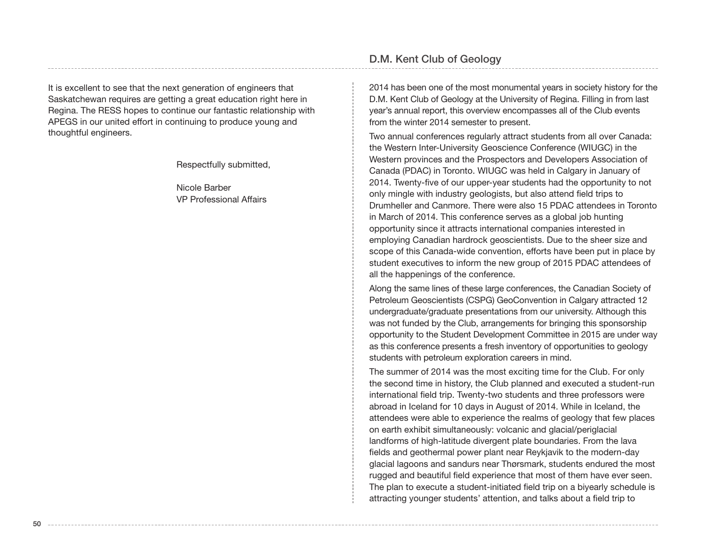It is excellent to see that the next generation of engineers that Saskatchewan requires are getting a great education right here in Regina. The RESS hopes to continue our fantastic relationship with APEGS in our united effort in continuing to produce young and thoughtful engineers.

Respectfully submitted,

Nicole Barber VP Professional Affairs

## D.M. Kent Club of Geology

2014 has been one of the most monumental years in society history for the D.M. Kent Club of Geology at the University of Regina. Filling in from last year's annual report, this overview encompasses all of the Club events from the winter 2014 semester to present.

Two annual conferences regularly attract students from all over Canada: the Western Inter-University Geoscience Conference (WIUGC) in the Western provinces and the Prospectors and Developers Association of Canada (PDAC) in Toronto. WIUGC was held in Calgary in January of 2014. Twenty-five of our upper-year students had the opportunity to not only mingle with industry geologists, but also attend field trips to Drumheller and Canmore. There were also 15 PDAC attendees in Toronto in March of 2014. This conference serves as a global job hunting opportunity since it attracts international companies interested in employing Canadian hardrock geoscientists. Due to the sheer size and scope of this Canada-wide convention, efforts have been put in place by student executives to inform the new group of 2015 PDAC attendees of all the happenings of the conference.

Along the same lines of these large conferences, the Canadian Society of Petroleum Geoscientists (CSPG) GeoConvention in Calgary attracted 12 undergraduate/graduate presentations from our university. Although this was not funded by the Club, arrangements for bringing this sponsorship opportunity to the Student Development Committee in 2015 are under way as this conference presents a fresh inventory of opportunities to geology students with petroleum exploration careers in mind.

The summer of 2014 was the most exciting time for the Club. For only the second time in history, the Club planned and executed a student-run international field trip. Twenty-two students and three professors were abroad in Iceland for 10 days in August of 2014. While in Iceland, the attendees were able to experience the realms of geology that few places on earth exhibit simultaneously: volcanic and glacial/periglacial landforms of high-latitude divergent plate boundaries. From the lava fields and geothermal power plant near Reykjavik to the modern-day glacial lagoons and sandurs near Thørsmark, students endured the most rugged and beautiful field experience that most of them have ever seen. The plan to execute a student-initiated field trip on a biyearly schedule is attracting younger students' attention, and talks about a field trip to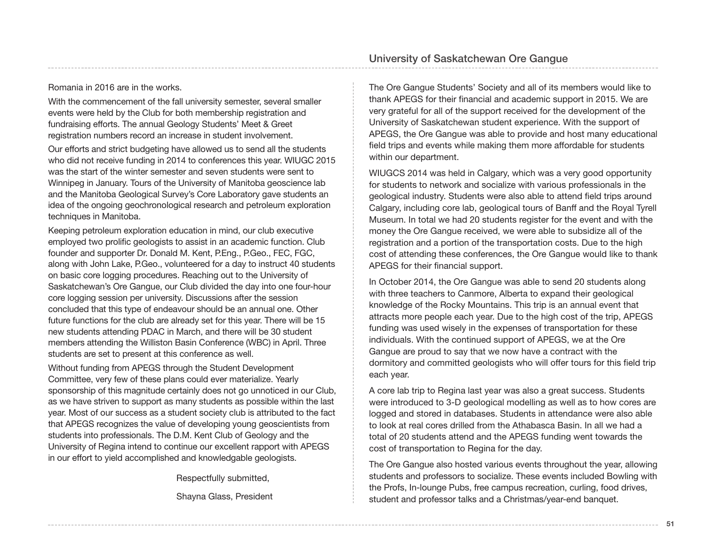#### Romania in 2016 are in the works.

With the commencement of the fall university semester, several smaller events were held by the Club for both membership registration and fundraising efforts. The annual Geology Students' Meet & Greet registration numbers record an increase in student involvement.

Our efforts and strict budgeting have allowed us to send all the students who did not receive funding in 2014 to conferences this year. WIUGC 2015 was the start of the winter semester and seven students were sent to Winnipeg in January. Tours of the University of Manitoba geoscience lab and the Manitoba Geological Survey's Core Laboratory gave students an idea of the ongoing geochronological research and petroleum exploration techniques in Manitoba.

Keeping petroleum exploration education in mind, our club executive employed two prolific geologists to assist in an academic function. Club founder and supporter Dr. Donald M. Kent, P.Eng., P.Geo., FEC, FGC, along with John Lake, P.Geo., volunteered for a day to instruct 40 students on basic core logging procedures. Reaching out to the University of Saskatchewan's Ore Gangue, our Club divided the day into one four-hour core logging session per university. Discussions after the session concluded that this type of endeavour should be an annual one. Other future functions for the club are already set for this year. There will be 15 new students attending PDAC in March, and there will be 30 student members attending the Williston Basin Conference (WBC) in April. Three students are set to present at this conference as well.

Without funding from APEGS through the Student Development Committee, very few of these plans could ever materialize. Yearly sponsorship of this magnitude certainly does not go unnoticed in our Club, as we have striven to support as many students as possible within the last year. Most of our success as a student society club is attributed to the fact that APEGS recognizes the value of developing young geoscientists from students into professionals. The D.M. Kent Club of Geology and the University of Regina intend to continue our excellent rapport with APEGS in our effort to yield accomplished and knowledgable geologists.

> Respectfully submitted, Shayna Glass, President

The Ore Gangue Students' Society and all of its members would like to thank APEGS for their financial and academic support in 2015. We are very grateful for all of the support received for the development of the University of Saskatchewan student experience. With the support of APEGS, the Ore Gangue was able to provide and host many educational field trips and events while making them more affordable for students within our department.

WIUGCS 2014 was held in Calgary, which was a very good opportunity for students to network and socialize with various professionals in the geological industry. Students were also able to attend field trips around Calgary, including core lab, geological tours of Banff and the Royal Tyrell Museum. In total we had 20 students register for the event and with the money the Ore Gangue received, we were able to subsidize all of the registration and a portion of the transportation costs. Due to the high cost of attending these conferences, the Ore Gangue would like to thank APEGS for their financial support.

In October 2014, the Ore Gangue was able to send 20 students along with three teachers to Canmore, Alberta to expand their geological knowledge of the Rocky Mountains. This trip is an annual event that attracts more people each year. Due to the high cost of the trip, APEGS funding was used wisely in the expenses of transportation for these individuals. With the continued support of APEGS, we at the Ore Gangue are proud to say that we now have a contract with the dormitory and committed geologists who will offer tours for this field trip each year.

A core lab trip to Regina last year was also a great success. Students were introduced to 3-D geological modelling as well as to how cores are logged and stored in databases. Students in attendance were also able to look at real cores drilled from the Athabasca Basin. In all we had a total of 20 students attend and the APEGS funding went towards the cost of transportation to Regina for the day.

The Ore Gangue also hosted various events throughout the year, allowing students and professors to socialize. These events included Bowling with the Profs, In-lounge Pubs, free campus recreation, curling, food drives, student and professor talks and a Christmas/year-end banquet.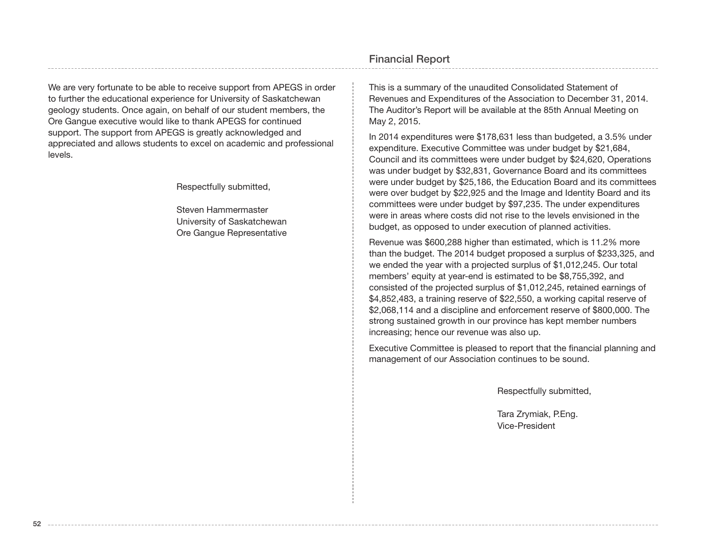We are very fortunate to be able to receive support from APEGS in order to further the educational experience for University of Saskatchewan geology students. Once again, on behalf of our student members, the Ore Gangue executive would like to thank APEGS for continued support. The support from APEGS is greatly acknowledged and appreciated and allows students to excel on academic and professional levels.

Respectfully submitted,

Steven Hammermaster University of Saskatchewan Ore Gangue Representative

## Financial Report

This is a summary of the unaudited Consolidated Statement of Revenues and Expenditures of the Association to December 31, 2014. The Auditor's Report will be available at the 85th Annual Meeting on May 2, 2015.

In 2014 expenditures were \$178,631 less than budgeted, a 3.5% under expenditure. Executive Committee was under budget by \$21,684, Council and its committees were under budget by \$24,620, Operations was under budget by \$32,831, Governance Board and its committees were under budget by \$25,186, the Education Board and its committees were over budget by \$22,925 and the Image and Identity Board and its committees were under budget by \$97,235. The under expenditures were in areas where costs did not rise to the levels envisioned in the budget, as opposed to under execution of planned activities.

Revenue was \$600,288 higher than estimated, which is 11.2% more than the budget. The 2014 budget proposed a surplus of \$233,325, and we ended the year with a projected surplus of \$1,012,245. Our total members' equity at year-end is estimated to be \$8,755,392, and consisted of the projected surplus of \$1,012,245, retained earnings of \$4,852,483, a training reserve of \$22,550, a working capital reserve of \$2,068,114 and a discipline and enforcement reserve of \$800,000. The strong sustained growth in our province has kept member numbers increasing; hence our revenue was also up.

Executive Committee is pleased to report that the financial planning and management of our Association continues to be sound.

Respectfully submitted,

Tara Zrymiak, P.Eng. Vice-President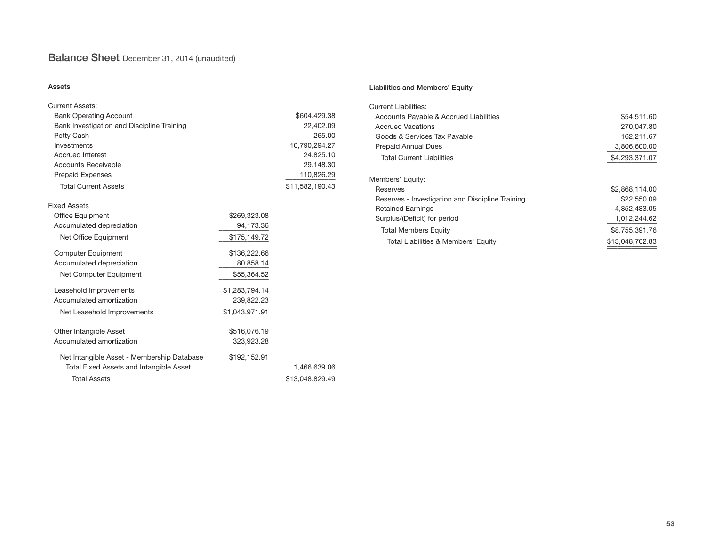# Balance Sheet December 31, 2014 (unaudited)

#### Assets

| <b>Current Assets:</b>                     |                |                 |
|--------------------------------------------|----------------|-----------------|
| <b>Bank Operating Account</b>              |                | \$604,429.38    |
| Bank Investigation and Discipline Training |                | 22,402.09       |
| Petty Cash                                 |                | 265.00          |
| Investments                                |                | 10,790,294.27   |
| <b>Accrued Interest</b>                    |                | 24,825.10       |
| <b>Accounts Receivable</b>                 |                | 29,148.30       |
| <b>Prepaid Expenses</b>                    |                | 110,826.29      |
| <b>Total Current Assets</b>                |                | \$11,582,190.43 |
| <b>Fixed Assets</b>                        |                |                 |
| Office Equipment                           | \$269,323.08   |                 |
| Accumulated depreciation                   | 94,173.36      |                 |
| Net Office Equipment                       | \$175,149.72   |                 |
| <b>Computer Equipment</b>                  | \$136,222.66   |                 |
| Accumulated depreciation                   | 80,858.14      |                 |
| Net Computer Equipment                     | \$55,364.52    |                 |
| Leasehold Improvements                     | \$1,283,794.14 |                 |
| Accumulated amortization                   | 239,822.23     |                 |
| Net Leasehold Improvements                 | \$1,043,971.91 |                 |
| Other Intangible Asset                     | \$516,076.19   |                 |
| Accumulated amortization                   | 323,923.28     |                 |
| Net Intangible Asset - Membership Database | \$192,152.91   |                 |
| Total Fixed Assets and Intangible Asset    |                | 1,466,639.06    |
| <b>Total Assets</b>                        |                | \$13,048,829.49 |

#### Liabilities and Members' Equity

| \$54,511.60     |
|-----------------|
| 270,047.80      |
| 162,211.67      |
| 3,806,600.00    |
| \$4,293,371.07  |
|                 |
| \$2,868,114.00  |
| \$22,550.09     |
| 4,852,483.05    |
| 1,012,244.62    |
| \$8,755,391.76  |
| \$13,048,762.83 |
|                 |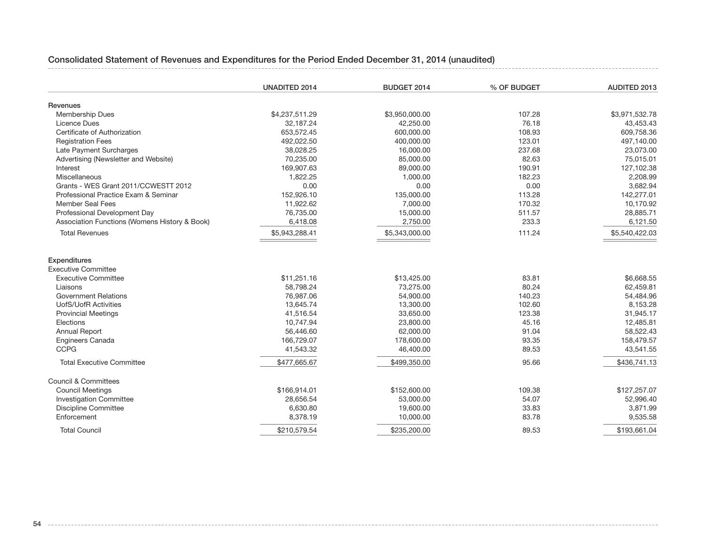## Consolidated Statement of Revenues and Expenditures for the Period Ended December 31, 2014 (unaudited)

|                                                   | <b>UNADITED 2014</b> | BUDGET 2014    | % OF BUDGET | AUDITED 2013   |
|---------------------------------------------------|----------------------|----------------|-------------|----------------|
| Revenues                                          |                      |                |             |                |
| <b>Membership Dues</b>                            | \$4,237,511.29       | \$3,950,000.00 | 107.28      | \$3,971,532.78 |
| Licence Dues                                      | 32,187.24            | 42,250.00      | 76.18       | 43,453.43      |
| Certificate of Authorization                      | 653,572.45           | 600,000.00     | 108.93      | 609,758.36     |
| <b>Registration Fees</b>                          | 492,022.50           | 400,000.00     | 123.01      | 497,140.00     |
| Late Payment Surcharges                           | 38,028.25            | 16,000.00      | 237.68      | 23,073.00      |
| Advertising (Newsletter and Website)              | 70,235.00            | 85,000.00      | 82.63       | 75,015.01      |
| Interest                                          | 169,907.63           | 89,000.00      | 190.91      | 127,102.38     |
| Miscellaneous                                     | 1,822.25             | 1,000.00       | 182.23      | 2,208.99       |
| Grants - WES Grant 2011/CCWESTT 2012              | 0.00                 | 0.00           | 0.00        | 3,682.94       |
| Professional Practice Exam & Seminar              | 152,926.10           | 135,000.00     | 113.28      | 142,277.01     |
| <b>Member Seal Fees</b>                           | 11,922.62            | 7,000.00       | 170.32      | 10,170.92      |
| Professional Development Day                      | 76,735.00            | 15,000.00      | 511.57      | 28,885.71      |
| Association Functions (Womens History & Book)     | 6,418.08             | 2,750.00       | 233.3       | 6,121.50       |
| <b>Total Revenues</b>                             | \$5,943,288.41       | \$5,343,000.00 | 111.24      | \$5,540,422.03 |
| <b>Expenditures</b><br><b>Executive Committee</b> |                      |                |             |                |
| <b>Executive Committee</b>                        | \$11,251.16          | \$13,425.00    | 83.81       | \$6,668.55     |
| Liaisons                                          | 58,798.24            | 73,275.00      | 80.24       | 62,459.81      |
| <b>Government Relations</b>                       | 76,987.06            | 54,900.00      | 140.23      | 54,484.96      |
| <b>UofS/UofR Activities</b>                       | 13,645.74            | 13,300.00      | 102.60      | 8,153.28       |
| <b>Provincial Meetings</b>                        | 41,516.54            | 33,650.00      | 123.38      | 31,945.17      |
| Elections                                         | 10,747.94            | 23,800.00      | 45.16       | 12,485.81      |
| Annual Report                                     | 56,446.60            | 62,000.00      | 91.04       | 58,522.43      |
| <b>Engineers Canada</b>                           | 166,729.07           | 178,600.00     | 93.35       | 158,479.57     |
| <b>CCPG</b>                                       | 41,543.32            | 46.400.00      | 89.53       | 43,541.55      |
| <b>Total Executive Committee</b>                  | \$477,665.67         | \$499,350.00   | 95.66       | \$436,741.13   |
| <b>Council &amp; Committees</b>                   |                      |                |             |                |
| <b>Council Meetings</b>                           | \$166,914.01         | \$152,600.00   | 109.38      | \$127,257.07   |
| <b>Investigation Committee</b>                    | 28,656.54            | 53,000.00      | 54.07       | 52,996.40      |
| <b>Discipline Committee</b>                       | 6,630.80             | 19,600.00      | 33.83       | 3,871.99       |
| Enforcement                                       | 8,378.19             | 10,000.00      | 83.78       | 9,535.58       |
| <b>Total Council</b>                              | \$210,579.54         | \$235,200.00   | 89.53       | \$193,661.04   |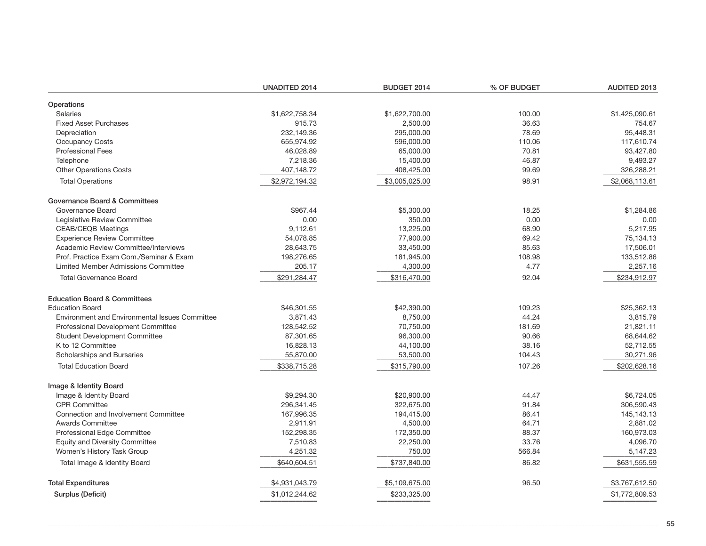|                                                | UNADITED 2014  | BUDGET 2014    | % OF BUDGET | AUDITED 2013   |
|------------------------------------------------|----------------|----------------|-------------|----------------|
| Operations                                     |                |                |             |                |
| Salaries                                       | \$1,622,758.34 | \$1,622,700.00 | 100.00      | \$1,425,090.61 |
| <b>Fixed Asset Purchases</b>                   | 915.73         | 2,500.00       | 36.63       | 754.67         |
| Depreciation                                   | 232,149.36     | 295,000.00     | 78.69       | 95,448.31      |
| <b>Occupancy Costs</b>                         | 655,974.92     | 596,000.00     | 110.06      | 117,610.74     |
| <b>Professional Fees</b>                       | 46,028.89      | 65,000.00      | 70.81       | 93,427.80      |
| Telephone                                      | 7,218.36       | 15,400.00      | 46.87       | 9,493.27       |
| <b>Other Operations Costs</b>                  | 407,148.72     | 408,425.00     | 99.69       | 326,288.21     |
| <b>Total Operations</b>                        | \$2,972,194.32 | \$3,005,025.00 | 98.91       | \$2,068,113.61 |
| Governance Board & Committees                  |                |                |             |                |
| Governance Board                               | \$967.44       | \$5,300.00     | 18.25       | \$1.284.86     |
| Legislative Review Committee                   | 0.00           | 350.00         | 0.00        | 0.00           |
| <b>CEAB/CEQB Meetings</b>                      | 9,112.61       | 13,225.00      | 68.90       | 5,217.95       |
| <b>Experience Review Committee</b>             | 54,078.85      | 77,900.00      | 69.42       | 75,134.13      |
| Academic Review Committee/Interviews           | 28,643.75      | 33,450.00      | 85.63       | 17,506.01      |
| Prof. Practice Exam Com./Seminar & Exam        | 198,276.65     | 181,945.00     | 108.98      | 133,512.86     |
| Limited Member Admissions Committee            | 205.17         | 4,300.00       | 4.77        | 2,257.16       |
| <b>Total Governance Board</b>                  | \$291,284.47   | \$316,470.00   | 92.04       | \$234,912.97   |
| <b>Education Board &amp; Committees</b>        |                |                |             |                |
| <b>Education Board</b>                         | \$46,301.55    | \$42,390.00    | 109.23      | \$25,362.13    |
| Environment and Environmental Issues Committee | 3,871.43       | 8,750.00       | 44.24       | 3,815.79       |
| Professional Development Committee             | 128,542.52     | 70,750.00      | 181.69      | 21,821.11      |
| <b>Student Development Committee</b>           | 87,301.65      | 96,300.00      | 90.66       | 68,644.62      |
| K to 12 Committee                              | 16,828.13      | 44,100.00      | 38.16       | 52,712.55      |
| Scholarships and Bursaries                     | 55,870.00      | 53,500.00      | 104.43      | 30,271.96      |
| <b>Total Education Board</b>                   | \$338,715.28   | \$315,790.00   | 107.26      | \$202,628.16   |
| Image & Identity Board                         |                |                |             |                |
| Image & Identity Board                         | \$9,294.30     | \$20,900.00    | 44.47       | \$6,724.05     |
| <b>CPR Committee</b>                           | 296,341.45     | 322,675.00     | 91.84       | 306,590.43     |
| Connection and Involvement Committee           | 167,996.35     | 194,415.00     | 86.41       | 145.143.13     |
| <b>Awards Committee</b>                        | 2,911.91       | 4,500.00       | 64.71       | 2,881.02       |
| Professional Edge Committee                    | 152,298.35     | 172,350.00     | 88.37       | 160,973.03     |
| <b>Equity and Diversity Committee</b>          | 7,510.83       | 22,250.00      | 33.76       | 4,096.70       |
| Women's History Task Group                     | 4,251.32       | 750.00         | 566.84      | 5,147.23       |
| Total Image & Identity Board                   | \$640,604.51   | \$737,840.00   | 86.82       | \$631,555.59   |
| <b>Total Expenditures</b>                      | \$4,931,043.79 | \$5,109,675.00 | 96.50       | \$3,767,612.50 |
| Surplus (Deficit)                              | \$1,012,244.62 | \$233,325.00   |             | \$1,772,809.53 |
|                                                |                |                |             |                |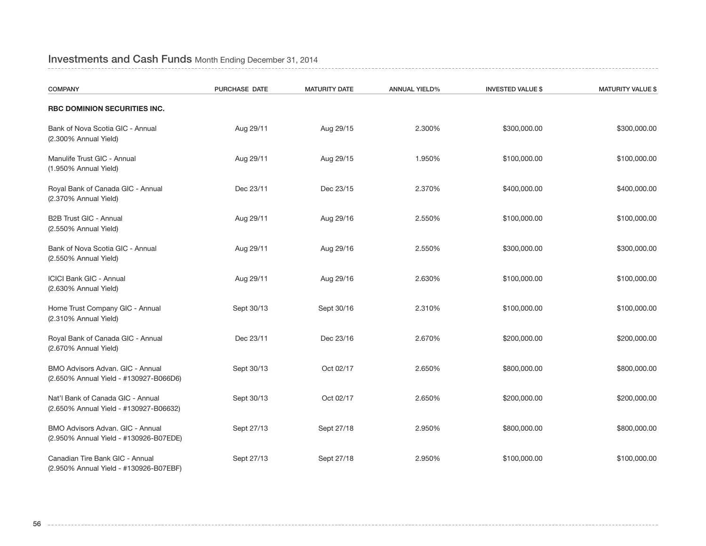## Investments and Cash Funds Month Ending December 31, 2014

| <b>COMPANY</b>                                                              | PURCHASE DATE | <b>MATURITY DATE</b> | <b>ANNUAL YIELD%</b> | <b>INVESTED VALUE \$</b> | <b>MATURITY VALUE \$</b> |
|-----------------------------------------------------------------------------|---------------|----------------------|----------------------|--------------------------|--------------------------|
| RBC DOMINION SECURITIES INC.                                                |               |                      |                      |                          |                          |
| Bank of Nova Scotia GIC - Annual<br>(2.300% Annual Yield)                   | Aug 29/11     | Aug 29/15            | 2.300%               | \$300,000.00             | \$300,000.00             |
| Manulife Trust GIC - Annual<br>(1.950% Annual Yield)                        | Aug 29/11     | Aug 29/15            | 1.950%               | \$100,000.00             | \$100,000.00             |
| Royal Bank of Canada GIC - Annual<br>(2.370% Annual Yield)                  | Dec 23/11     | Dec 23/15            | 2.370%               | \$400,000.00             | \$400,000.00             |
| B2B Trust GIC - Annual<br>(2.550% Annual Yield)                             | Aug 29/11     | Aug 29/16            | 2.550%               | \$100,000.00             | \$100,000.00             |
| Bank of Nova Scotia GIC - Annual<br>(2.550% Annual Yield)                   | Aug 29/11     | Aug 29/16            | 2.550%               | \$300,000.00             | \$300,000.00             |
| <b>ICICI Bank GIC - Annual</b><br>(2.630% Annual Yield)                     | Aug 29/11     | Aug 29/16            | 2.630%               | \$100,000.00             | \$100,000.00             |
| Home Trust Company GIC - Annual<br>(2.310% Annual Yield)                    | Sept 30/13    | Sept 30/16           | 2.310%               | \$100,000.00             | \$100,000.00             |
| Royal Bank of Canada GIC - Annual<br>(2.670% Annual Yield)                  | Dec 23/11     | Dec 23/16            | 2.670%               | \$200,000.00             | \$200,000.00             |
| BMO Advisors Advan. GIC - Annual<br>(2.650% Annual Yield - #130927-B066D6)  | Sept 30/13    | Oct 02/17            | 2.650%               | \$800,000.00             | \$800,000.00             |
| Nat'l Bank of Canada GIC - Annual<br>(2.650% Annual Yield - #130927-B06632) | Sept 30/13    | Oct 02/17            | 2.650%               | \$200,000.00             | \$200,000.00             |
| BMO Advisors Advan. GIC - Annual<br>(2.950% Annual Yield - #130926-B07EDE)  | Sept 27/13    | Sept 27/18           | 2.950%               | \$800,000.00             | \$800,000.00             |
| Canadian Tire Bank GIC - Annual<br>(2.950% Annual Yield - #130926-B07EBF)   | Sept 27/13    | Sept 27/18           | 2.950%               | \$100,000.00             | \$100,000.00             |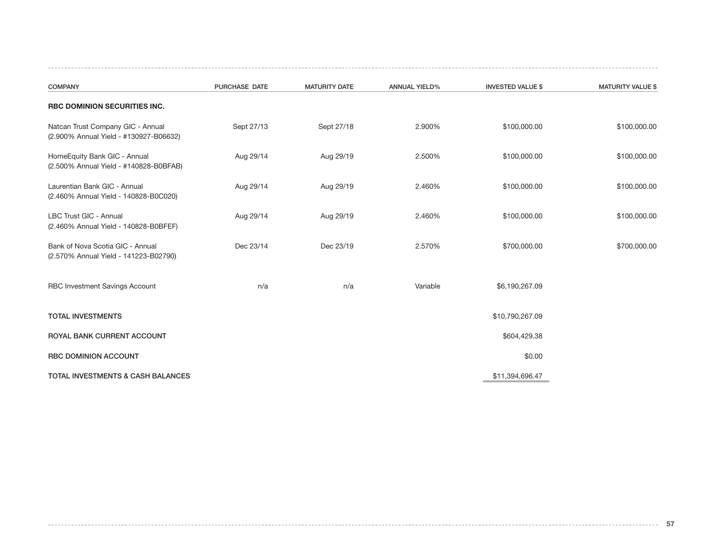| <b>COMPANY</b>                                                              | PURCHASE DATE | <b>MATURITY DATE</b> | <b>ANNUAL YIELD%</b> | <b>INVESTED VALUE \$</b> | <b>MATURITY VALUE \$</b> |
|-----------------------------------------------------------------------------|---------------|----------------------|----------------------|--------------------------|--------------------------|
| RBC DOMINION SECURITIES INC.                                                |               |                      |                      |                          |                          |
| Natcan Trust Company GIC - Annual<br>(2.900% Annual Yield - #130927-B06632) | Sept 27/13    | Sept 27/18           | 2.900%               | \$100,000.00             | \$100,000.00             |
| HomeEquity Bank GIC - Annual<br>(2.500% Annual Yield - #140828-B0BFAB)      | Aug 29/14     | Aug 29/19            | 2.500%               | \$100,000.00             | \$100,000.00             |
| Laurentian Bank GIC - Annual<br>(2.460% Annual Yield - 140828-B0C020)       | Aug 29/14     | Aug 29/19            | 2.460%               | \$100,000.00             | \$100,000.00             |
| LBC Trust GIC - Annual<br>(2.460% Annual Yield - 140828-B0BFEF)             | Aug 29/14     | Aug 29/19            | 2.460%               | \$100,000.00             | \$100,000.00             |
| Bank of Nova Scotia GIC - Annual<br>(2.570% Annual Yield - 141223-B02790)   | Dec 23/14     | Dec 23/19            | 2.570%               | \$700,000.00             | \$700,000.00             |
| RBC Investment Savings Account                                              | n/a           | n/a                  | Variable             | \$6,190,267.09           |                          |
| <b>TOTAL INVESTMENTS</b>                                                    |               |                      |                      | \$10,790,267.09          |                          |
| ROYAL BANK CURRENT ACCOUNT                                                  |               |                      |                      | \$604,429.38             |                          |
| RBC DOMINION ACCOUNT                                                        |               |                      |                      | \$0.00                   |                          |
| <b>TOTAL INVESTMENTS &amp; CASH BALANCES</b>                                |               |                      |                      | \$11,394,696.47          |                          |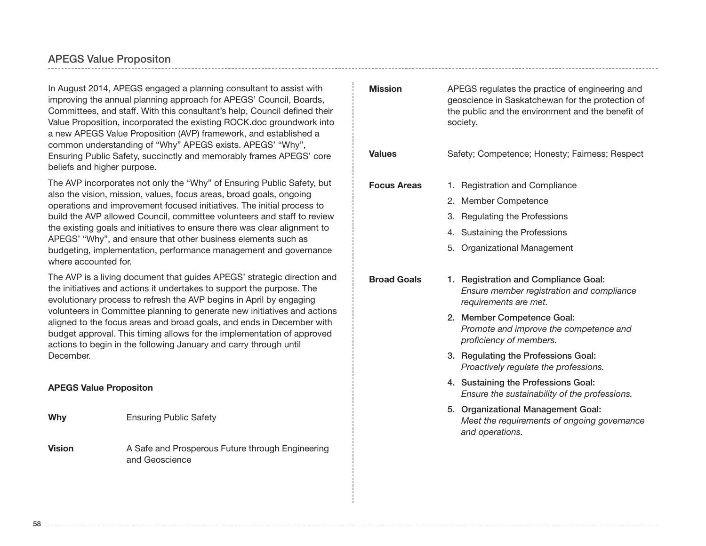## APEGS Value Propositon

In August 2014, APEGS engaged a planning consultant to assist with improving the annual planning approach for APEGS' Council, Boards, Committees, and staff. With this consultant's help, Council defined their Value Proposition, incorporated the existing ROCK.doc groundwork into a new APEGS Value Proposition (AVP) framework, and established a common understanding of "Why" APEGS exists. APEGS' "Why", Ensuring Public Safety, succinctly and memorably frames APEGS' core beliefs and higher purpose.

The AVP incorporates not only the "Why" of Ensuring Public Safety, but also the vision, mission, values, focus areas, broad goals, ongoing operations and improvement focused initiatives. The initial process to build the AVP allowed Council, committee volunteers and staff to review the existing goals and initiatives to ensure there was clear alignment to APEGS' "Why", and ensure that other business elements such as budgeting, implementation, performance management and governance where accounted for.

The AVP is a living document that guides APEGS' strategic direction and the initiatives and actions it undertakes to support the purpose. The evolutionary process to refresh the AVP begins in April by engaging volunteers in Committee planning to generate new initiatives and actions aligned to the focus areas and broad goals, and ends in December with budget approval. This timing allows for the implementation of approved actions to begin in the following January and carry through until December.

#### **APEGS Value Propositon**

**Why** Ensuring Public Safety

**Vision** A Safe and Prosperous Future through Engineering and Geoscience

| <b>Mission</b>     | APEGS regulates the practice of engineering and<br>geoscience in Saskatchewan for the protection of<br>the public and the environment and the benefit of<br>society. |  |  |
|--------------------|----------------------------------------------------------------------------------------------------------------------------------------------------------------------|--|--|
| <b>Values</b>      | Safety; Competence; Honesty; Fairness; Respect                                                                                                                       |  |  |
| <b>Focus Areas</b> | 1. Registration and Compliance                                                                                                                                       |  |  |
|                    | 2. Member Competence                                                                                                                                                 |  |  |
|                    | 3.<br>Regulating the Professions                                                                                                                                     |  |  |
|                    | 4. Sustaining the Professions                                                                                                                                        |  |  |
|                    | 5.<br>Organizational Management                                                                                                                                      |  |  |
| <b>Broad Goals</b> | 1. Registration and Compliance Goal:<br>Ensure member registration and compliance<br>requirements are met.                                                           |  |  |
|                    | 2. Member Competence Goal:<br>Promote and improve the competence and<br>proficiency of members.                                                                      |  |  |
|                    | 3. Regulating the Professions Goal:<br>Proactively regulate the professions.                                                                                         |  |  |
|                    | 4. Sustaining the Professions Goal:<br>Ensure the sustainability of the professions.                                                                                 |  |  |
|                    | 5. Organizational Management Goal:<br>Meet the requirements of ongoing governance<br>and operations.                                                                 |  |  |
|                    |                                                                                                                                                                      |  |  |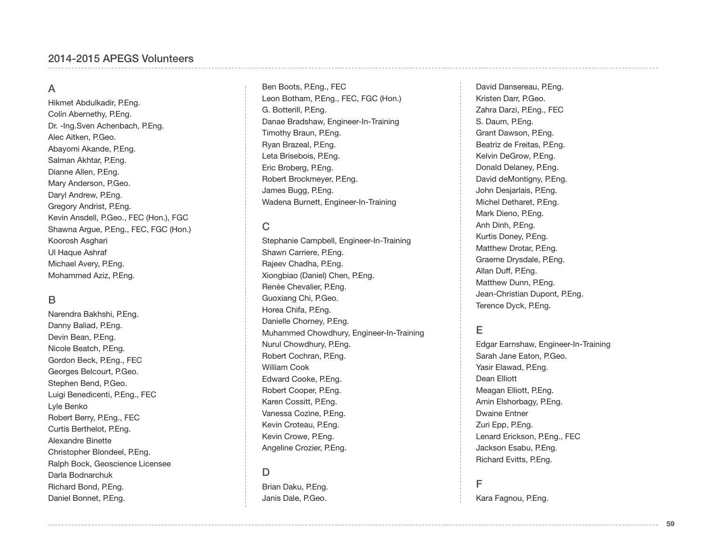## A

Hikmet Abdulkadir, P.Eng. Colin Abernethy, P.Eng. Dr. -Ing.Sven Achenbach, P.Eng. Alec Aitken, P.Geo. Abayomi Akande, P.Eng. Salman Akhtar, P.Eng. Dianne Allen, P.Eng. Mary Anderson, P.Geo. Daryl Andrew, P.Eng. Gregory Andrist, P.Eng. Kevin Ansdell, P.Geo., FEC (Hon.), FGC Shawna Argue, P.Eng., FEC, FGC (Hon.) Koorosh Asghari Ul Haque Ashraf Michael Avery, P.Eng. Mohammed Aziz, P.Eng.

#### B

Narendra Bakhshi, P.Eng. Danny Baliad, P.Eng. Devin Bean, P.Eng. Nicole Beatch, P.Eng. Gordon Beck, P.Eng., FEC Georges Belcourt, P.Geo. Stephen Bend, P.Geo. Luigi Benedicenti, P.Eng., FEC Lyle Benko Robert Berry, P.Eng., FEC Curtis Berthelot, P.Eng. Alexandre Binette Christopher Blondeel, P.Eng. Ralph Bock, Geoscience Licensee Darla Bodnarchuk Richard Bond, P.Eng. Daniel Bonnet, P.Eng.

Ben Boots, P.Eng., FEC Leon Botham, P.Eng., FEC, FGC (Hon.) G. Botterill, P.Eng. Danae Bradshaw, Engineer-In-Training Timothy Braun, P.Eng. Ryan Brazeal, P.Eng. Leta Brisebois, P.Eng. Eric Broberg, P.Eng. Robert Brockmeyer, P.Eng. James Bugg, P.Eng. Wadena Burnett, Engineer-In-Training

#### C

Stephanie Campbell, Engineer-In-Training Shawn Carriere, P.Eng. Rajeev Chadha, P.Eng. Xiongbiao (Daniel) Chen, P.Eng. Renée Chevalier, P.Eng. Guoxiang Chi, P.Geo. Horea Chifa, P.Eng. Danielle Chorney, P.Eng. Muhammed Chowdhury, Engineer-In-Training Nurul Chowdhury, P.Eng. Robert Cochran, P.Eng. William Cook Edward Cooke, P.Eng. Robert Cooper, P.Eng. Karen Cossitt, P.Eng. Vanessa Cozine, P.Eng. Kevin Croteau, P.Eng. Kevin Crowe, P.Eng. Angeline Crozier, P.Eng.

#### D

Brian Daku, P.Eng. Janis Dale, P.Geo.

David Dansereau, P.Eng. Kristen Darr, P.Geo. Zahra Darzi, P.Eng., FEC S. Daum, P.Eng. Grant Dawson, P.Eng. Beatriz de Freitas, P.Eng. Kelvin DeGrow, P.Eng. Donald Delaney, P.Eng. David deMontigny, P.Eng. John Desjarlais, P.Eng. Michel Detharet, P.Eng. Mark Dieno, P.Eng. Anh Dinh, P.Eng. Kurtis Doney, P.Eng. Matthew Drotar, P.Eng. Graeme Drysdale, P.Eng. Allan Duff, P.Eng. Matthew Dunn, P.Eng. Jean-Christian Dupont, P.Eng. Terence Dyck, P.Eng.

## E

Edgar Earnshaw, Engineer-In-Training Sarah Jane Eaton, P.Geo. Yasir Elawad, P.Eng. Dean Elliott Meagan Elliott, P.Eng. Amin Elshorbagy, P.Eng. Dwaine Entner Zuri Epp, P.Eng. Lenard Erickson, P.Eng., FEC Jackson Esabu, P.Eng. Richard Evitts, P.Eng.

#### F

Kara Fagnou, P.Eng.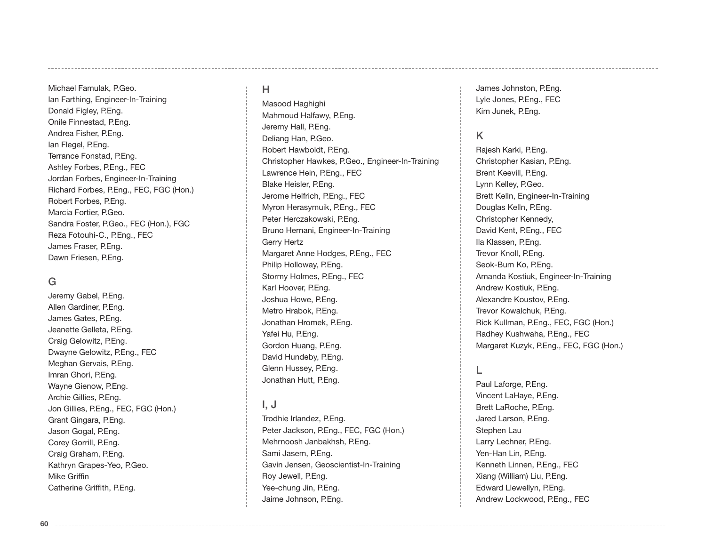Michael Famulak, P.Geo. Ian Farthing, Engineer-In-Training Donald Figley, P.Eng. Onile Finnestad, P.Eng. Andrea Fisher, P.Eng. Ian Flegel, P.Eng. Terrance Fonstad, P.Eng. Ashley Forbes, P.Eng., FEC Jordan Forbes, Engineer-In-Training Richard Forbes, P.Eng., FEC, FGC (Hon.) Robert Forbes, P.Eng. Marcia Fortier, P.Geo. Sandra Foster, P.Geo., FEC (Hon.), FGC Reza Fotouhi-C., P.Eng., FEC James Fraser, P.Eng. Dawn Friesen, P.Eng.

## G

**60**

Jeremy Gabel, P.Eng. Allen Gardiner, P.Eng. James Gates, P.Eng. Jeanette Gelleta, P.Eng. Craig Gelowitz, P.Eng. Dwayne Gelowitz, P.Eng., FEC Meghan Gervais, P.Eng. Imran Ghori, P.Eng. Wayne Gienow, P.Eng. Archie Gillies, P.Eng. Jon Gillies, P.Eng., FEC, FGC (Hon.) Grant Gingara, P.Eng. Jason Gogal, P.Eng. Corey Gorrill, P.Eng. Craig Graham, P.Eng. Kathryn Grapes-Yeo, P.Geo. Mike Griffin Catherine Griffith, P.Eng.

## H

Masood Haghighi Mahmoud Halfawy, P.Eng. Jeremy Hall, P.Eng. Deliang Han, P.Geo. Robert Hawboldt, P.Eng. Christopher Hawkes, P.Geo., Engineer-In-Training Lawrence Hein, P.Eng., FEC Blake Heisler, P.Eng. Jerome Helfrich, P.Eng., FEC Myron Herasymuik, P.Eng., FEC Peter Herczakowski, P.Eng. Bruno Hernani, Engineer-In-Training Gerry Hertz Margaret Anne Hodges, P.Eng., FEC Philip Holloway, P.Eng. Stormy Holmes, P.Eng., FEC Karl Hoover, P.Eng. Joshua Howe, P.Eng. Metro Hrabok, P.Eng. Jonathan Hromek, P.Eng. Yafei Hu, P.Eng. Gordon Huang, P.Eng. David Hundeby, P.Eng. Glenn Hussey, P.Eng. Jonathan Hutt, P.Eng.

## I, J

Trodhie Irlandez, P.Eng. Peter Jackson, P.Eng., FEC, FGC (Hon.) Mehrnoosh Janbakhsh, P.Eng. Sami Jasem, P.Eng. Gavin Jensen, Geoscientist-In-Training Roy Jewell, P.Eng. Yee-chung Jin, P.Eng. Jaime Johnson, P.Eng.

James Johnston, P.Eng. Lyle Jones, P.Eng., FEC Kim Junek, P.Eng.

## K

Rajesh Karki, P.Eng. Christopher Kasian, P.Eng. Brent Keevill, P.Eng. Lynn Kelley, P.Geo. Brett Kelln, Engineer-In-Training Douglas Kelln, P.Eng. Christopher Kennedy, David Kent, P.Eng., FEC Ila Klassen, P.Eng. Trevor Knoll, P.Eng. Seok-Bum Ko, P.Eng. Amanda Kostiuk, Engineer-In-Training Andrew Kostiuk, P.Eng. Alexandre Koustov, P.Eng. Trevor Kowalchuk, P.Eng. Rick Kullman, P.Eng., FEC, FGC (Hon.) Radhey Kushwaha, P.Eng., FEC Margaret Kuzyk, P.Eng., FEC, FGC (Hon.)

### L

Paul Laforge, P.Eng. Vincent LaHaye, P.Eng. Brett LaRoche, P.Eng. Jared Larson, P.Eng. Stephen Lau Larry Lechner, P.Eng. Yen-Han Lin, P.Eng. Kenneth Linnen, P.Eng., FEC Xiang (William) Liu, P.Eng. Edward Llewellyn, P.Eng. Andrew Lockwood, P.Eng., FEC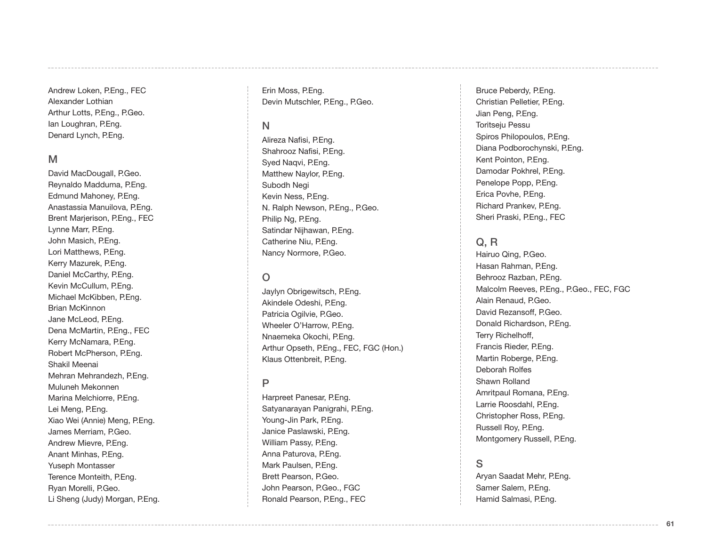Andrew Loken, P.Eng., FEC Alexander Lothian Arthur Lotts, P.Eng., P.Geo. Ian Loughran, P.Eng. Denard Lynch, P.Eng.

#### M

David MacDougall, P.Geo. Reynaldo Madduma, P.Eng. Edmund Mahoney, P.Eng. Anastassia Manuilova, P.Eng. Brent Marjerison, P.Eng., FEC Lynne Marr, P.Eng. John Masich, P.Eng. Lori Matthews, P.Eng. Kerry Mazurek, P.Eng. Daniel McCarthy, P.Eng. Kevin McCullum, P.Eng. Michael McKibben, P.Eng. Brian McKinnon Jane McLeod, P.Eng. Dena McMartin, P.Eng., FEC Kerry McNamara, P.Eng. Robert McPherson, P.Eng. Shakil Meenai Mehran Mehrandezh, P.Eng. Muluneh Mekonnen Marina Melchiorre, P.Eng. Lei Meng, P.Eng. Xiao Wei (Annie) Meng, P.Eng. James Merriam, P.Geo. Andrew Mievre, P.Eng. Anant Minhas, P.Eng. Yuseph Montasser Terence Monteith, P.Eng. Ryan Morelli, P.Geo. Li Sheng (Judy) Morgan, P.Eng.

Erin Moss, P.Eng. Devin Mutschler, P.Eng., P.Geo.

#### N

Alireza Nafisi, P.Eng. Shahrooz Nafisi, P.Eng. Syed Naqvi, P.Eng. Matthew Naylor, P.Eng. Subodh Negi Kevin Ness, P.Eng. N. Ralph Newson, P.Eng., P.Geo. Philip Ng, P.Eng. Satindar Nijhawan, P.Eng. Catherine Niu, P.Eng. Nancy Normore, P.Geo.

## $\Omega$

Jaylyn Obrigewitsch, P.Eng. Akindele Odeshi, P.Eng. Patricia Ogilvie, P.Geo. Wheeler O'Harrow, P.Eng. Nnaemeka Okochi, P.Eng. Arthur Opseth, P.Eng., FEC, FGC (Hon.) Klaus Ottenbreit, P.Eng.

#### P

Harpreet Panesar, P.Eng. Satyanarayan Panigrahi, P.Eng. Young-Jin Park, P.Eng. Janice Paslawski, P.Eng. William Passy, P.Eng. Anna Paturova, P.Eng. Mark Paulsen, P.Eng. Brett Pearson, P.Geo. John Pearson, P.Geo., FGC Ronald Pearson, P.Eng., FEC

Bruce Peberdy, P.Eng. Christian Pelletier, P.Eng. Jian Peng, P.Eng. Toritseju Pessu Spiros Philopoulos, P.Eng. Diana Podborochynski, P.Eng. Kent Pointon, P.Eng. Damodar Pokhrel, P.Eng. Penelope Popp, P.Eng. Erica Povhe, P.Eng. Richard Prankev, P.Eng. Sheri Praski, P.Eng., FEC

#### Q, R

Hairuo Qing, P.Geo. Hasan Rahman, P.Eng. Behrooz Razban, P.Eng. Malcolm Reeves, P.Eng., P.Geo., FEC, FGC Alain Renaud, P.Geo. David Rezansoff, P.Geo. Donald Richardson, P.Eng. Terry Richelhoff, Francis Rieder, P.Eng. Martin Roberge, P.Eng. Deborah Rolfes Shawn Rolland Amritpaul Romana, P.Eng. Larrie Roosdahl, P.Eng. Christopher Ross, P.Eng. Russell Roy, P.Eng. Montgomery Russell, P.Eng.

## S

Aryan Saadat Mehr, P.Eng. Samer Salem, P.Eng. Hamid Salmasi, P.Eng.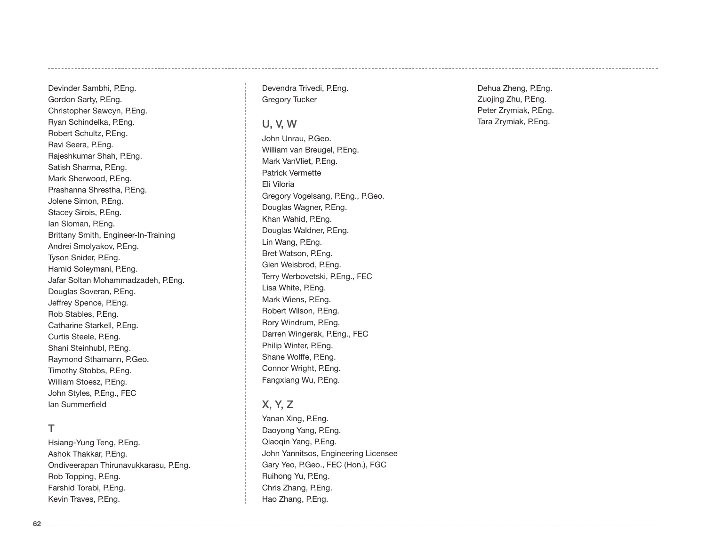Devinder Sambhi, P.Eng. Gordon Sarty, P.Eng. Christopher Sawcyn, P.Eng. Ryan Schindelka, P.Eng. Robert Schultz, P.Eng. Ravi Seera, P.Eng. Rajeshkumar Shah, P.Eng. Satish Sharma, P.Eng. Mark Sherwood, P.Eng. Prashanna Shrestha, P.Eng. Jolene Simon, P.Eng. Stacey Sirois, P.Eng. Ian Sloman, P.Eng. Brittany Smith, Engineer-In-Training Andrei Smolyakov, P.Eng. Tyson Snider, P.Eng. Hamid Soleymani, P.Eng. Jafar Soltan Mohammadzadeh, P.Eng. Douglas Soveran, P.Eng. Jeffrey Spence, P.Eng. Rob Stables, P.Eng. Catharine Starkell, P.Eng. Curtis Steele, P.Eng. Shani Steinhubl, P.Eng. Raymond Sthamann, P.Geo. Timothy Stobbs, P.Eng. William Stoesz, P.Eng. John Styles, P.Eng., FEC Ian Summerfield

#### T

Hsiang-Yung Teng, P.Eng. Ashok Thakkar, P.Eng. Ondiveerapan Thirunavukkarasu, P.Eng. Rob Topping, P.Eng. Farshid Torabi, P.Eng. Kevin Traves, P.Eng.

Devendra Trivedi, P.Eng. Gregory Tucker

#### U, V, W

John Unrau, P.Geo. William van Breugel, P.Eng. Mark VanVliet, P.Eng. Patrick Vermette Eli Viloria Gregory Vogelsang, P.Eng., P.Geo. Douglas Wagner, P.Eng. Khan Wahid, P.Eng. Douglas Waldner, P.Eng. Lin Wang, P.Eng. Bret Watson, P.Eng. Glen Weisbrod, P.Eng. Terry Werbovetski, P.Eng., FEC Lisa White, P.Eng. Mark Wiens, P.Eng. Robert Wilson, P.Eng. Rory Windrum, P.Eng. Darren Wingerak, P.Eng., FEC Philip Winter, P.Eng. Shane Wolffe, P.Eng. Connor Wright, P.Eng. Fangxiang Wu, P.Eng.

## X, Y, Z

Yanan Xing, P.Eng. Daoyong Yang, P.Eng. Qiaoqin Yang, P.Eng. John Yannitsos, Engineering Licensee Gary Yeo, P.Geo., FEC (Hon.), FGC Ruihong Yu, P.Eng. Chris Zhang, P.Eng. Hao Zhang, P.Eng.

Dehua Zheng, P.Eng. Zuojing Zhu, P.Eng. Peter Zrymiak, P.Eng. Tara Zrymiak, P.Eng.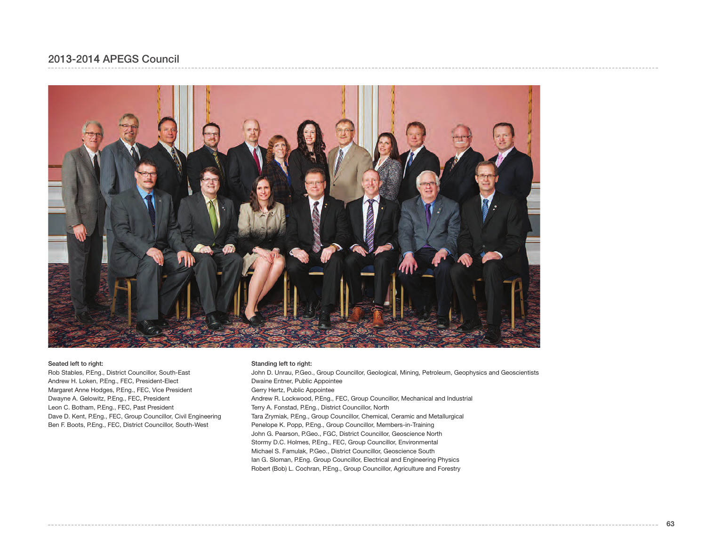## 2013-2014 APEGS Council



#### Seated left to right:

Rob Stables, P.Eng., District Councillor, South-East Andrew H. Loken, P.Eng., FEC, President-Elect Margaret Anne Hodges, P.Eng., FEC, Vice President Dwayne A. Gelowitz, P.Eng., FEC, President Leon C. Botham, P.Eng., FEC, Past President Dave D. Kent, P.Eng., FEC, Group Councillor, Civil Engineering Ben F. Boots, P.Eng., FEC, District Councillor, South-West

#### Standing left to right:

John D. Unrau, P.Geo., Group Councillor, Geological, Mining, Petroleum, Geophysics and Geoscientists Dwaine Entner, Public Appointee Gerry Hertz, Public Appointee Andrew R. Lockwood, P.Eng., FEC, Group Councillor, Mechanical and Industrial Terry A. Fonstad, P.Eng., District Councillor, North Tara Zrymiak, P.Eng., Group Councillor, Chemical, Ceramic and Metallurgical Penelope K. Popp, P.Eng., Group Councillor, Members-in-Training John G. Pearson, P.Geo., FGC, District Councillor, Geoscience North Stormy D.C. Holmes, P.Eng., FEC, Group Councillor, Environmental Michael S. Famulak, P.Geo., District Councillor, Geoscience South Ian G. Sloman, P.Eng. Group Councillor, Electrical and Engineering Physics Robert (Bob) L. Cochran, P.Eng., Group Councillor, Agriculture and Forestry